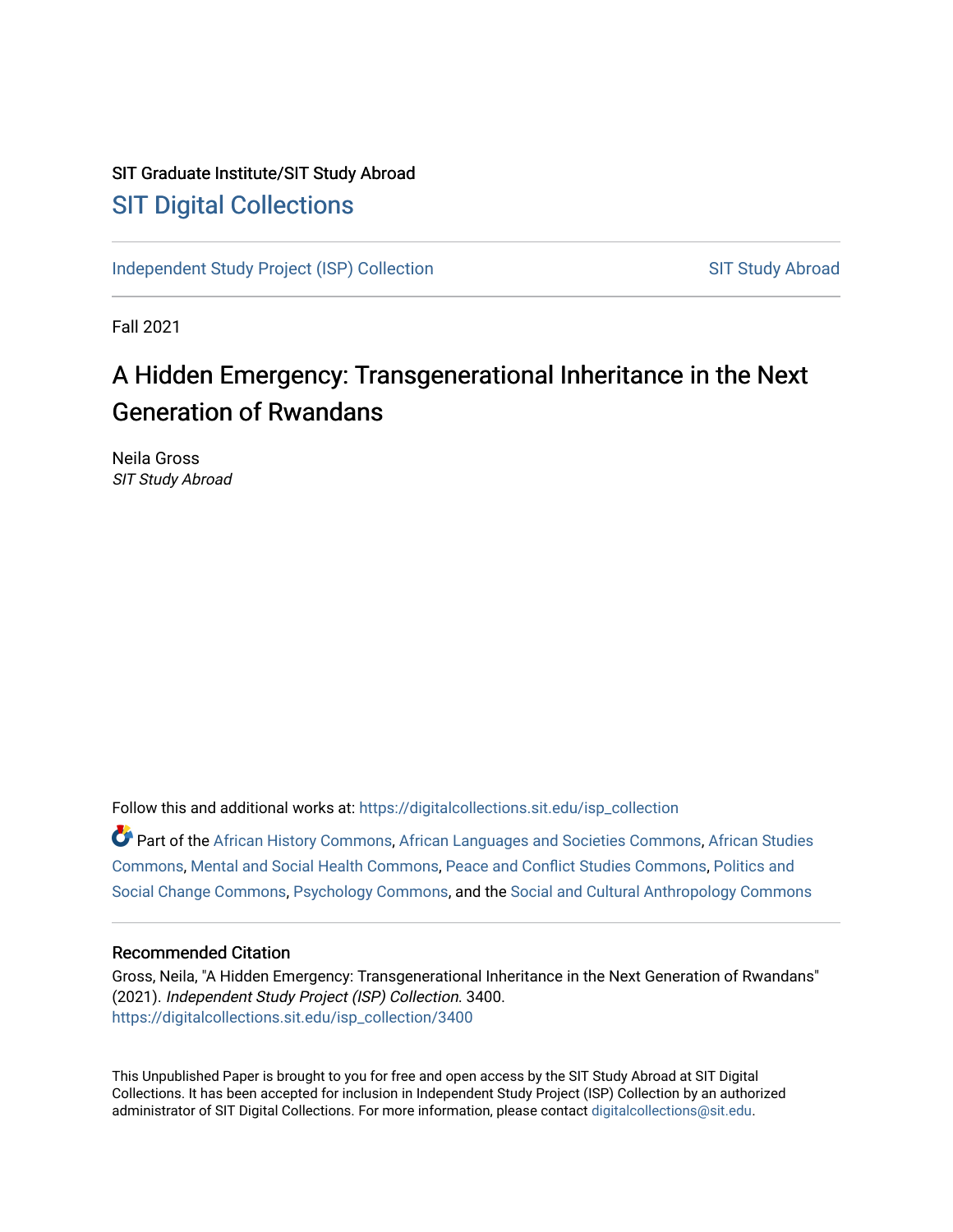### SIT Graduate Institute/SIT Study Abroad [SIT Digital Collections](https://digitalcollections.sit.edu/)

[Independent Study Project \(ISP\) Collection](https://digitalcollections.sit.edu/isp_collection) SIT Study Abroad

Fall 2021

## A Hidden Emergency: Transgenerational Inheritance in the Next Generation of Rwandans

Neila Gross SIT Study Abroad

Follow this and additional works at: [https://digitalcollections.sit.edu/isp\\_collection](https://digitalcollections.sit.edu/isp_collection?utm_source=digitalcollections.sit.edu%2Fisp_collection%2F3400&utm_medium=PDF&utm_campaign=PDFCoverPages) 

Part of the [African History Commons](http://network.bepress.com/hgg/discipline/490?utm_source=digitalcollections.sit.edu%2Fisp_collection%2F3400&utm_medium=PDF&utm_campaign=PDFCoverPages), [African Languages and Societies Commons,](http://network.bepress.com/hgg/discipline/476?utm_source=digitalcollections.sit.edu%2Fisp_collection%2F3400&utm_medium=PDF&utm_campaign=PDFCoverPages) [African Studies](http://network.bepress.com/hgg/discipline/1043?utm_source=digitalcollections.sit.edu%2Fisp_collection%2F3400&utm_medium=PDF&utm_campaign=PDFCoverPages)  [Commons](http://network.bepress.com/hgg/discipline/1043?utm_source=digitalcollections.sit.edu%2Fisp_collection%2F3400&utm_medium=PDF&utm_campaign=PDFCoverPages), [Mental and Social Health Commons](http://network.bepress.com/hgg/discipline/709?utm_source=digitalcollections.sit.edu%2Fisp_collection%2F3400&utm_medium=PDF&utm_campaign=PDFCoverPages), [Peace and Conflict Studies Commons](http://network.bepress.com/hgg/discipline/397?utm_source=digitalcollections.sit.edu%2Fisp_collection%2F3400&utm_medium=PDF&utm_campaign=PDFCoverPages), [Politics and](http://network.bepress.com/hgg/discipline/425?utm_source=digitalcollections.sit.edu%2Fisp_collection%2F3400&utm_medium=PDF&utm_campaign=PDFCoverPages)  [Social Change Commons](http://network.bepress.com/hgg/discipline/425?utm_source=digitalcollections.sit.edu%2Fisp_collection%2F3400&utm_medium=PDF&utm_campaign=PDFCoverPages), [Psychology Commons](http://network.bepress.com/hgg/discipline/404?utm_source=digitalcollections.sit.edu%2Fisp_collection%2F3400&utm_medium=PDF&utm_campaign=PDFCoverPages), and the [Social and Cultural Anthropology Commons](http://network.bepress.com/hgg/discipline/323?utm_source=digitalcollections.sit.edu%2Fisp_collection%2F3400&utm_medium=PDF&utm_campaign=PDFCoverPages) 

#### Recommended Citation

Gross, Neila, "A Hidden Emergency: Transgenerational Inheritance in the Next Generation of Rwandans" (2021). Independent Study Project (ISP) Collection. 3400. [https://digitalcollections.sit.edu/isp\\_collection/3400](https://digitalcollections.sit.edu/isp_collection/3400?utm_source=digitalcollections.sit.edu%2Fisp_collection%2F3400&utm_medium=PDF&utm_campaign=PDFCoverPages) 

This Unpublished Paper is brought to you for free and open access by the SIT Study Abroad at SIT Digital Collections. It has been accepted for inclusion in Independent Study Project (ISP) Collection by an authorized administrator of SIT Digital Collections. For more information, please contact [digitalcollections@sit.edu](mailto:digitalcollections@sit.edu).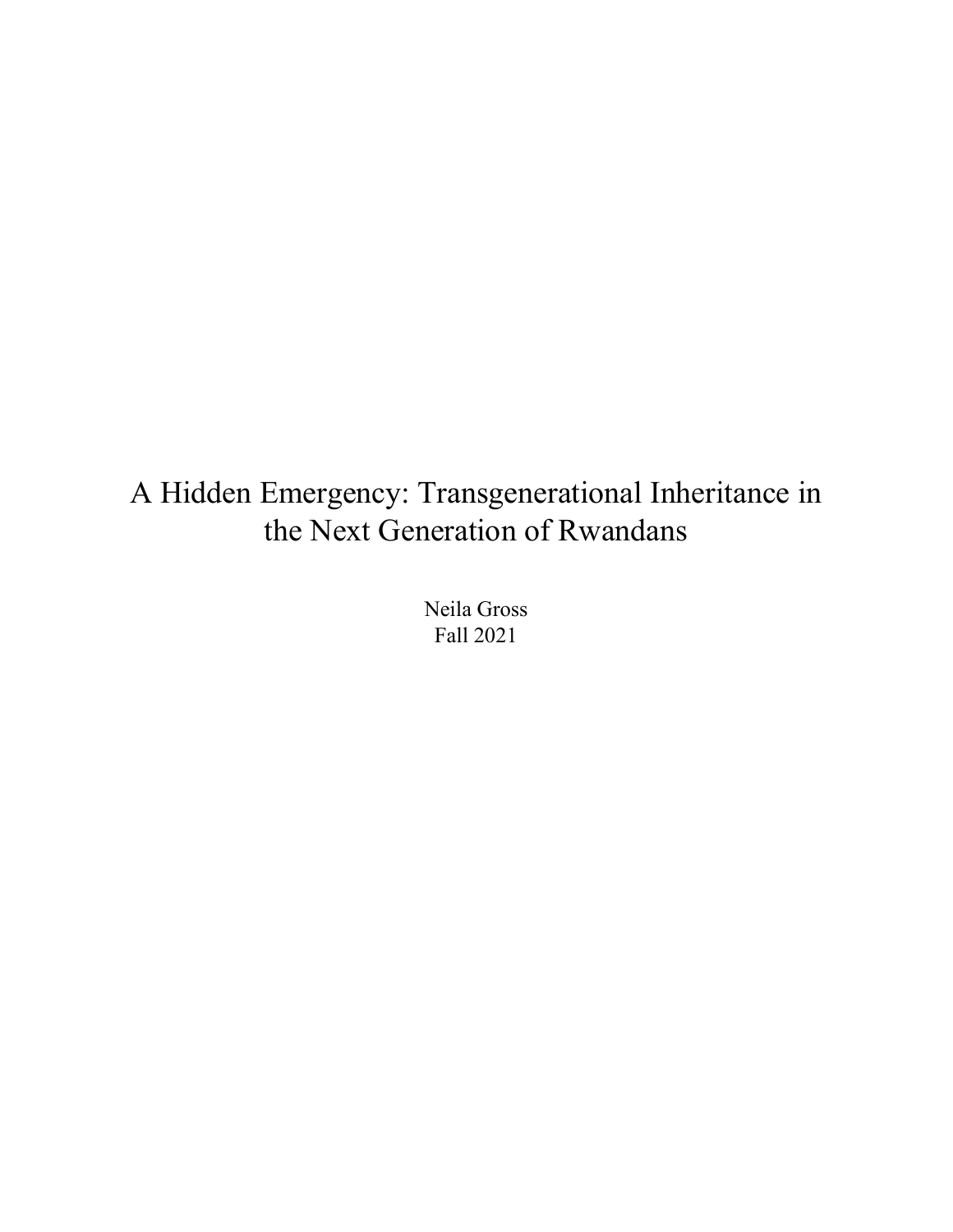## A Hidden Emergency: Transgenerational Inheritance in the Next Generation of Rwandans

Neila Gross Fall 2021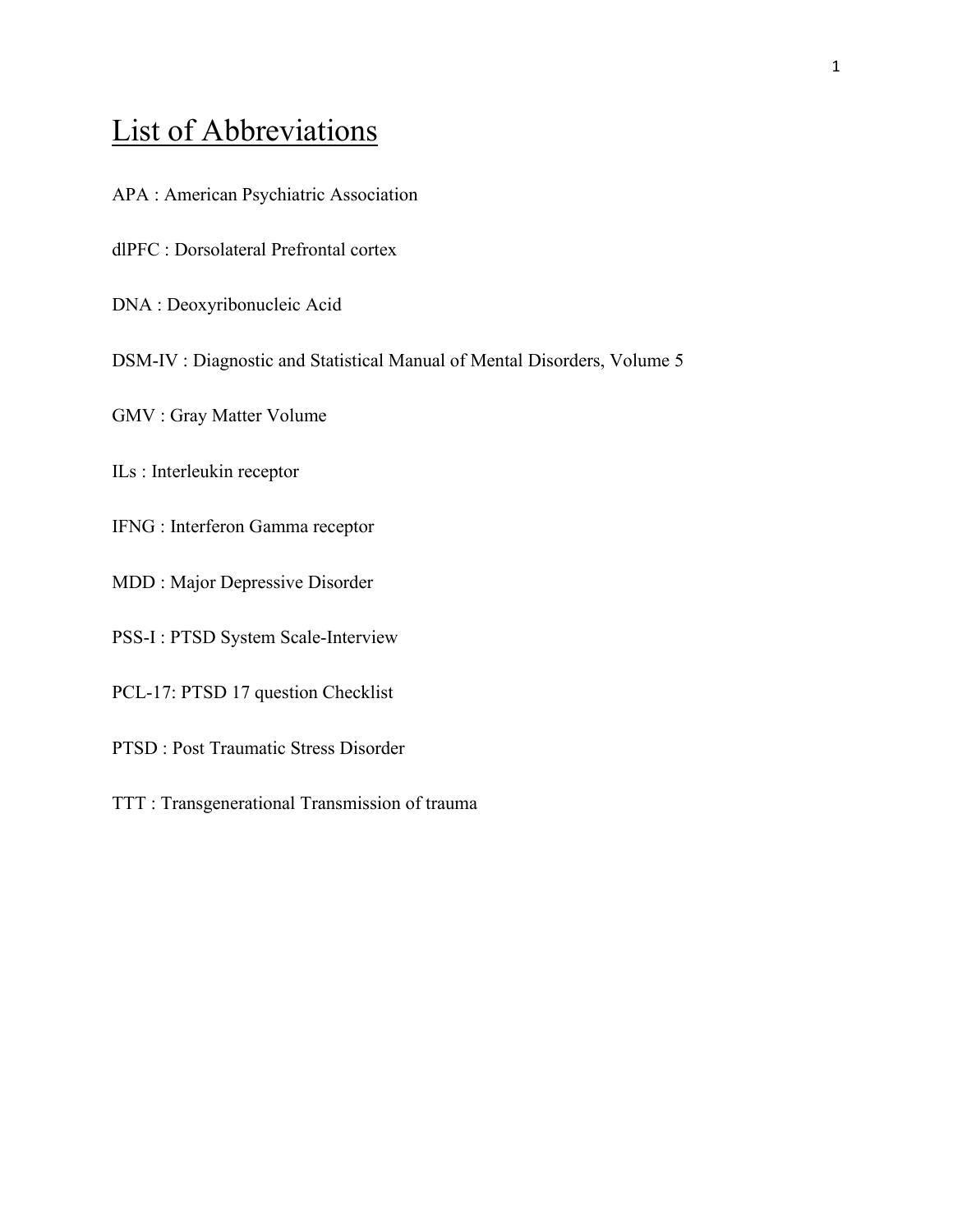## <span id="page-2-0"></span>List of Abbreviations

- APA : American Psychiatric Association
- dlPFC : Dorsolateral Prefrontal cortex
- DNA : Deoxyribonucleic Acid
- DSM-IV : Diagnostic and Statistical Manual of Mental Disorders, Volume 5
- GMV : Gray Matter Volume
- ILs : Interleukin receptor
- IFNG : Interferon Gamma receptor
- MDD : Major Depressive Disorder
- PSS-I : PTSD System Scale-Interview
- PCL-17: PTSD 17 question Checklist
- PTSD : Post Traumatic Stress Disorder
- TTT : Transgenerational Transmission of trauma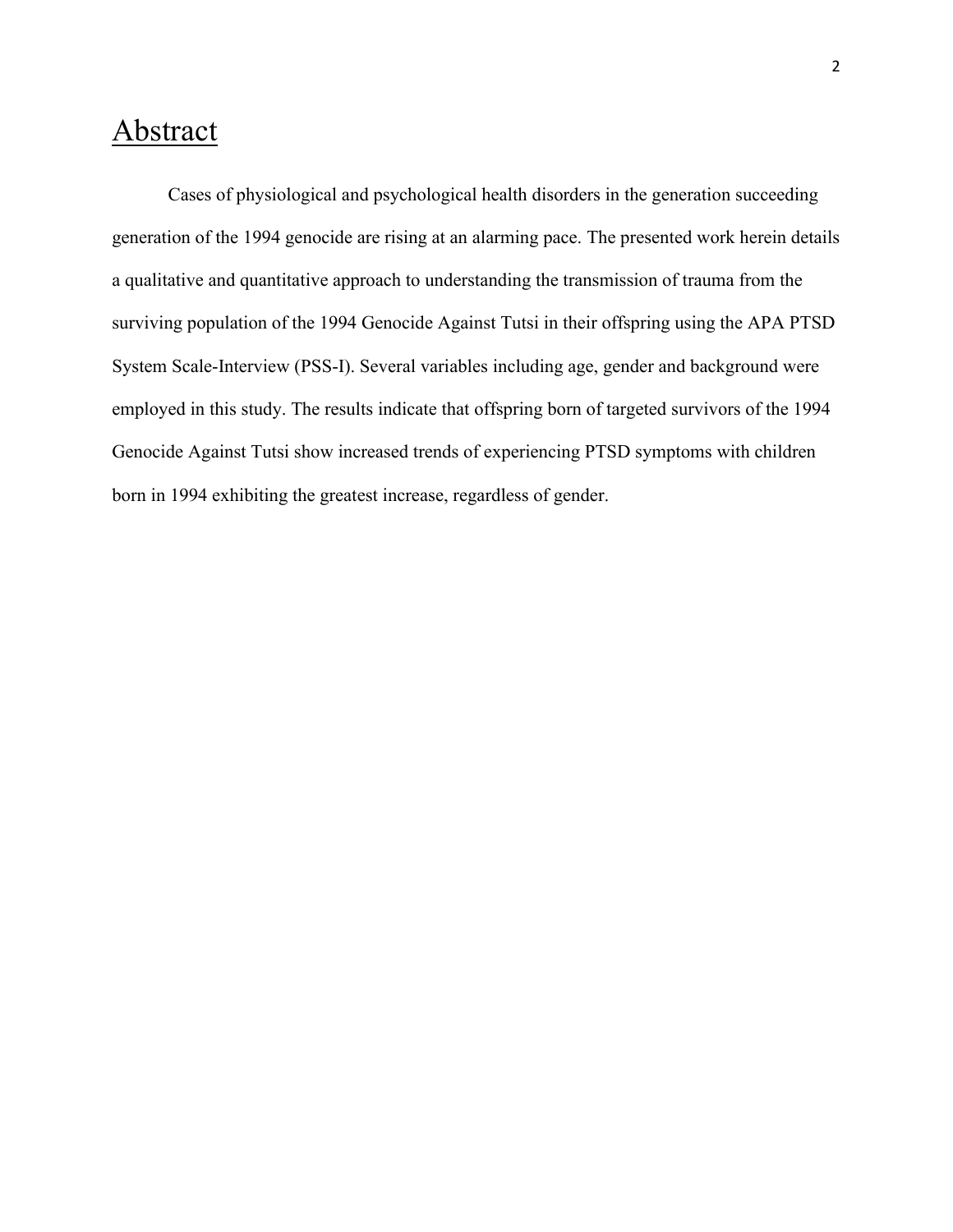## <span id="page-3-0"></span>**Abstract**

Cases of physiological and psychological health disorders in the generation succeeding generation of the 1994 genocide are rising at an alarming pace. The presented work herein details a qualitative and quantitative approach to understanding the transmission of trauma from the surviving population of the 1994 Genocide Against Tutsi in their offspring using the APA PTSD System Scale-Interview (PSS-I). Several variables including age, gender and background were employed in this study. The results indicate that offspring born of targeted survivors of the 1994 Genocide Against Tutsi show increased trends of experiencing PTSD symptoms with children born in 1994 exhibiting the greatest increase, regardless of gender.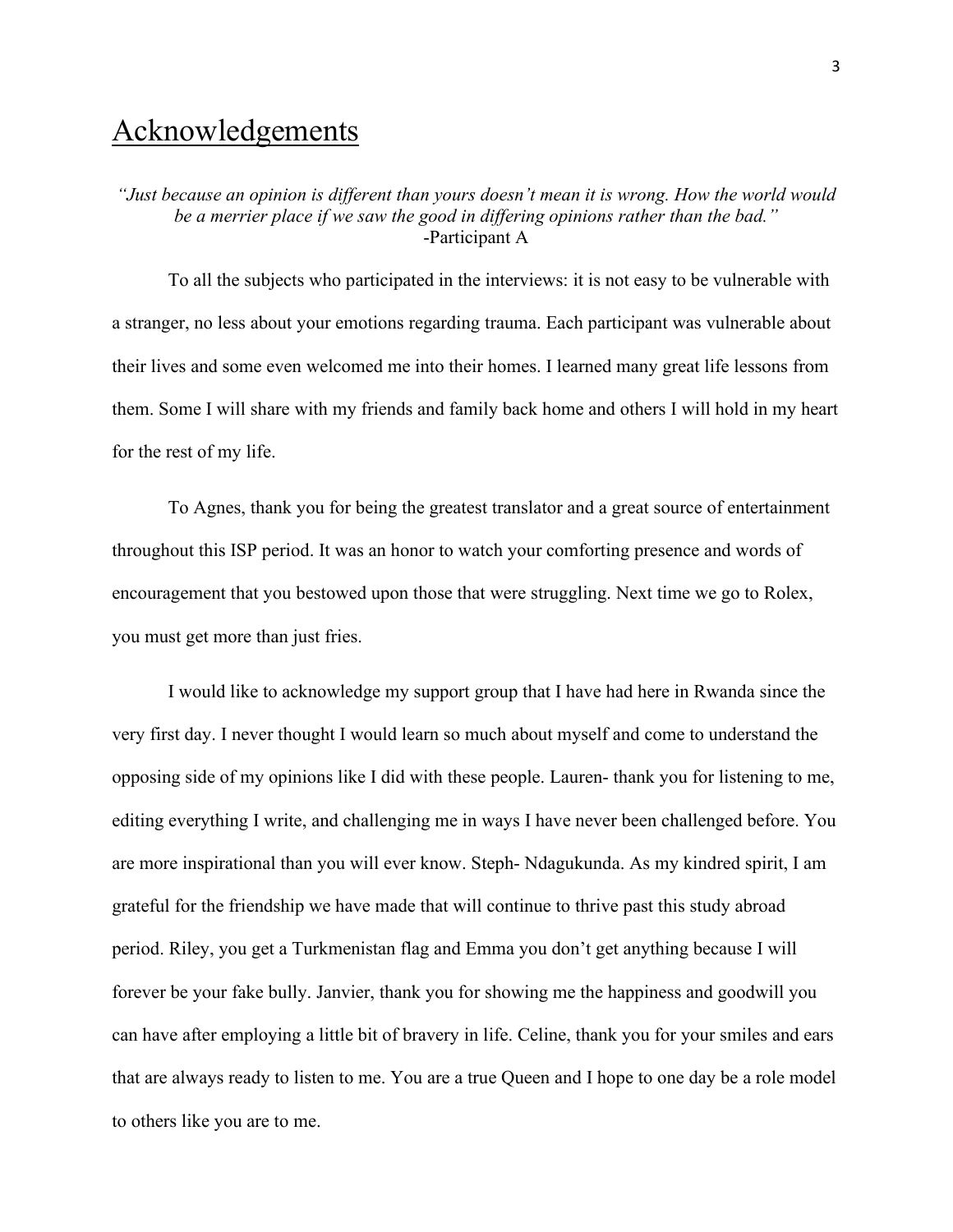## <span id="page-4-0"></span>Acknowledgements

#### *"Just because an opinion is different than yours doesn't mean it is wrong. How the world would be a merrier place if we saw the good in differing opinions rather than the bad."*  -Participant A

To all the subjects who participated in the interviews: it is not easy to be vulnerable with a stranger, no less about your emotions regarding trauma. Each participant was vulnerable about their lives and some even welcomed me into their homes. I learned many great life lessons from them. Some I will share with my friends and family back home and others I will hold in my heart for the rest of my life.

To Agnes, thank you for being the greatest translator and a great source of entertainment throughout this ISP period. It was an honor to watch your comforting presence and words of encouragement that you bestowed upon those that were struggling. Next time we go to Rolex, you must get more than just fries.

I would like to acknowledge my support group that I have had here in Rwanda since the very first day. I never thought I would learn so much about myself and come to understand the opposing side of my opinions like I did with these people. Lauren- thank you for listening to me, editing everything I write, and challenging me in ways I have never been challenged before. You are more inspirational than you will ever know. Steph- Ndagukunda. As my kindred spirit, I am grateful for the friendship we have made that will continue to thrive past this study abroad period. Riley, you get a Turkmenistan flag and Emma you don't get anything because I will forever be your fake bully. Janvier, thank you for showing me the happiness and goodwill you can have after employing a little bit of bravery in life. Celine, thank you for your smiles and ears that are always ready to listen to me. You are a true Queen and I hope to one day be a role model to others like you are to me.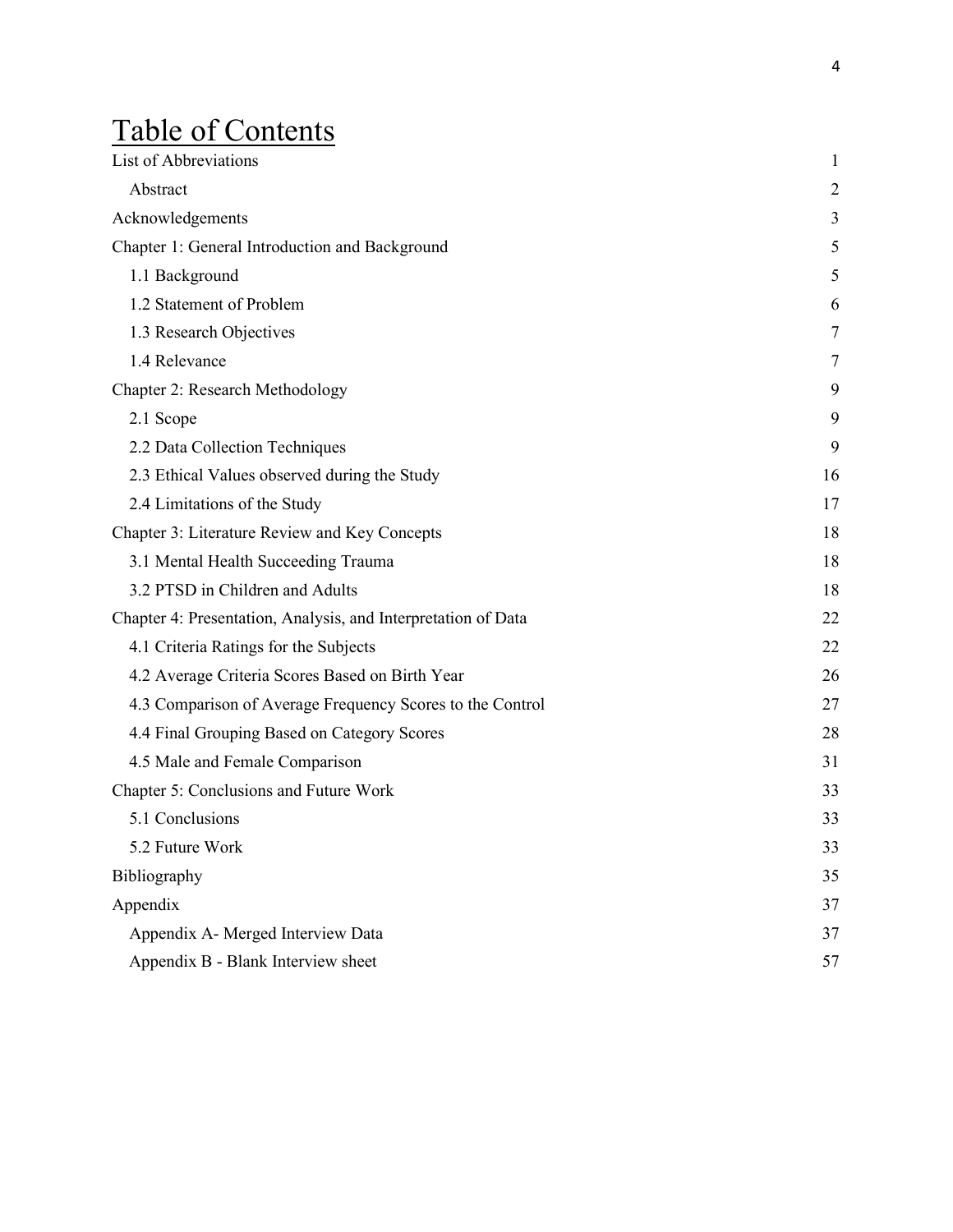## Table of Contents

| List of Abbreviations                                         | $\mathbf{1}$   |
|---------------------------------------------------------------|----------------|
| Abstract                                                      | $\overline{c}$ |
| Acknowledgements                                              | 3              |
| Chapter 1: General Introduction and Background                | 5              |
| 1.1 Background                                                | 5              |
| 1.2 Statement of Problem                                      | 6              |
| 1.3 Research Objectives                                       | 7              |
| 1.4 Relevance                                                 | 7              |
| Chapter 2: Research Methodology                               | 9              |
| 2.1 Scope                                                     | 9              |
| 2.2 Data Collection Techniques                                | 9              |
| 2.3 Ethical Values observed during the Study                  | 16             |
| 2.4 Limitations of the Study                                  | 17             |
| Chapter 3: Literature Review and Key Concepts                 | 18             |
| 3.1 Mental Health Succeeding Trauma                           | 18             |
| 3.2 PTSD in Children and Adults                               | 18             |
| Chapter 4: Presentation, Analysis, and Interpretation of Data | 22             |
| 4.1 Criteria Ratings for the Subjects                         | 22             |
| 4.2 Average Criteria Scores Based on Birth Year               | 26             |
| 4.3 Comparison of Average Frequency Scores to the Control     | 27             |
| 4.4 Final Grouping Based on Category Scores                   | 28             |
| 4.5 Male and Female Comparison                                | 31             |
| Chapter 5: Conclusions and Future Work                        | 33             |
| 5.1 Conclusions                                               | 33             |
| 5.2 Future Work                                               | 33             |
| Bibliography                                                  | 35             |
| Appendix                                                      | 37             |
| Appendix A- Merged Interview Data                             | 37             |
| Appendix B - Blank Interview sheet                            | 57             |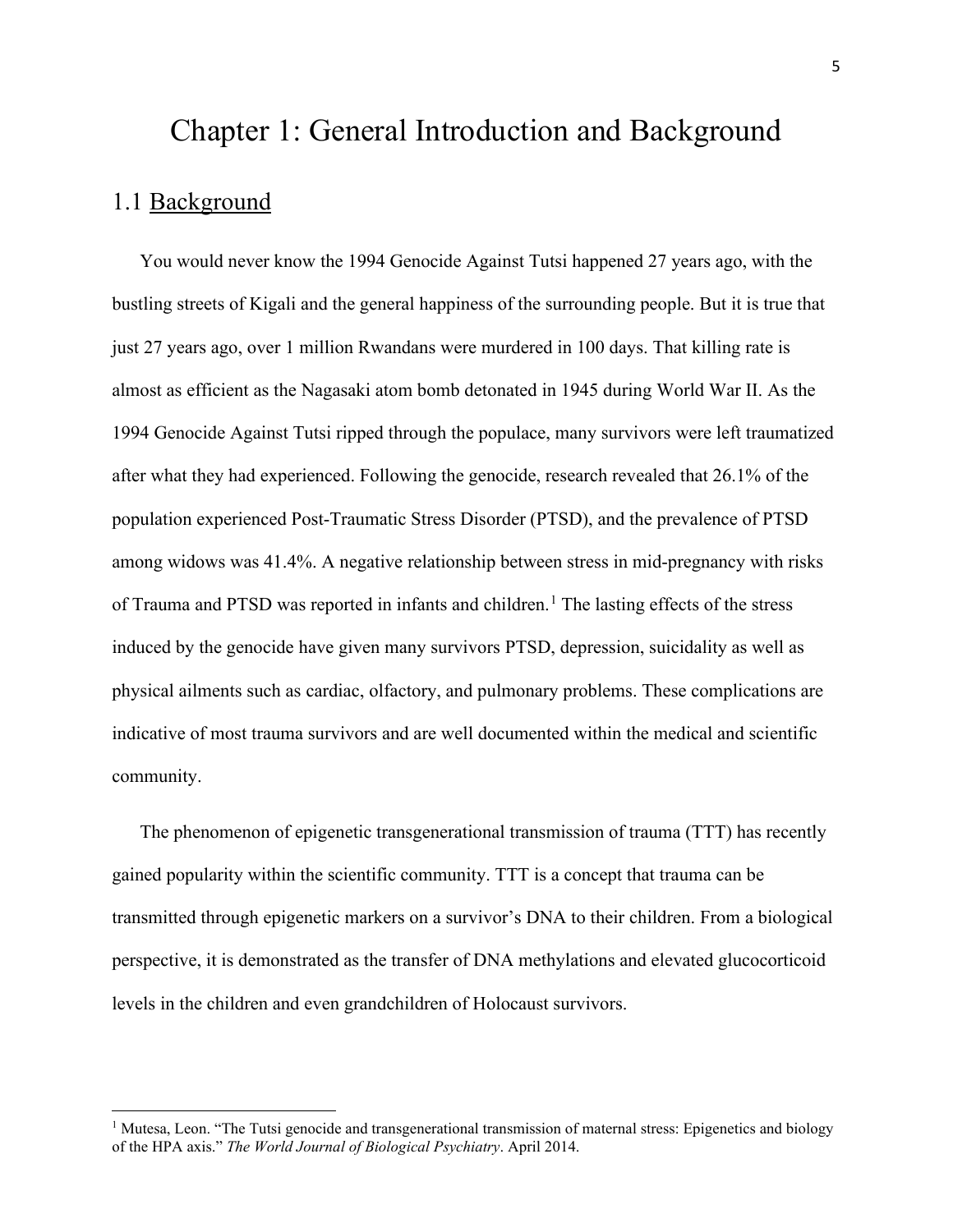# <span id="page-6-1"></span><span id="page-6-0"></span>Chapter 1: General Introduction and Background 1.1 Background

You would never know the 1994 Genocide Against Tutsi happened 27 years ago, with the bustling streets of Kigali and the general happiness of the surrounding people. But it is true that just 27 years ago, over 1 million Rwandans were murdered in 100 days. That killing rate is almost as efficient as the Nagasaki atom bomb detonated in 1945 during World War II. As the 1994 Genocide Against Tutsi ripped through the populace, many survivors were left traumatized after what they had experienced. Following the genocide, research revealed that 26.1% of the population experienced Post-Traumatic Stress Disorder (PTSD), and the prevalence of PTSD among widows was 41.4%. A negative relationship between stress in mid-pregnancy with risks of Trauma and PTSD was reported in infants and children.<sup>[1](#page-6-2)</sup> The lasting effects of the stress induced by the genocide have given many survivors PTSD, depression, suicidality as well as physical ailments such as cardiac, olfactory, and pulmonary problems. These complications are indicative of most trauma survivors and are well documented within the medical and scientific community.

The phenomenon of epigenetic transgenerational transmission of trauma (TTT) has recently gained popularity within the scientific community. TTT is a concept that trauma can be transmitted through epigenetic markers on a survivor's DNA to their children. From a biological perspective, it is demonstrated as the transfer of DNA methylations and elevated glucocorticoid levels in the children and even grandchildren of Holocaust survivors.

<span id="page-6-2"></span><sup>&</sup>lt;sup>1</sup> Mutesa, Leon. "The Tutsi genocide and transgenerational transmission of maternal stress: Epigenetics and biology of the HPA axis." *The World Journal of Biological Psychiatry*. April 2014.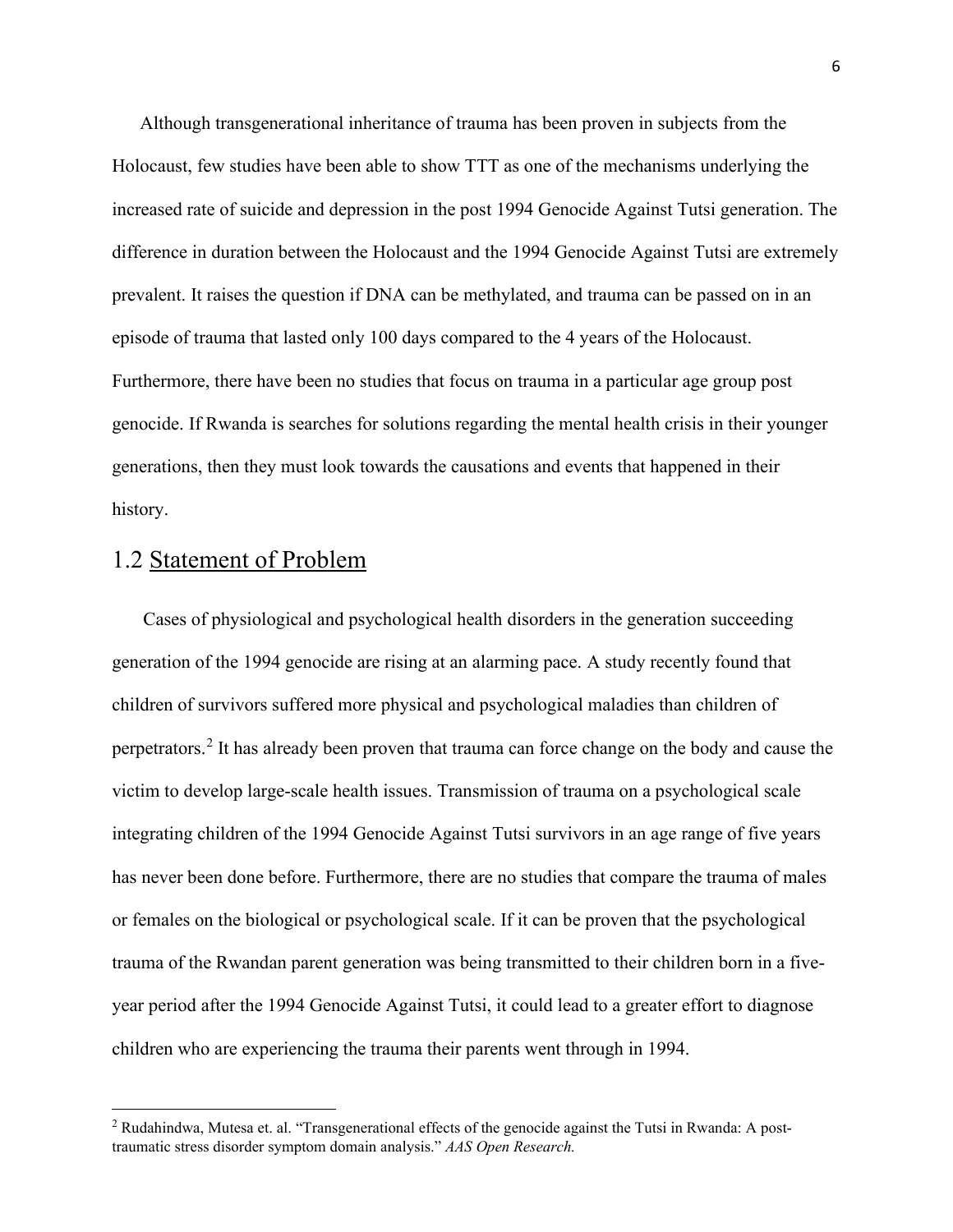Although transgenerational inheritance of trauma has been proven in subjects from the Holocaust, few studies have been able to show TTT as one of the mechanisms underlying the increased rate of suicide and depression in the post 1994 Genocide Against Tutsi generation. The difference in duration between the Holocaust and the 1994 Genocide Against Tutsi are extremely prevalent. It raises the question if DNA can be methylated, and trauma can be passed on in an episode of trauma that lasted only 100 days compared to the 4 years of the Holocaust. Furthermore, there have been no studies that focus on trauma in a particular age group post genocide. If Rwanda is searches for solutions regarding the mental health crisis in their younger generations, then they must look towards the causations and events that happened in their history.

### <span id="page-7-0"></span>1.2 Statement of Problem

Cases of physiological and psychological health disorders in the generation succeeding generation of the 1994 genocide are rising at an alarming pace. A study recently found that children of survivors suffered more physical and psychological maladies than children of perpetrators.<sup>[2](#page-7-1)</sup> It has already been proven that trauma can force change on the body and cause the victim to develop large-scale health issues. Transmission of trauma on a psychological scale integrating children of the 1994 Genocide Against Tutsi survivors in an age range of five years has never been done before. Furthermore, there are no studies that compare the trauma of males or females on the biological or psychological scale. If it can be proven that the psychological trauma of the Rwandan parent generation was being transmitted to their children born in a fiveyear period after the 1994 Genocide Against Tutsi, it could lead to a greater effort to diagnose children who are experiencing the trauma their parents went through in 1994.

<span id="page-7-1"></span><sup>&</sup>lt;sup>2</sup> Rudahindwa, Mutesa et. al. "Transgenerational effects of the genocide against the Tutsi in Rwanda: A posttraumatic stress disorder symptom domain analysis." *AAS Open Research.*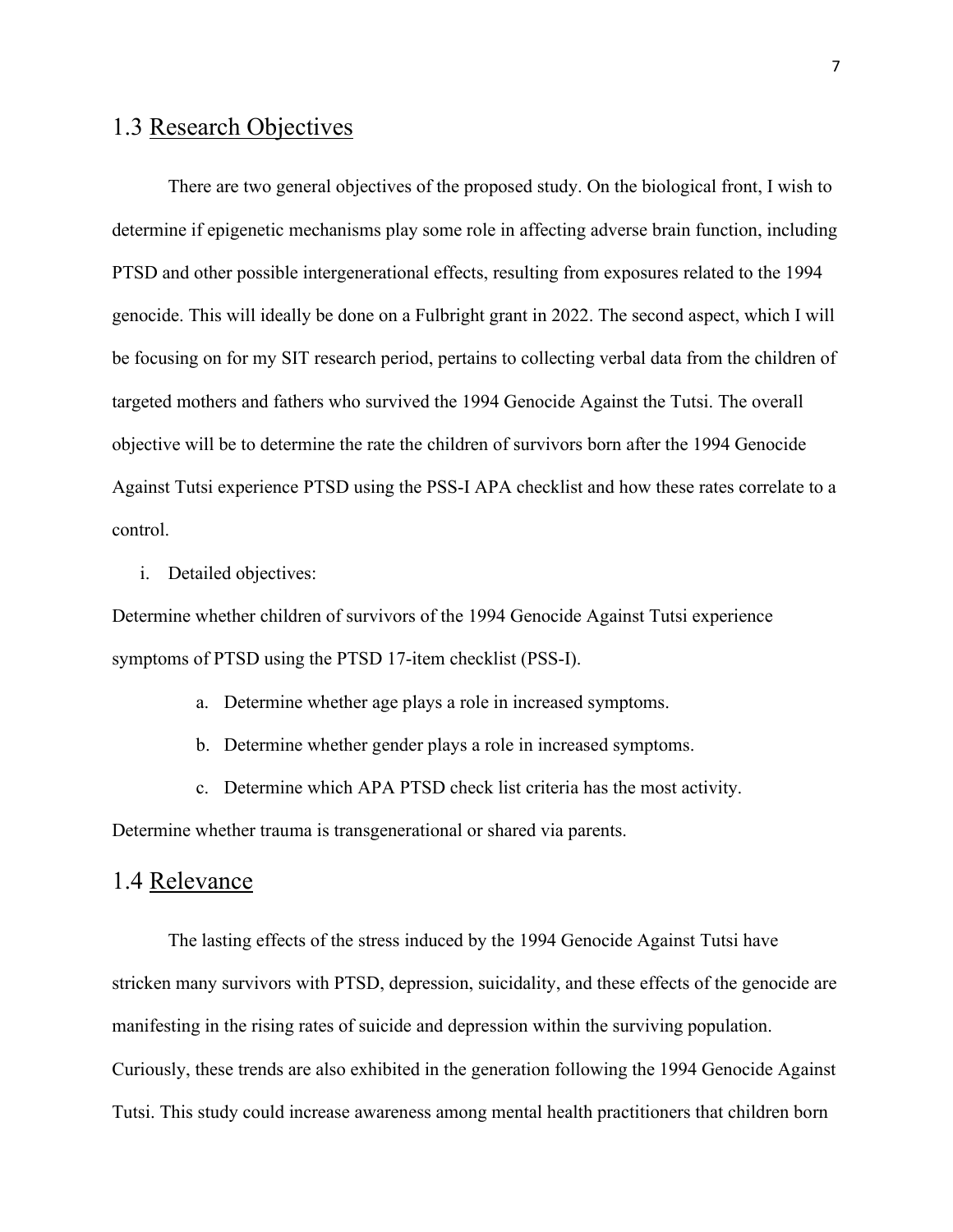### <span id="page-8-0"></span>1.3 Research Objectives

There are two general objectives of the proposed study. On the biological front, I wish to determine if epigenetic mechanisms play some role in affecting adverse brain function, including PTSD and other possible intergenerational effects, resulting from exposures related to the 1994 genocide. This will ideally be done on a Fulbright grant in 2022. The second aspect, which I will be focusing on for my SIT research period, pertains to collecting verbal data from the children of targeted mothers and fathers who survived the 1994 Genocide Against the Tutsi. The overall objective will be to determine the rate the children of survivors born after the 1994 Genocide Against Tutsi experience PTSD using the PSS-I APA checklist and how these rates correlate to a control.

#### i. Detailed objectives:

Determine whether children of survivors of the 1994 Genocide Against Tutsi experience symptoms of PTSD using the PTSD 17-item checklist (PSS-I).

- a. Determine whether age plays a role in increased symptoms.
- b. Determine whether gender plays a role in increased symptoms.
- c. Determine which APA PTSD check list criteria has the most activity.

Determine whether trauma is transgenerational or shared via parents.

### <span id="page-8-1"></span>1.4 Relevance

The lasting effects of the stress induced by the 1994 Genocide Against Tutsi have stricken many survivors with PTSD, depression, suicidality, and these effects of the genocide are manifesting in the rising rates of suicide and depression within the surviving population. Curiously, these trends are also exhibited in the generation following the 1994 Genocide Against Tutsi. This study could increase awareness among mental health practitioners that children born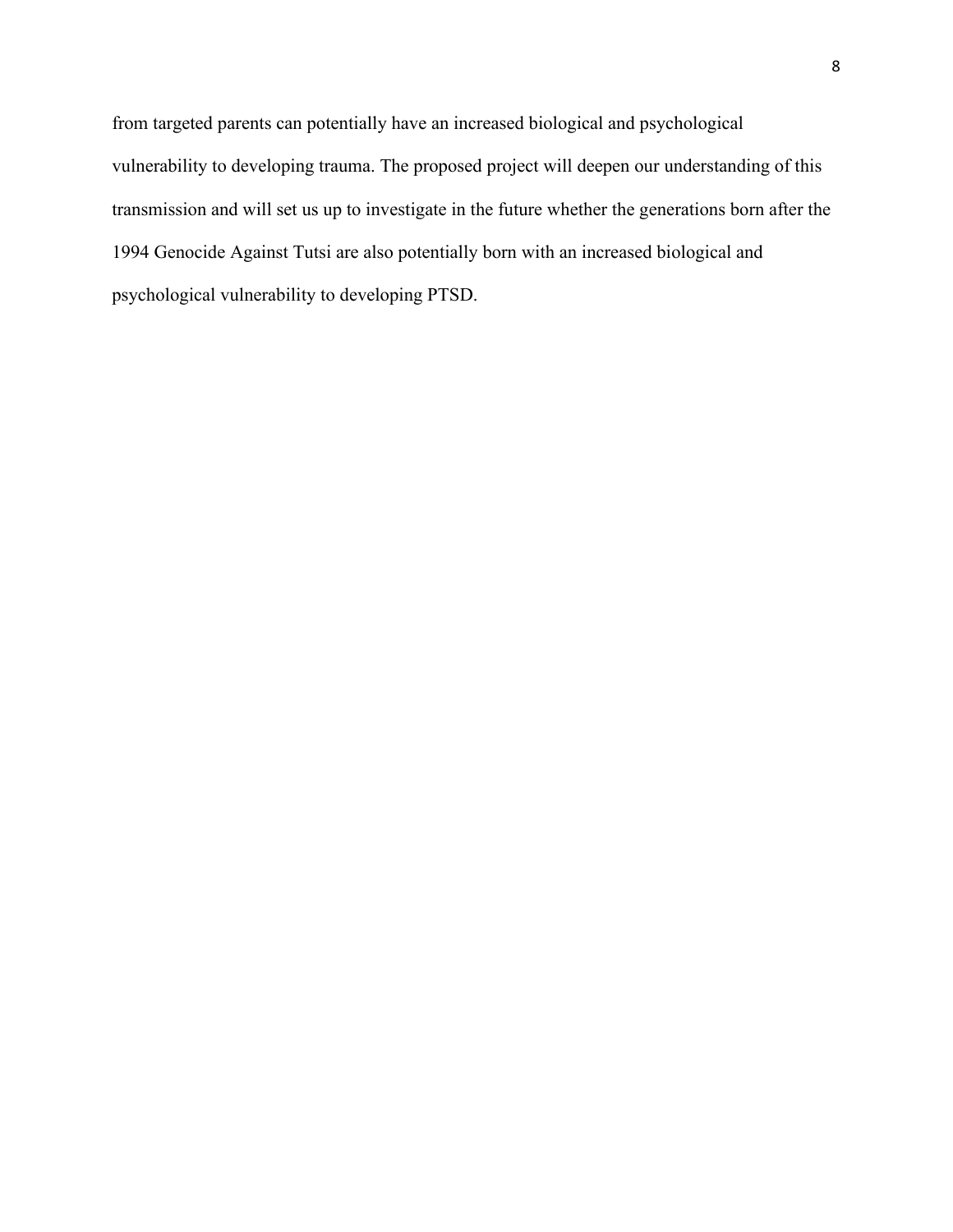from targeted parents can potentially have an increased biological and psychological vulnerability to developing trauma. The proposed project will deepen our understanding of this transmission and will set us up to investigate in the future whether the generations born after the 1994 Genocide Against Tutsi are also potentially born with an increased biological and psychological vulnerability to developing PTSD.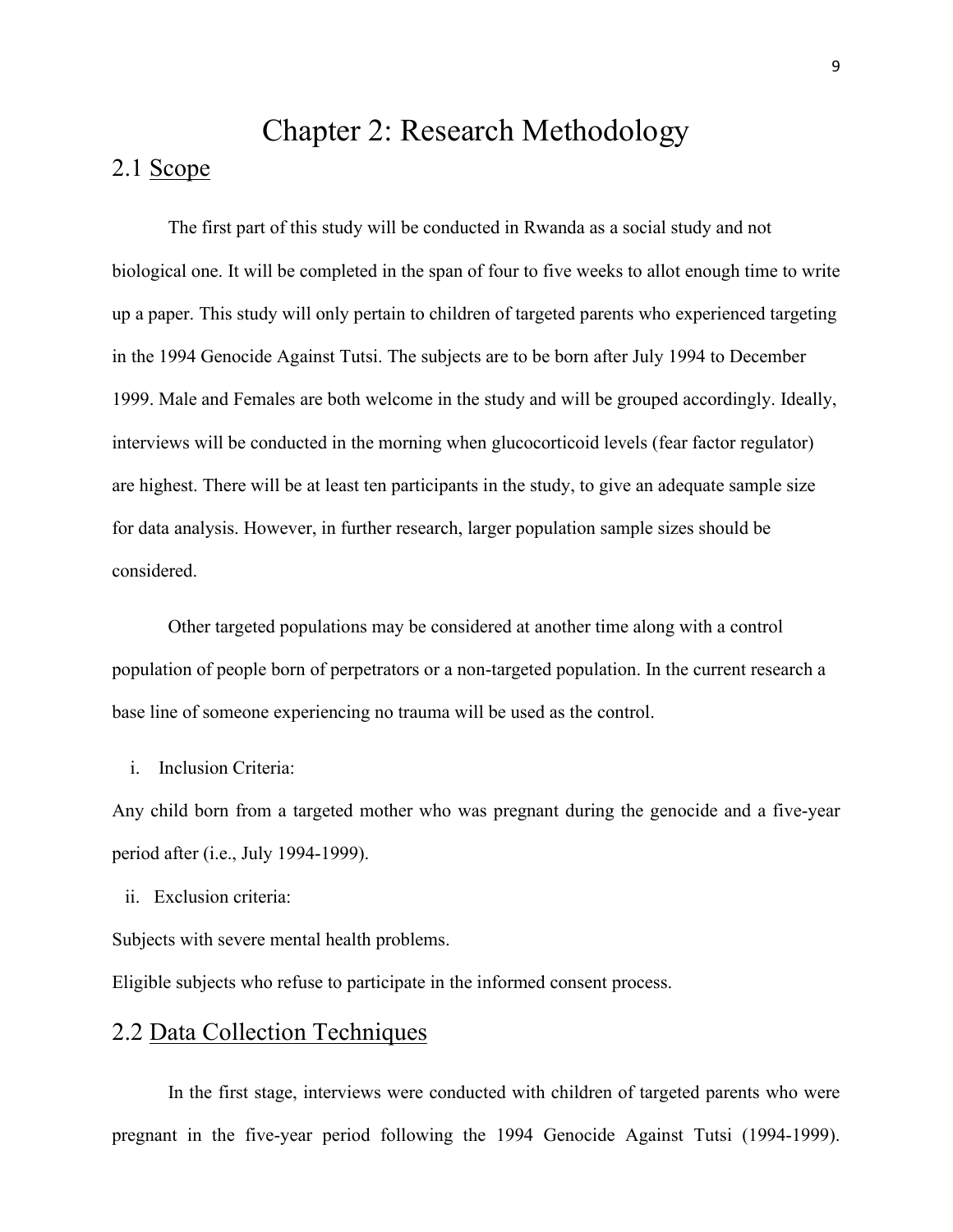## Chapter 2: Research Methodology

### <span id="page-10-1"></span><span id="page-10-0"></span>2.1 Scope

The first part of this study will be conducted in Rwanda as a social study and not biological one. It will be completed in the span of four to five weeks to allot enough time to write up a paper. This study will only pertain to children of targeted parents who experienced targeting in the 1994 Genocide Against Tutsi. The subjects are to be born after July 1994 to December 1999. Male and Females are both welcome in the study and will be grouped accordingly. Ideally, interviews will be conducted in the morning when glucocorticoid levels (fear factor regulator) are highest. There will be at least ten participants in the study, to give an adequate sample size for data analysis. However, in further research, larger population sample sizes should be considered.

Other targeted populations may be considered at another time along with a control population of people born of perpetrators or a non-targeted population. In the current research a base line of someone experiencing no trauma will be used as the control.

i. Inclusion Criteria:

Any child born from a targeted mother who was pregnant during the genocide and a five-year period after (i.e., July 1994-1999).

ii. Exclusion criteria:

Subjects with severe mental health problems.

Eligible subjects who refuse to participate in the informed consent process.

### <span id="page-10-2"></span>2.2 Data Collection Techniques

In the first stage, interviews were conducted with children of targeted parents who were pregnant in the five-year period following the 1994 Genocide Against Tutsi (1994-1999).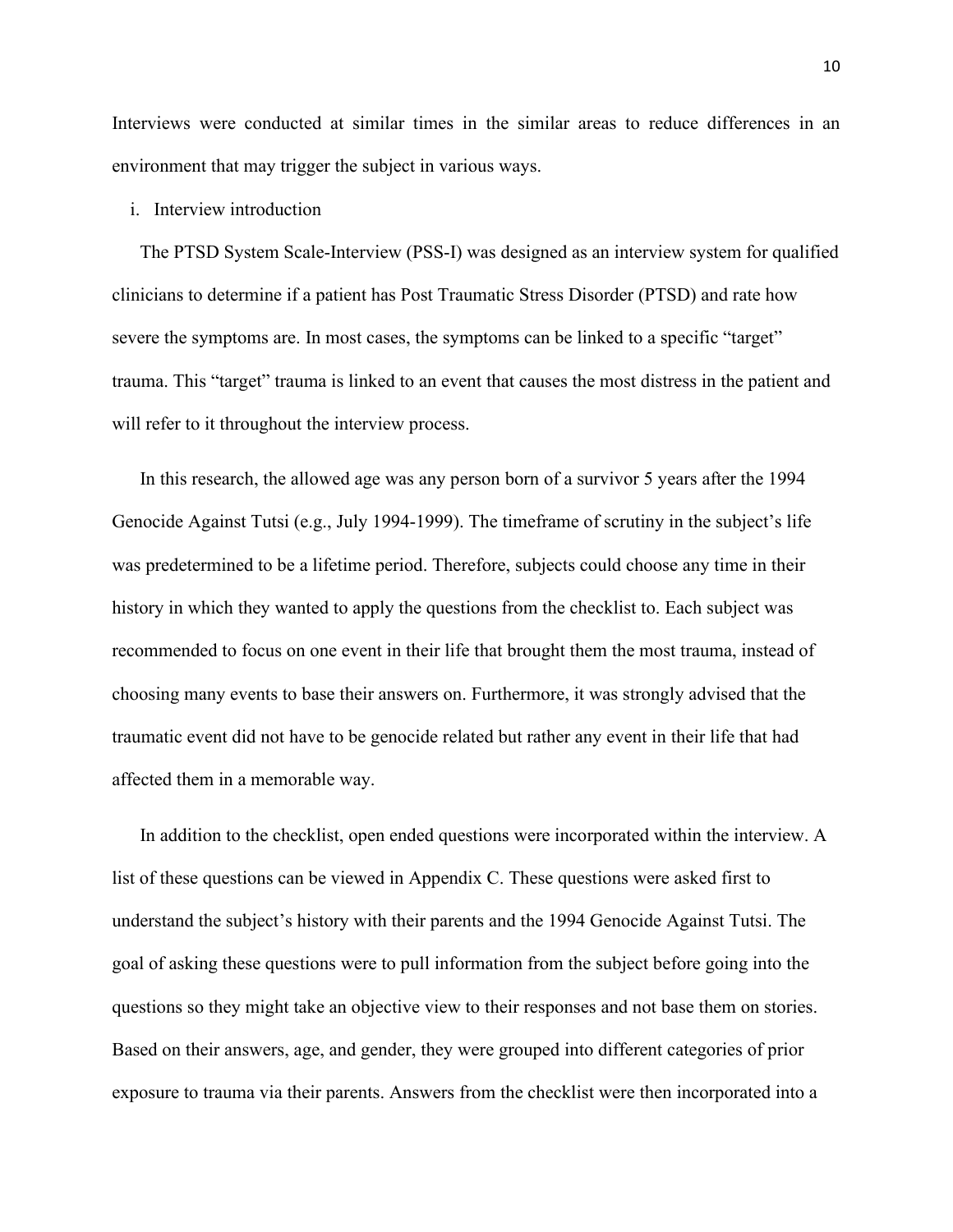Interviews were conducted at similar times in the similar areas to reduce differences in an environment that may trigger the subject in various ways.

#### i. Interview introduction

The PTSD System Scale-Interview (PSS-I) was designed as an interview system for qualified clinicians to determine if a patient has Post Traumatic Stress Disorder (PTSD) and rate how severe the symptoms are. In most cases, the symptoms can be linked to a specific "target" trauma. This "target" trauma is linked to an event that causes the most distress in the patient and will refer to it throughout the interview process.

In this research, the allowed age was any person born of a survivor 5 years after the 1994 Genocide Against Tutsi (e.g., July 1994-1999). The timeframe of scrutiny in the subject's life was predetermined to be a lifetime period. Therefore, subjects could choose any time in their history in which they wanted to apply the questions from the checklist to. Each subject was recommended to focus on one event in their life that brought them the most trauma, instead of choosing many events to base their answers on. Furthermore, it was strongly advised that the traumatic event did not have to be genocide related but rather any event in their life that had affected them in a memorable way.

In addition to the checklist, open ended questions were incorporated within the interview. A list of these questions can be viewed in Appendix C. These questions were asked first to understand the subject's history with their parents and the 1994 Genocide Against Tutsi. The goal of asking these questions were to pull information from the subject before going into the questions so they might take an objective view to their responses and not base them on stories. Based on their answers, age, and gender, they were grouped into different categories of prior exposure to trauma via their parents. Answers from the checklist were then incorporated into a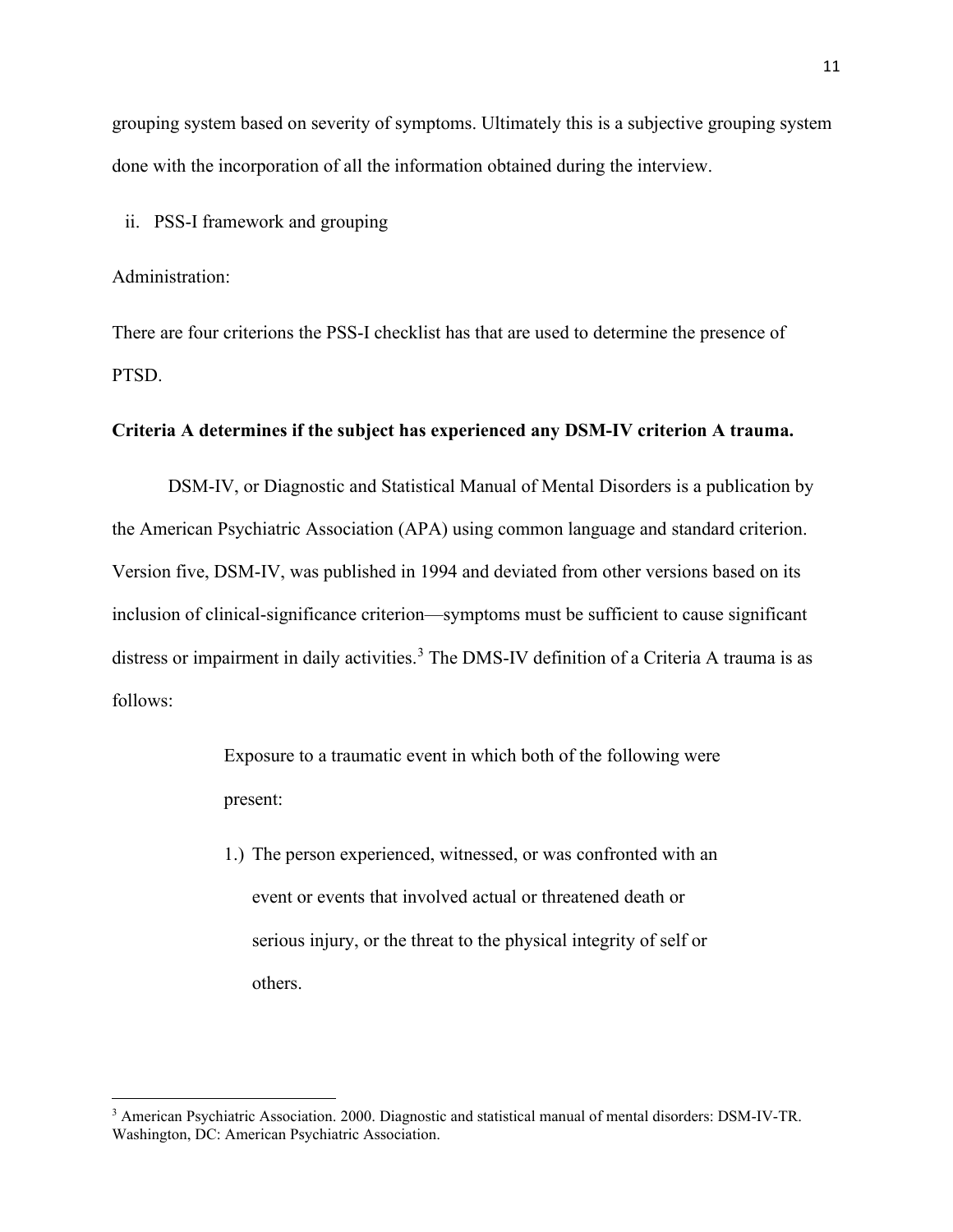grouping system based on severity of symptoms. Ultimately this is a subjective grouping system done with the incorporation of all the information obtained during the interview.

ii. PSS-I framework and grouping

Administration:

There are four criterions the PSS-I checklist has that are used to determine the presence of PTSD.

#### **Criteria A determines if the subject has experienced any DSM-IV criterion A trauma.**

DSM-IV, or Diagnostic and Statistical Manual of Mental Disorders is a publication by the American Psychiatric Association (APA) using common language and standard criterion. Version five, DSM-IV, was published in 1994 and deviated from other versions based on its inclusion of clinical-significance criterion—symptoms must be sufficient to cause significant distress or impairment in daily activities.<sup>[3](#page-12-0)</sup> The DMS-IV definition of a Criteria A trauma is as follows:

> Exposure to a traumatic event in which both of the following were present:

> 1.) The person experienced, witnessed, or was confronted with an event or events that involved actual or threatened death or serious injury, or the threat to the physical integrity of self or others.

<span id="page-12-0"></span><sup>3</sup> American Psychiatric Association. 2000. Diagnostic and statistical manual of mental disorders: DSM-IV-TR. Washington, DC: American Psychiatric Association.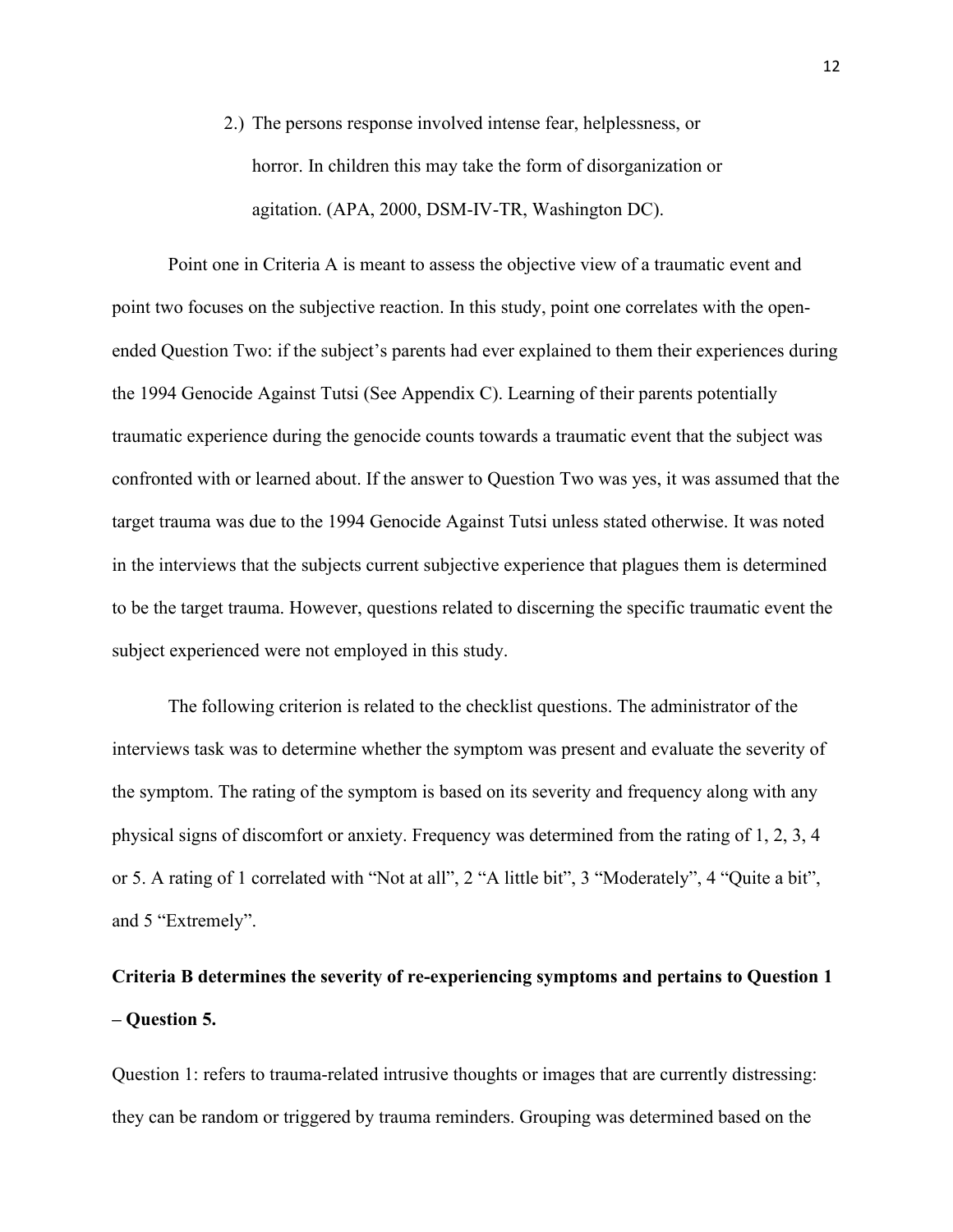2.) The persons response involved intense fear, helplessness, or horror. In children this may take the form of disorganization or agitation. (APA, 2000, DSM-IV-TR, Washington DC).

Point one in Criteria A is meant to assess the objective view of a traumatic event and point two focuses on the subjective reaction. In this study, point one correlates with the openended Question Two: if the subject's parents had ever explained to them their experiences during the 1994 Genocide Against Tutsi (See Appendix C). Learning of their parents potentially traumatic experience during the genocide counts towards a traumatic event that the subject was confronted with or learned about. If the answer to Question Two was yes, it was assumed that the target trauma was due to the 1994 Genocide Against Tutsi unless stated otherwise. It was noted in the interviews that the subjects current subjective experience that plagues them is determined to be the target trauma. However, questions related to discerning the specific traumatic event the subject experienced were not employed in this study.

The following criterion is related to the checklist questions. The administrator of the interviews task was to determine whether the symptom was present and evaluate the severity of the symptom. The rating of the symptom is based on its severity and frequency along with any physical signs of discomfort or anxiety. Frequency was determined from the rating of 1, 2, 3, 4 or 5. A rating of 1 correlated with "Not at all", 2 "A little bit", 3 "Moderately", 4 "Quite a bit", and 5 "Extremely".

## **Criteria B determines the severity of re-experiencing symptoms and pertains to Question 1 – Question 5.**

Question 1: refers to trauma-related intrusive thoughts or images that are currently distressing: they can be random or triggered by trauma reminders. Grouping was determined based on the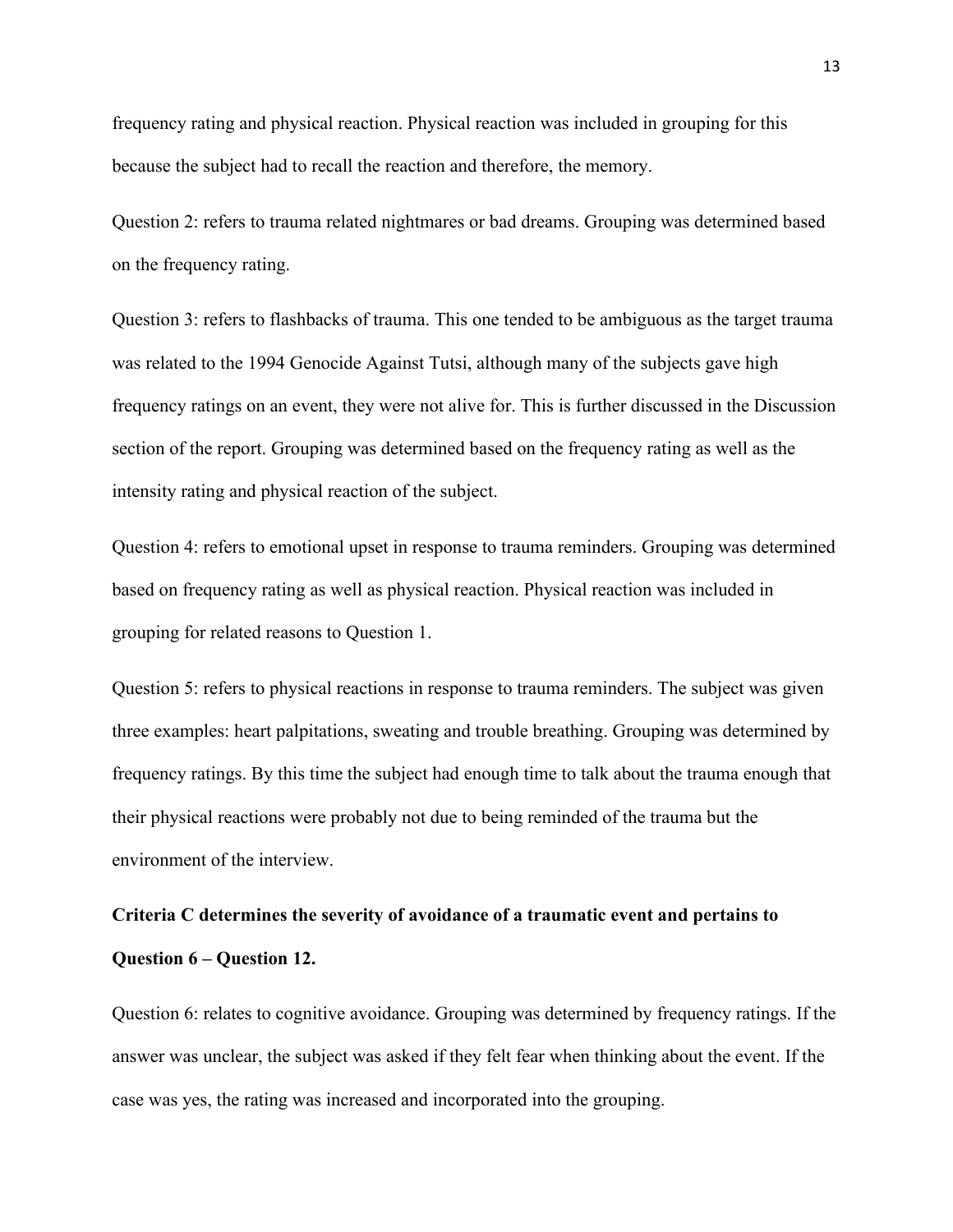frequency rating and physical reaction. Physical reaction was included in grouping for this because the subject had to recall the reaction and therefore, the memory.

Question 2: refers to trauma related nightmares or bad dreams. Grouping was determined based on the frequency rating.

Question 3: refers to flashbacks of trauma. This one tended to be ambiguous as the target trauma was related to the 1994 Genocide Against Tutsi, although many of the subjects gave high frequency ratings on an event, they were not alive for. This is further discussed in the Discussion section of the report. Grouping was determined based on the frequency rating as well as the intensity rating and physical reaction of the subject.

Question 4: refers to emotional upset in response to trauma reminders. Grouping was determined based on frequency rating as well as physical reaction. Physical reaction was included in grouping for related reasons to Question 1.

Question 5: refers to physical reactions in response to trauma reminders. The subject was given three examples: heart palpitations, sweating and trouble breathing. Grouping was determined by frequency ratings. By this time the subject had enough time to talk about the trauma enough that their physical reactions were probably not due to being reminded of the trauma but the environment of the interview.

## **Criteria C determines the severity of avoidance of a traumatic event and pertains to Question 6 – Question 12.**

Question 6: relates to cognitive avoidance. Grouping was determined by frequency ratings. If the answer was unclear, the subject was asked if they felt fear when thinking about the event. If the case was yes, the rating was increased and incorporated into the grouping.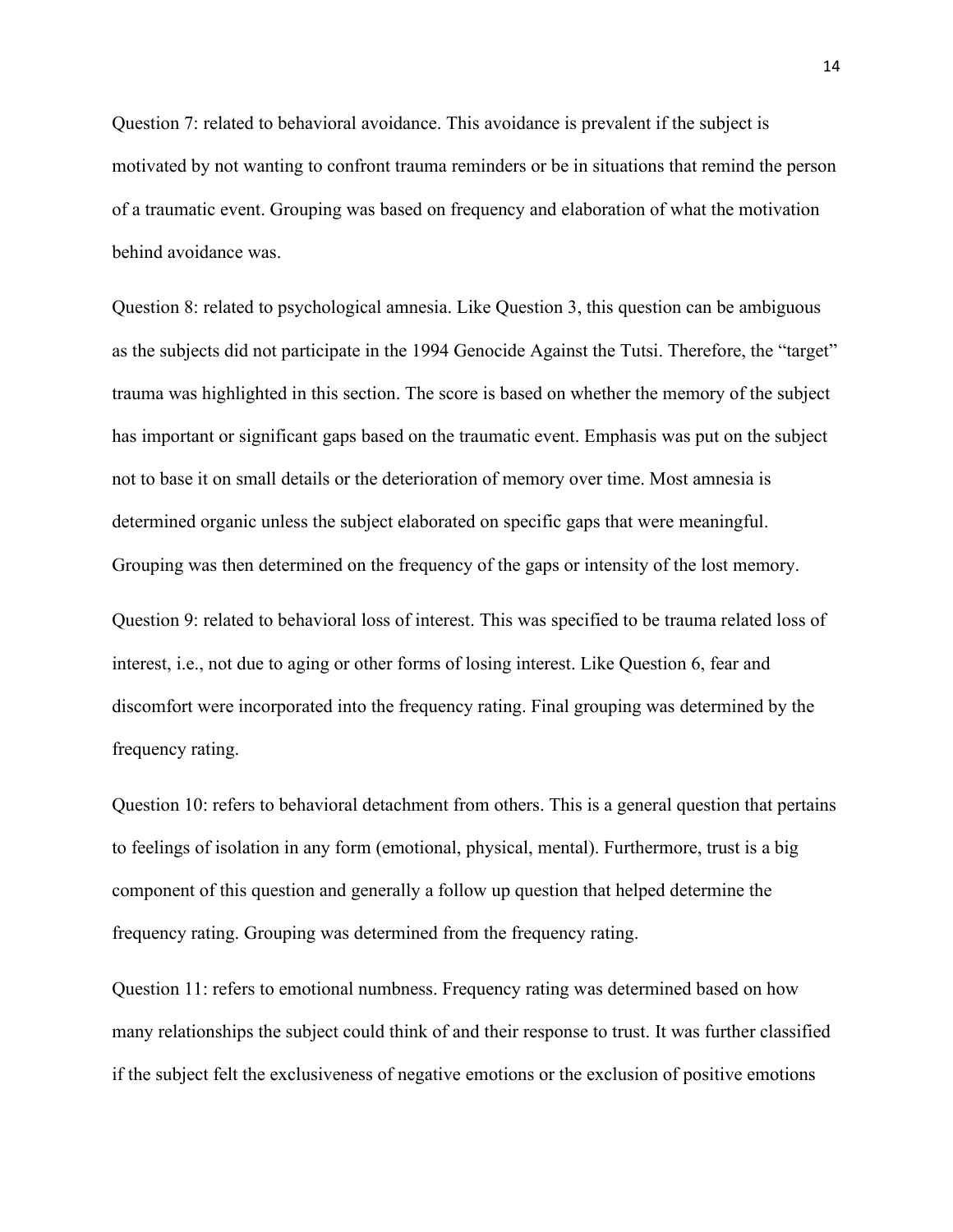Question 7: related to behavioral avoidance. This avoidance is prevalent if the subject is motivated by not wanting to confront trauma reminders or be in situations that remind the person of a traumatic event. Grouping was based on frequency and elaboration of what the motivation behind avoidance was.

Question 8: related to psychological amnesia. Like Question 3, this question can be ambiguous as the subjects did not participate in the 1994 Genocide Against the Tutsi. Therefore, the "target" trauma was highlighted in this section. The score is based on whether the memory of the subject has important or significant gaps based on the traumatic event. Emphasis was put on the subject not to base it on small details or the deterioration of memory over time. Most amnesia is determined organic unless the subject elaborated on specific gaps that were meaningful. Grouping was then determined on the frequency of the gaps or intensity of the lost memory.

Question 9: related to behavioral loss of interest. This was specified to be trauma related loss of interest, i.e., not due to aging or other forms of losing interest. Like Question 6, fear and discomfort were incorporated into the frequency rating. Final grouping was determined by the frequency rating.

Question 10: refers to behavioral detachment from others. This is a general question that pertains to feelings of isolation in any form (emotional, physical, mental). Furthermore, trust is a big component of this question and generally a follow up question that helped determine the frequency rating. Grouping was determined from the frequency rating.

Question 11: refers to emotional numbness. Frequency rating was determined based on how many relationships the subject could think of and their response to trust. It was further classified if the subject felt the exclusiveness of negative emotions or the exclusion of positive emotions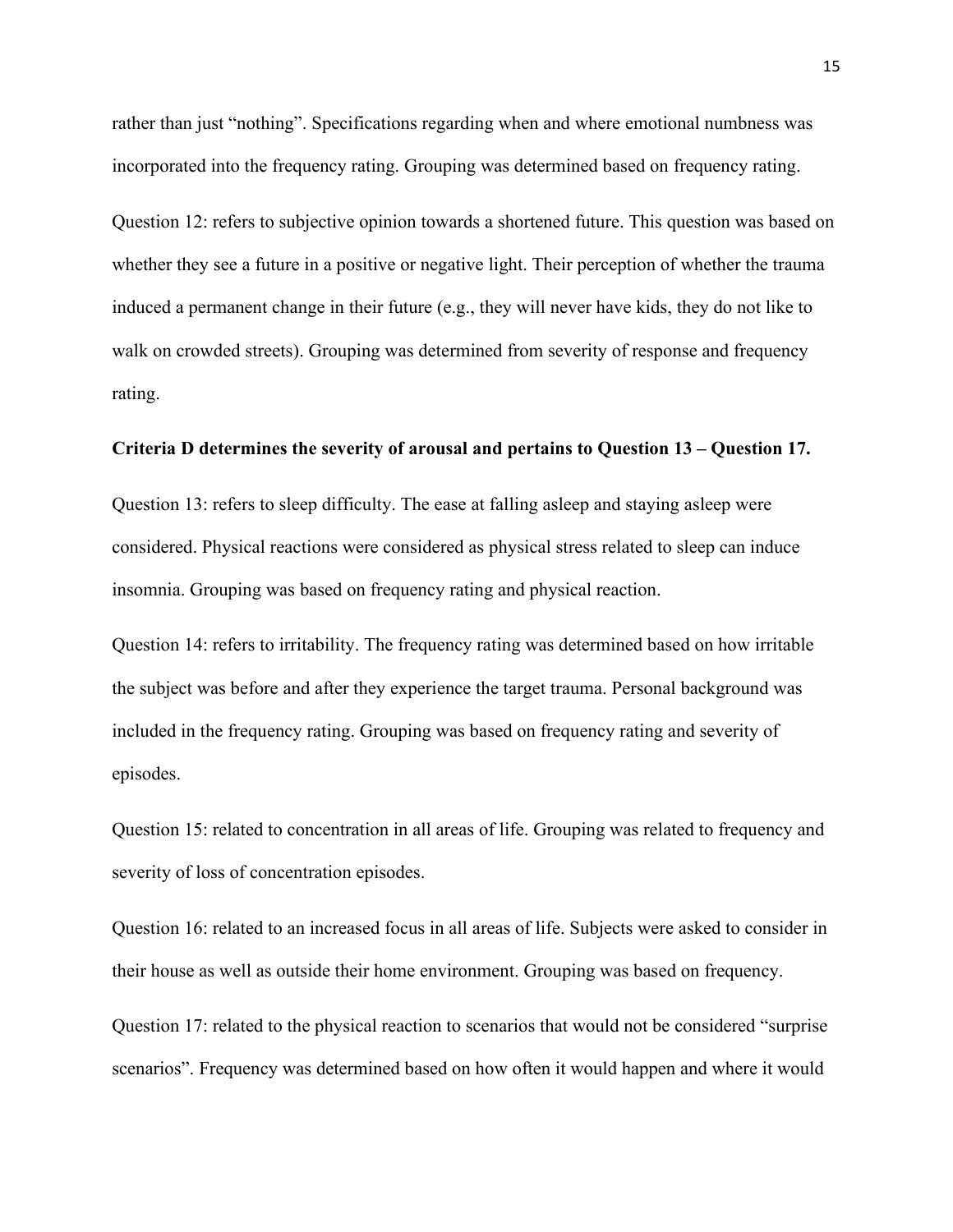rather than just "nothing". Specifications regarding when and where emotional numbness was incorporated into the frequency rating. Grouping was determined based on frequency rating.

Question 12: refers to subjective opinion towards a shortened future. This question was based on whether they see a future in a positive or negative light. Their perception of whether the trauma induced a permanent change in their future (e.g., they will never have kids, they do not like to walk on crowded streets). Grouping was determined from severity of response and frequency rating.

#### **Criteria D determines the severity of arousal and pertains to Question 13 – Question 17.**

Question 13: refers to sleep difficulty. The ease at falling asleep and staying asleep were considered. Physical reactions were considered as physical stress related to sleep can induce insomnia. Grouping was based on frequency rating and physical reaction.

Question 14: refers to irritability. The frequency rating was determined based on how irritable the subject was before and after they experience the target trauma. Personal background was included in the frequency rating. Grouping was based on frequency rating and severity of episodes.

Question 15: related to concentration in all areas of life. Grouping was related to frequency and severity of loss of concentration episodes.

Question 16: related to an increased focus in all areas of life. Subjects were asked to consider in their house as well as outside their home environment. Grouping was based on frequency.

Question 17: related to the physical reaction to scenarios that would not be considered "surprise scenarios". Frequency was determined based on how often it would happen and where it would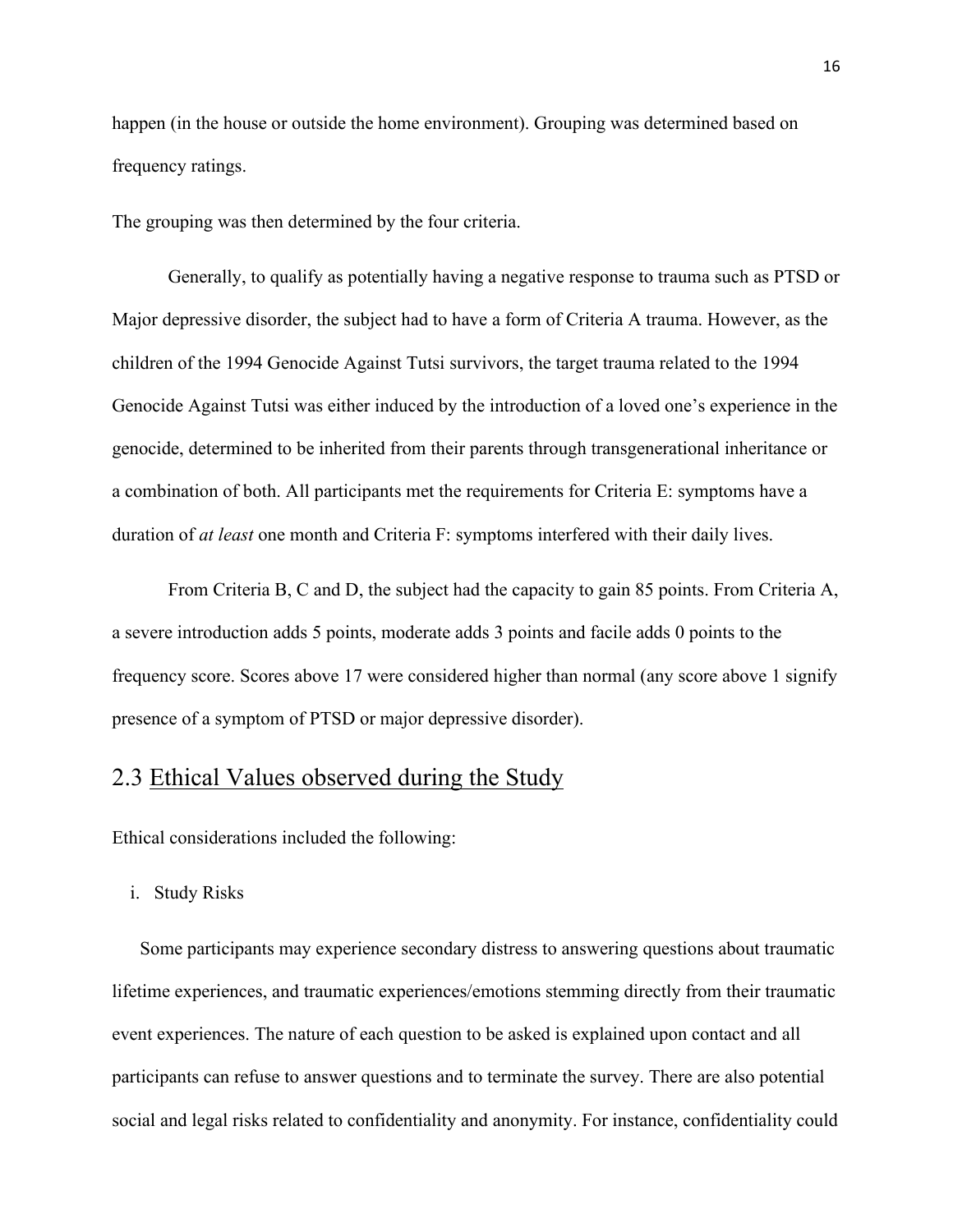happen (in the house or outside the home environment). Grouping was determined based on frequency ratings.

The grouping was then determined by the four criteria.

Generally, to qualify as potentially having a negative response to trauma such as PTSD or Major depressive disorder, the subject had to have a form of Criteria A trauma. However, as the children of the 1994 Genocide Against Tutsi survivors, the target trauma related to the 1994 Genocide Against Tutsi was either induced by the introduction of a loved one's experience in the genocide, determined to be inherited from their parents through transgenerational inheritance or a combination of both. All participants met the requirements for Criteria E: symptoms have a duration of *at least* one month and Criteria F: symptoms interfered with their daily lives.

From Criteria B, C and D, the subject had the capacity to gain 85 points. From Criteria A, a severe introduction adds 5 points, moderate adds 3 points and facile adds 0 points to the frequency score. Scores above 17 were considered higher than normal (any score above 1 signify presence of a symptom of PTSD or major depressive disorder).

### <span id="page-17-0"></span>2.3 Ethical Values observed during the Study

Ethical considerations included the following:

i. Study Risks

Some participants may experience secondary distress to answering questions about traumatic lifetime experiences, and traumatic experiences/emotions stemming directly from their traumatic event experiences. The nature of each question to be asked is explained upon contact and all participants can refuse to answer questions and to terminate the survey. There are also potential social and legal risks related to confidentiality and anonymity. For instance, confidentiality could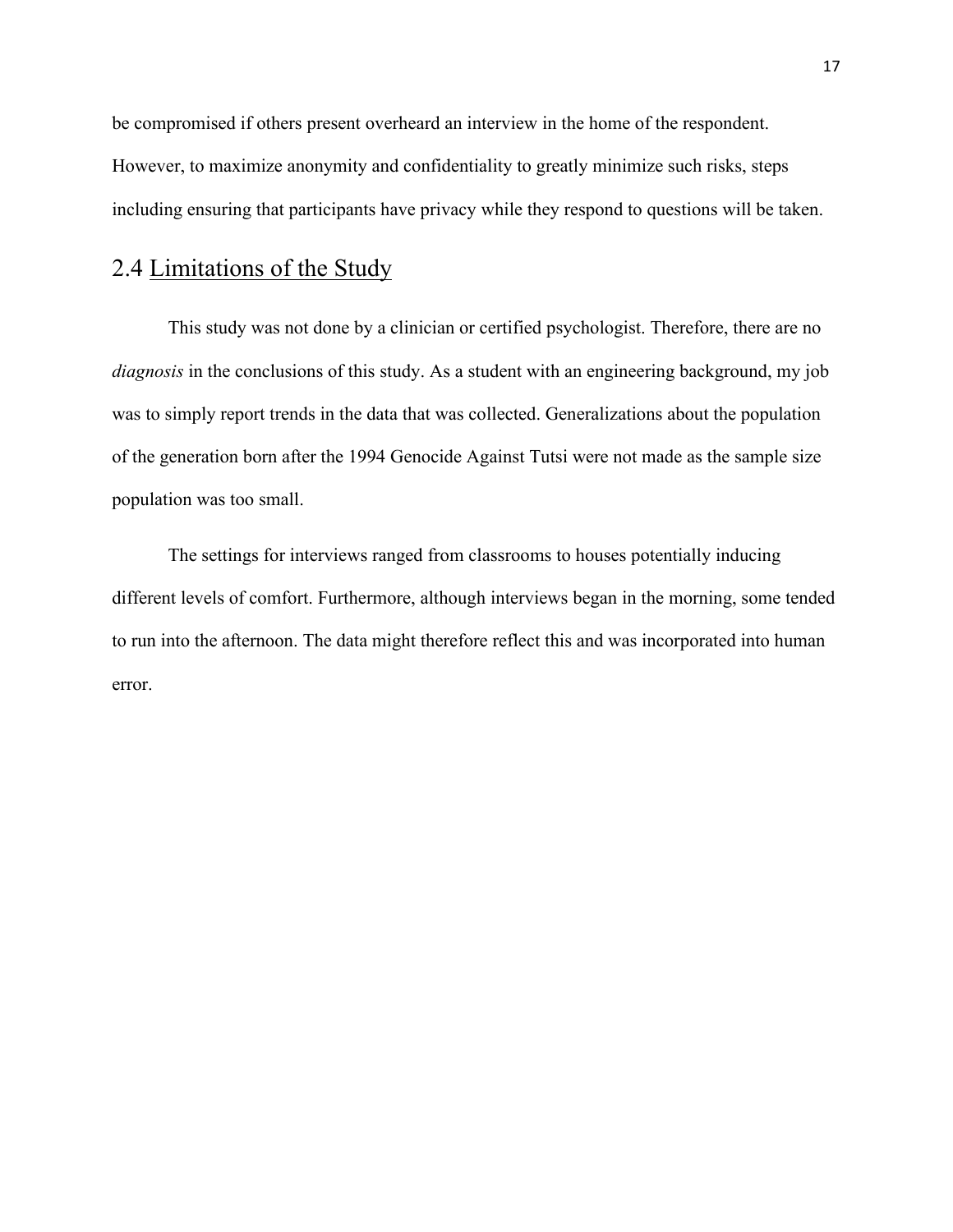be compromised if others present overheard an interview in the home of the respondent. However, to maximize anonymity and confidentiality to greatly minimize such risks, steps including ensuring that participants have privacy while they respond to questions will be taken.

### <span id="page-18-0"></span>2.4 Limitations of the Study

This study was not done by a clinician or certified psychologist. Therefore, there are no *diagnosis* in the conclusions of this study. As a student with an engineering background, my job was to simply report trends in the data that was collected. Generalizations about the population of the generation born after the 1994 Genocide Against Tutsi were not made as the sample size population was too small.

The settings for interviews ranged from classrooms to houses potentially inducing different levels of comfort. Furthermore, although interviews began in the morning, some tended to run into the afternoon. The data might therefore reflect this and was incorporated into human error.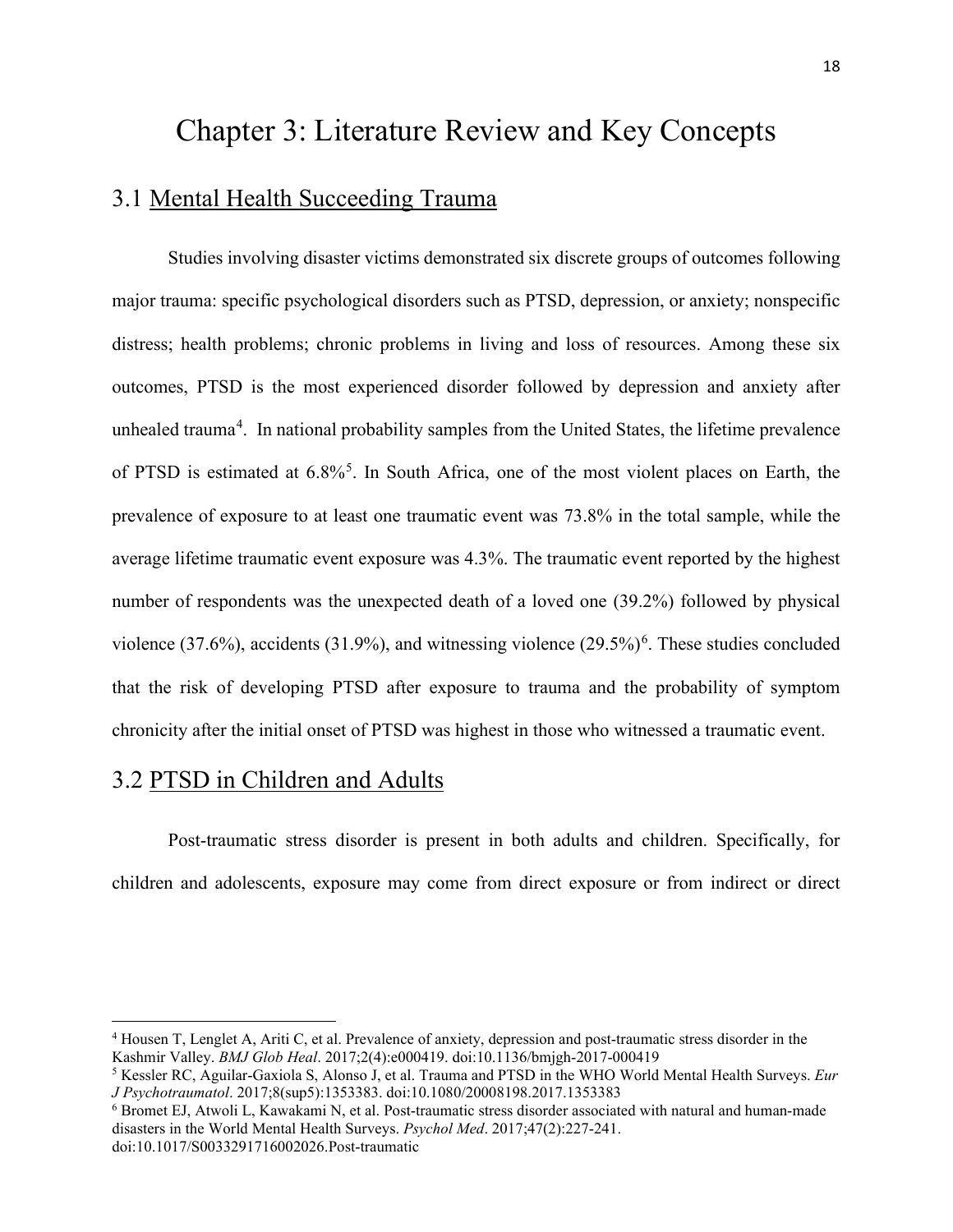## <span id="page-19-0"></span>Chapter 3: Literature Review and Key Concepts

### <span id="page-19-1"></span>3.1 Mental Health Succeeding Trauma

Studies involving disaster victims demonstrated six discrete groups of outcomes following major trauma: specific psychological disorders such as PTSD, depression, or anxiety; nonspecific distress; health problems; chronic problems in living and loss of resources. Among these six outcomes, PTSD is the most experienced disorder followed by depression and anxiety after unhealed trauma<sup>[4](#page-19-3)</sup>. In national probability samples from the United States, the lifetime prevalence of PTSD is estimated at 6.8%<sup>[5](#page-19-4)</sup>. In South Africa, one of the most violent places on Earth, the prevalence of exposure to at least one traumatic event was 73.8% in the total sample, while the average lifetime traumatic event exposure was 4.3%. The traumatic event reported by the highest number of respondents was the unexpected death of a loved one (39.2%) followed by physical violence  $(37.6\%)$  $(37.6\%)$  $(37.6\%)$ , accidents  $(31.9\%)$ , and witnessing violence  $(29.5\%)$ <sup>6</sup>. These studies concluded that the risk of developing PTSD after exposure to trauma and the probability of symptom chronicity after the initial onset of PTSD was highest in those who witnessed a traumatic event.

### <span id="page-19-2"></span>3.2 PTSD in Children and Adults

 Post-traumatic stress disorder is present in both adults and children. Specifically, for children and adolescents, exposure may come from direct exposure or from indirect or direct

<span id="page-19-3"></span><sup>4</sup> Housen T, Lenglet A, Ariti C, et al. Prevalence of anxiety, depression and post-traumatic stress disorder in the Kashmir Valley. *BMJ Glob Heal*. 2017;2(4):e000419. doi:10.1136/bmjgh-2017-000419

<span id="page-19-4"></span><sup>5</sup> Kessler RC, Aguilar-Gaxiola S, Alonso J, et al. Trauma and PTSD in the WHO World Mental Health Surveys. *Eur J Psychotraumatol*. 2017;8(sup5):1353383. doi:10.1080/20008198.2017.1353383

<span id="page-19-5"></span><sup>6</sup> Bromet EJ, Atwoli L, Kawakami N, et al. Post-traumatic stress disorder associated with natural and human-made disasters in the World Mental Health Surveys. *Psychol Med*. 2017;47(2):227-241. doi:10.1017/S0033291716002026.Post-traumatic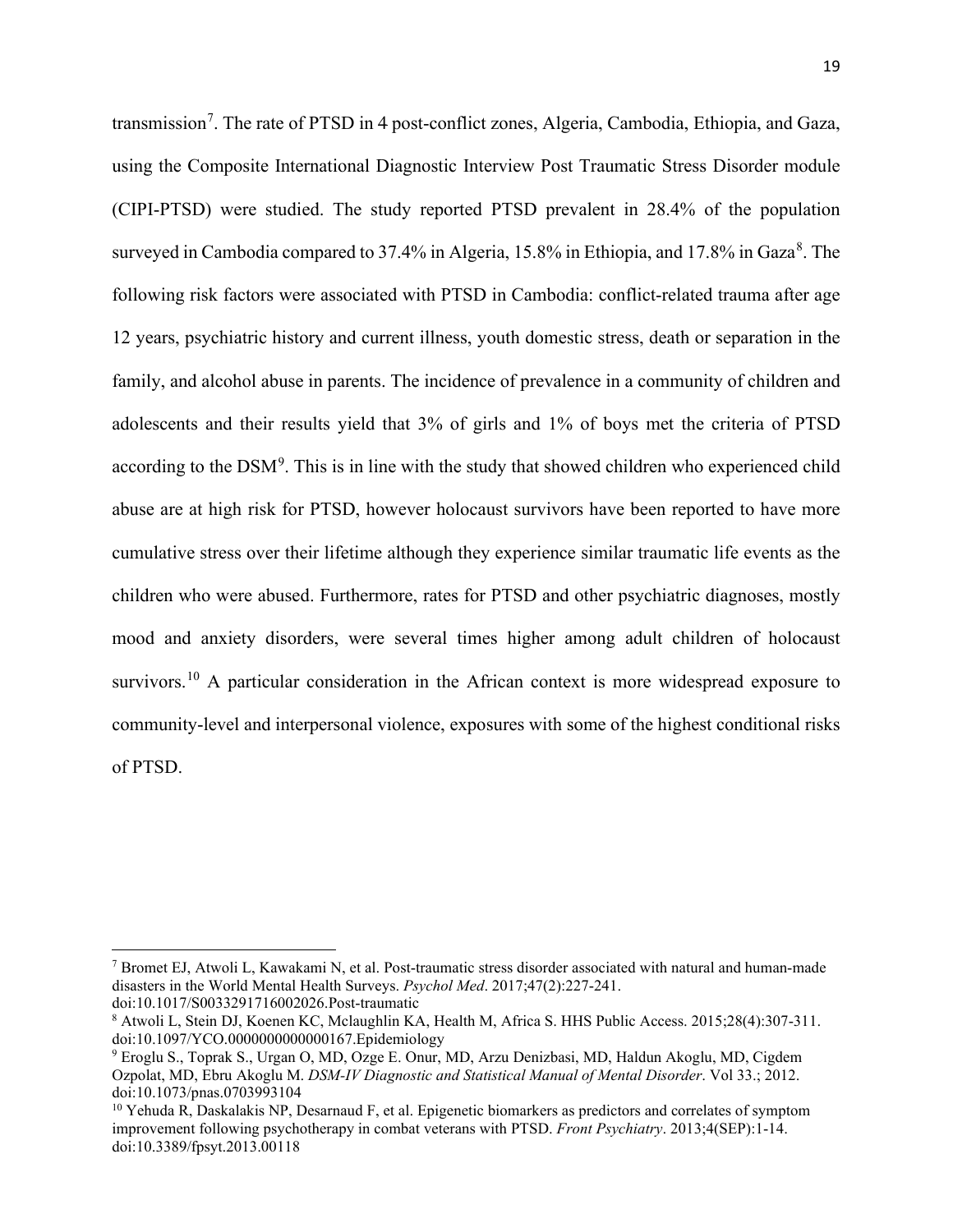transmission<sup>[7](#page-20-0)</sup>. The rate of PTSD in 4 post-conflict zones, Algeria, Cambodia, Ethiopia, and Gaza, using the Composite International Diagnostic Interview Post Traumatic Stress Disorder module (CIPI-PTSD) were studied. The study reported PTSD prevalent in 28.4% of the population surveyed in Cambodia compared to 37.4% in Algeria, 15.[8](#page-20-1)% in Ethiopia, and 17.8% in Gaza<sup>8</sup>. The following risk factors were associated with PTSD in Cambodia: conflict-related trauma after age 12 years, psychiatric history and current illness, youth domestic stress, death or separation in the family, and alcohol abuse in parents. The incidence of prevalence in a community of children and adolescents and their results yield that 3% of girls and 1% of boys met the criteria of PTSD according to the  $DSM<sup>9</sup>$  $DSM<sup>9</sup>$  $DSM<sup>9</sup>$ . This is in line with the study that showed children who experienced child abuse are at high risk for PTSD, however holocaust survivors have been reported to have more cumulative stress over their lifetime although they experience similar traumatic life events as the children who were abused. Furthermore, rates for PTSD and other psychiatric diagnoses, mostly mood and anxiety disorders, were several times higher among adult children of holocaust survivors.<sup>[10](#page-20-3)</sup> A particular consideration in the African context is more widespread exposure to community-level and interpersonal violence, exposures with some of the highest conditional risks of PTSD.

<span id="page-20-0"></span><sup>7</sup> Bromet EJ, Atwoli L, Kawakami N, et al. Post-traumatic stress disorder associated with natural and human-made disasters in the World Mental Health Surveys. *Psychol Med*. 2017;47(2):227-241. doi:10.1017/S0033291716002026.Post-traumatic

<span id="page-20-1"></span><sup>8</sup> Atwoli L, Stein DJ, Koenen KC, Mclaughlin KA, Health M, Africa S. HHS Public Access. 2015;28(4):307-311. doi:10.1097/YCO.0000000000000167.Epidemiology

<span id="page-20-2"></span><sup>9</sup> Eroglu S., Toprak S., Urgan O, MD, Ozge E. Onur, MD, Arzu Denizbasi, MD, Haldun Akoglu, MD, Cigdem Ozpolat, MD, Ebru Akoglu M. *DSM-IV Diagnostic and Statistical Manual of Mental Disorder*. Vol 33.; 2012. doi:10.1073/pnas.0703993104

<span id="page-20-3"></span> $10$  Yehuda R, Daskalakis NP, Desarnaud F, et al. Epigenetic biomarkers as predictors and correlates of symptom improvement following psychotherapy in combat veterans with PTSD. *Front Psychiatry*. 2013;4(SEP):1-14. doi:10.3389/fpsyt.2013.00118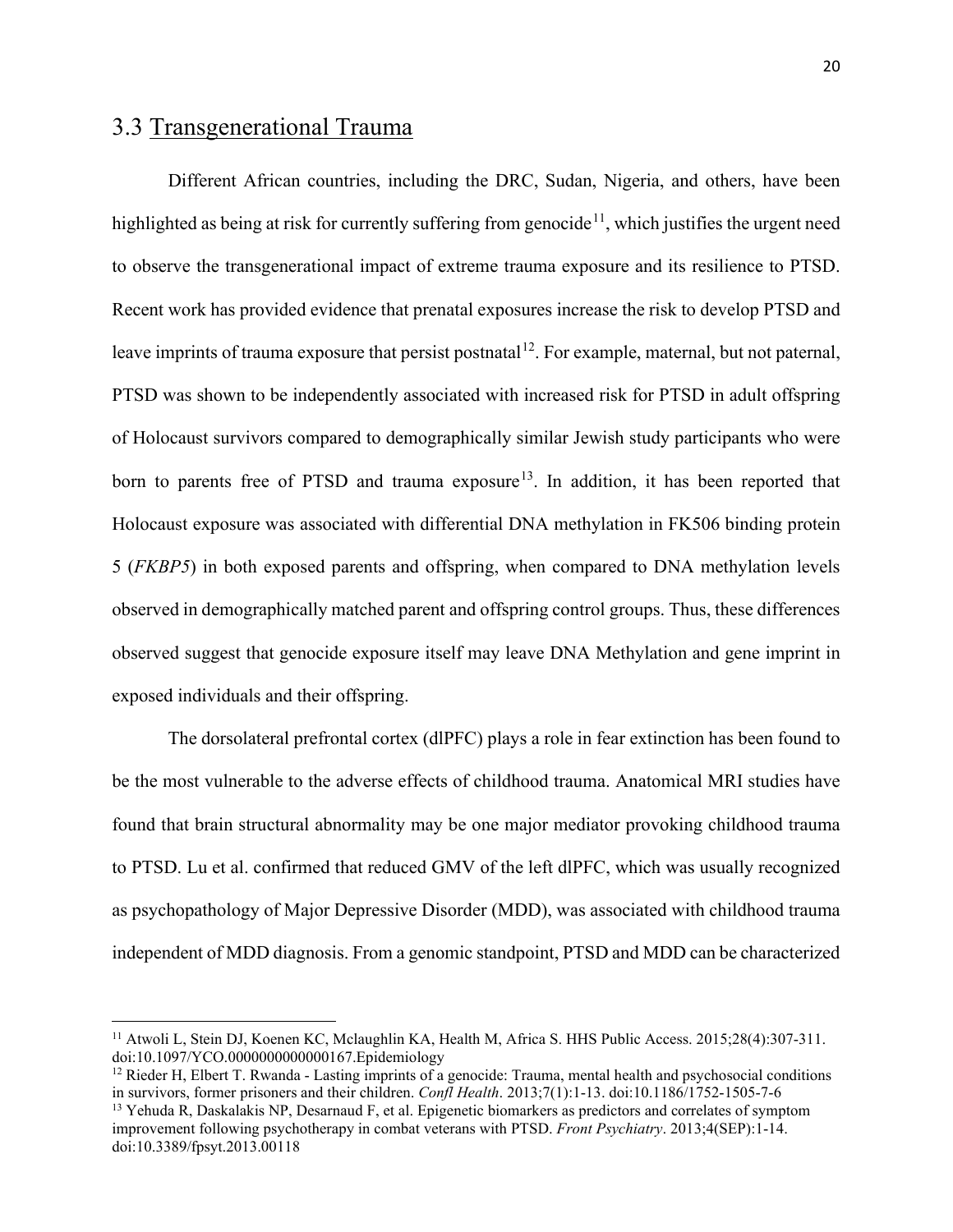### 3.3 Transgenerational Trauma

Different African countries, including the DRC, Sudan, Nigeria, and others, have been highlighted as being at risk for currently suffering from genocide<sup>[11](#page-21-0)</sup>, which justifies the urgent need to observe the transgenerational impact of extreme trauma exposure and its resilience to PTSD. Recent work has provided evidence that prenatal exposures increase the risk to develop PTSD and leave imprints of trauma exposure that persist postnatal<sup>12</sup>. For example, maternal, but not paternal, PTSD was shown to be independently associated with increased risk for PTSD in adult offspring of Holocaust survivors compared to demographically similar Jewish study participants who were born to parents free of PTSD and trauma exposure<sup>13</sup>. In addition, it has been reported that Holocaust exposure was associated with differential DNA methylation in FK506 binding protein 5 (*FKBP5*) in both exposed parents and offspring, when compared to DNA methylation levels observed in demographically matched parent and offspring control groups. Thus, these differences observed suggest that genocide exposure itself may leave DNA Methylation and gene imprint in exposed individuals and their offspring.

The dorsolateral prefrontal cortex (dlPFC) plays a role in fear extinction has been found to be the most vulnerable to the adverse effects of childhood trauma. Anatomical MRI studies have found that brain structural abnormality may be one major mediator provoking childhood trauma to PTSD. Lu et al. confirmed that reduced GMV of the left dlPFC, which was usually recognized as psychopathology of Major Depressive Disorder (MDD), was associated with childhood trauma independent of MDD diagnosis. From a genomic standpoint, PTSD and MDD can be characterized

<span id="page-21-0"></span><sup>&</sup>lt;sup>11</sup> Atwoli L, Stein DJ, Koenen KC, Mclaughlin KA, Health M, Africa S. HHS Public Access. 2015;28(4):307-311. doi:10.1097/YCO.0000000000000167.Epidemiology

<span id="page-21-2"></span><span id="page-21-1"></span><sup>&</sup>lt;sup>12</sup> Rieder H, Elbert T. Rwanda - Lasting imprints of a genocide: Trauma, mental health and psychosocial conditions in survivors, former prisoners and their children. *Confl Health*.  $2013;7(1):1-13$ . doi:10.1186/1752-1505 <sup>13</sup> Yehuda R, Daskalakis NP, Desarnaud F, et al. Epigenetic biomarkers as predictors and correlates of symptom improvement following psychotherapy in combat veterans with PTSD. *Front Psychiatry*. 2013;4(SEP):1-14.

doi:10.3389/fpsyt.2013.00118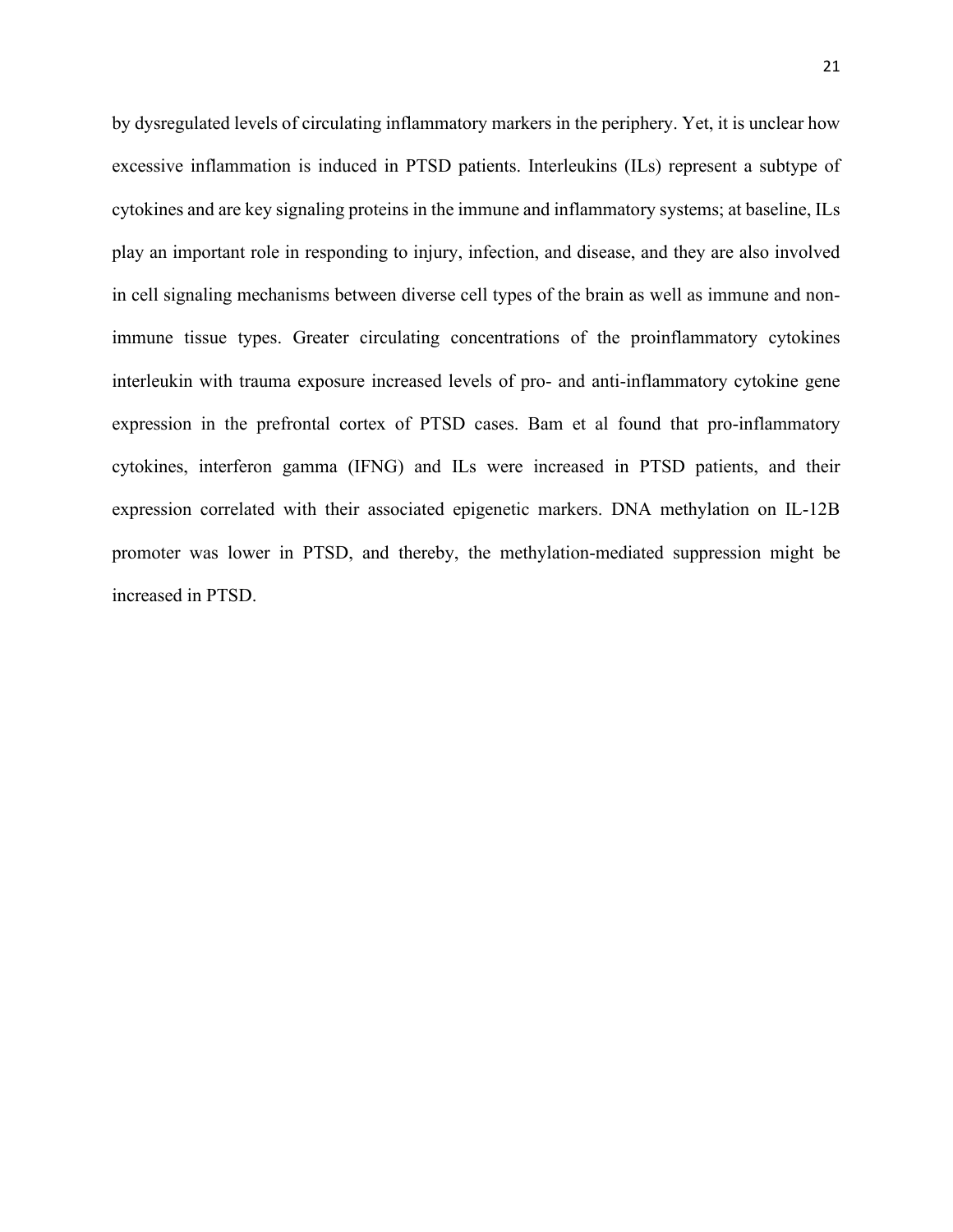by dysregulated levels of circulating inflammatory markers in the periphery. Yet, it is unclear how excessive inflammation is induced in PTSD patients. Interleukins (ILs) represent a subtype of cytokines and are key signaling proteins in the immune and inflammatory systems; at baseline, ILs play an important role in responding to injury, infection, and disease, and they are also involved in cell signaling mechanisms between diverse cell types of the brain as well as immune and nonimmune tissue types. Greater circulating concentrations of the proinflammatory cytokines interleukin with trauma exposure increased levels of pro- and anti-inflammatory cytokine gene expression in the prefrontal cortex of PTSD cases. Bam et al found that pro-inflammatory cytokines, interferon gamma (IFNG) and ILs were increased in PTSD patients, and their expression correlated with their associated epigenetic markers. DNA methylation on IL-12B promoter was lower in PTSD, and thereby, the methylation-mediated suppression might be increased in PTSD.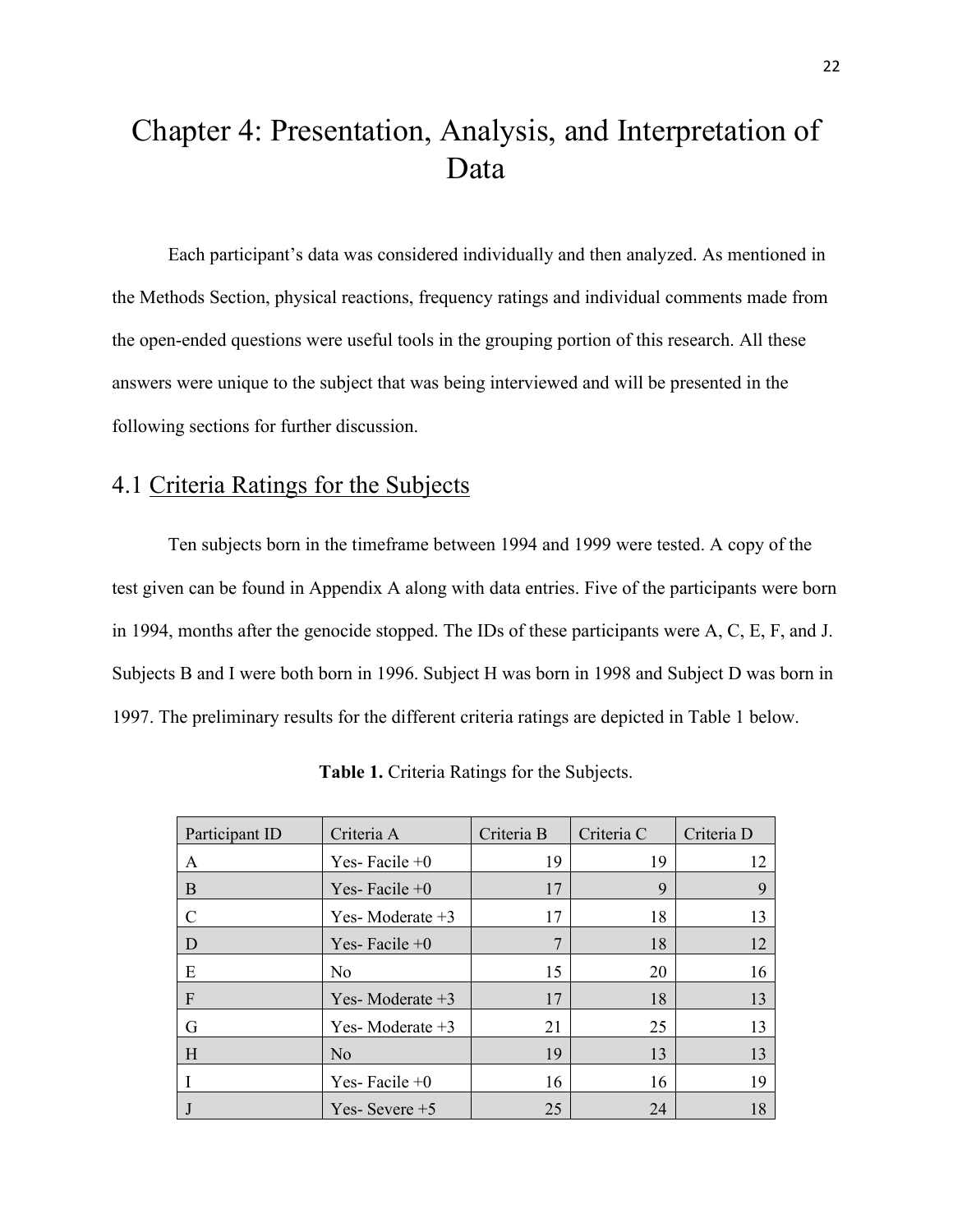## <span id="page-23-0"></span>Chapter 4: Presentation, Analysis, and Interpretation of Data

Each participant's data was considered individually and then analyzed. As mentioned in the Methods Section, physical reactions, frequency ratings and individual comments made from the open-ended questions were useful tools in the grouping portion of this research. All these answers were unique to the subject that was being interviewed and will be presented in the following sections for further discussion.

### <span id="page-23-1"></span>4.1 Criteria Ratings for the Subjects

Ten subjects born in the timeframe between 1994 and 1999 were tested. A copy of the test given can be found in Appendix A along with data entries. Five of the participants were born in 1994, months after the genocide stopped. The IDs of these participants were A, C, E, F, and J. Subjects B and I were both born in 1996. Subject H was born in 1998 and Subject D was born in 1997. The preliminary results for the different criteria ratings are depicted in Table 1 below.

| Participant ID | Criteria A        | Criteria B | Criteria C | Criteria D |
|----------------|-------------------|------------|------------|------------|
| A              | Yes-Facile $+0$   | 19         | 19         | 12         |
| B              | Yes-Facile $+0$   | 17         | 9          |            |
| C              | Yes-Moderate $+3$ | 17         | 18         | 13         |
| D              | Yes-Facile $+0$   | 7          | 18         | 12         |
| E              | No                | 15         | 20         | 16         |
| F              | Yes-Moderate $+3$ | 17         | 18         | 13         |
| G              | Yes-Moderate $+3$ | 21         | 25         | 13         |
| H              | N <sub>o</sub>    | 19         | 13         | 13         |
|                | Yes-Facile $+0$   | 16         | 16         | 19         |
|                | Yes-Severe $+5$   | 25         | 24         | 18         |

**Table 1.** Criteria Ratings for the Subjects.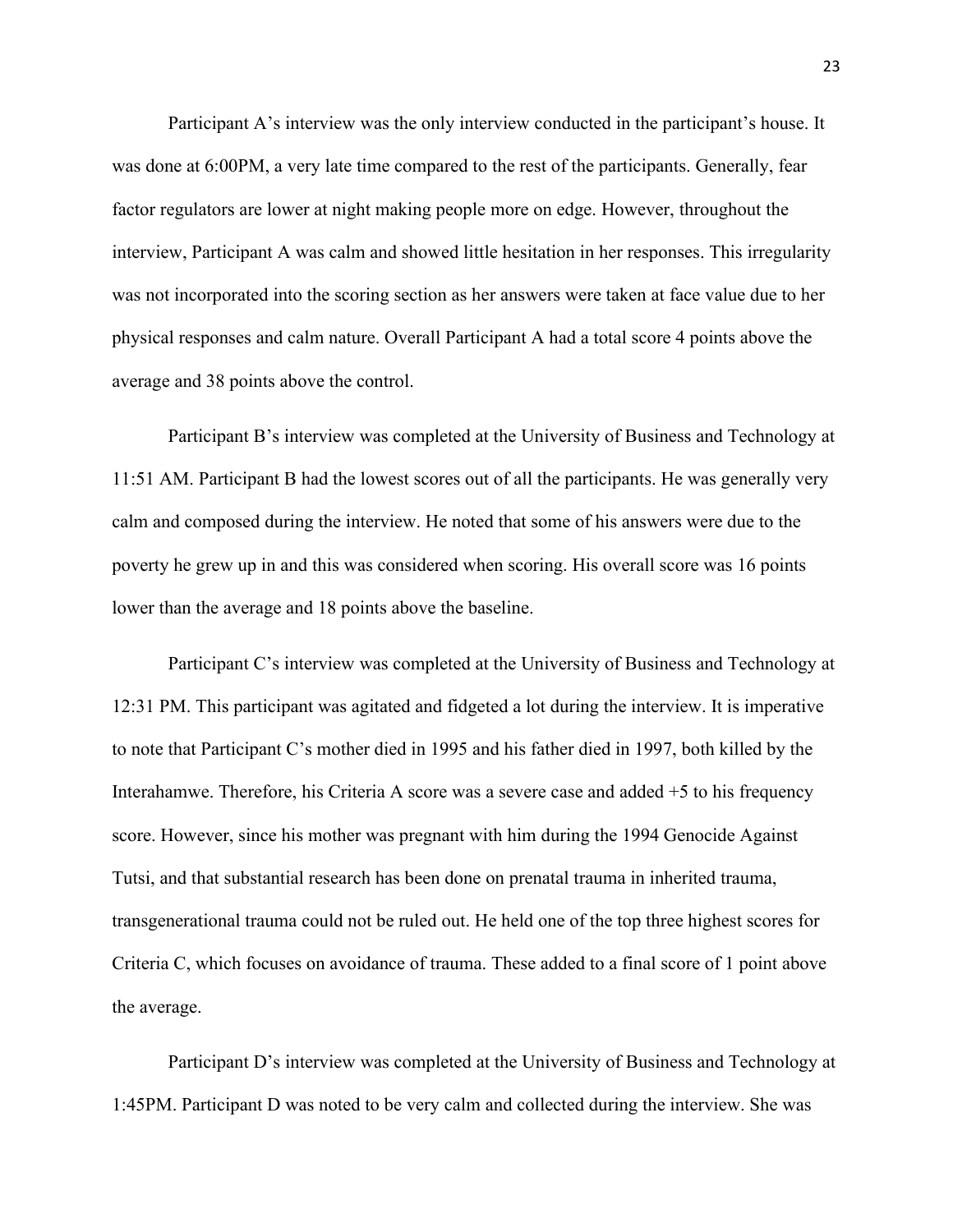Participant A's interview was the only interview conducted in the participant's house. It was done at 6:00PM, a very late time compared to the rest of the participants. Generally, fear factor regulators are lower at night making people more on edge. However, throughout the interview, Participant A was calm and showed little hesitation in her responses. This irregularity was not incorporated into the scoring section as her answers were taken at face value due to her physical responses and calm nature. Overall Participant A had a total score 4 points above the average and 38 points above the control.

Participant B's interview was completed at the University of Business and Technology at 11:51 AM. Participant B had the lowest scores out of all the participants. He was generally very calm and composed during the interview. He noted that some of his answers were due to the poverty he grew up in and this was considered when scoring. His overall score was 16 points lower than the average and 18 points above the baseline.

Participant C's interview was completed at the University of Business and Technology at 12:31 PM. This participant was agitated and fidgeted a lot during the interview. It is imperative to note that Participant C's mother died in 1995 and his father died in 1997, both killed by the Interahamwe. Therefore, his Criteria A score was a severe case and added +5 to his frequency score. However, since his mother was pregnant with him during the 1994 Genocide Against Tutsi, and that substantial research has been done on prenatal trauma in inherited trauma, transgenerational trauma could not be ruled out. He held one of the top three highest scores for Criteria C, which focuses on avoidance of trauma. These added to a final score of 1 point above the average.

Participant D's interview was completed at the University of Business and Technology at 1:45PM. Participant D was noted to be very calm and collected during the interview. She was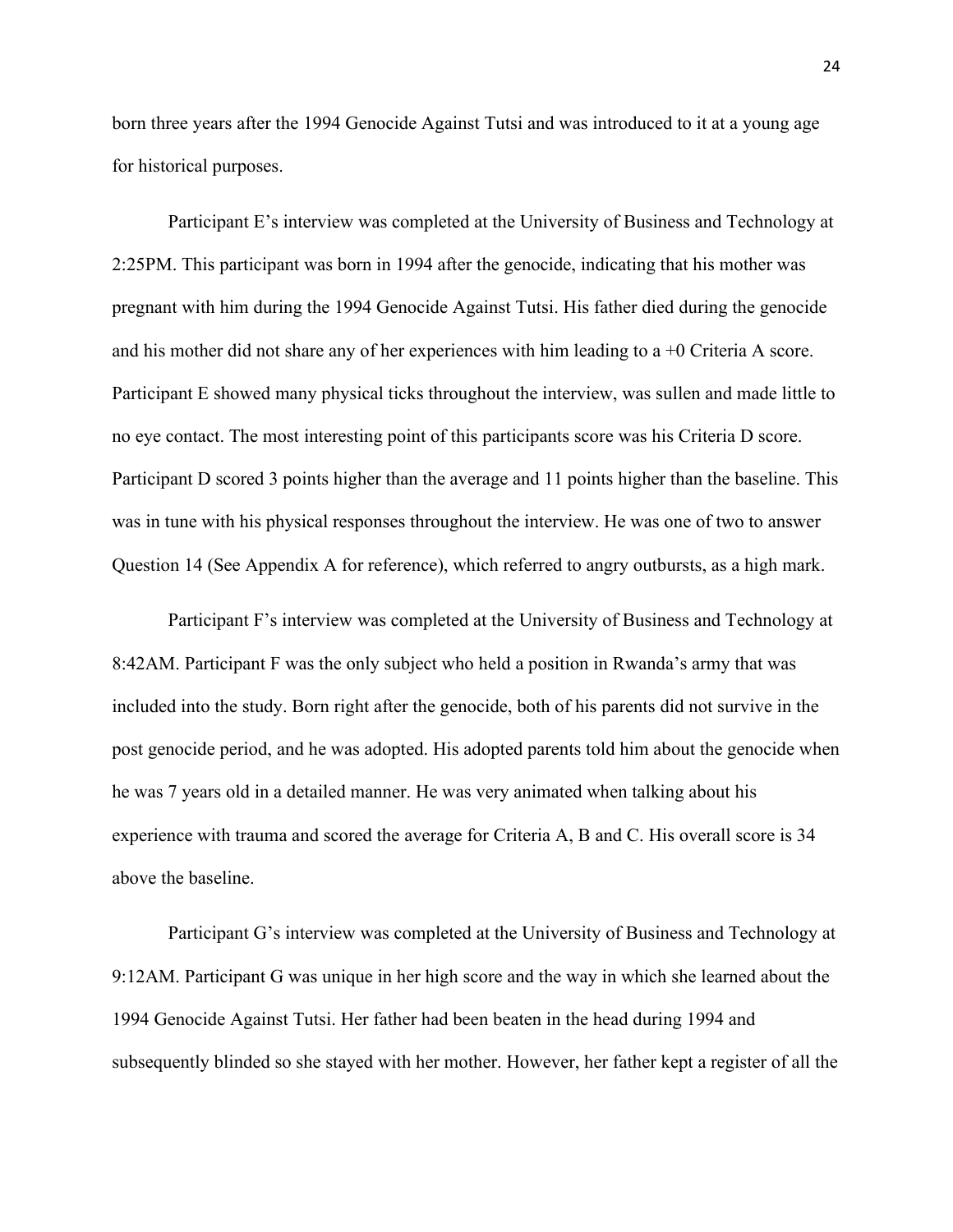born three years after the 1994 Genocide Against Tutsi and was introduced to it at a young age for historical purposes.

Participant E's interview was completed at the University of Business and Technology at 2:25PM. This participant was born in 1994 after the genocide, indicating that his mother was pregnant with him during the 1994 Genocide Against Tutsi. His father died during the genocide and his mother did not share any of her experiences with him leading to a  $+0$  Criteria A score. Participant E showed many physical ticks throughout the interview, was sullen and made little to no eye contact. The most interesting point of this participants score was his Criteria D score. Participant D scored 3 points higher than the average and 11 points higher than the baseline. This was in tune with his physical responses throughout the interview. He was one of two to answer Question 14 (See Appendix A for reference), which referred to angry outbursts, as a high mark.

Participant F's interview was completed at the University of Business and Technology at 8:42AM. Participant F was the only subject who held a position in Rwanda's army that was included into the study. Born right after the genocide, both of his parents did not survive in the post genocide period, and he was adopted. His adopted parents told him about the genocide when he was 7 years old in a detailed manner. He was very animated when talking about his experience with trauma and scored the average for Criteria A, B and C. His overall score is 34 above the baseline.

Participant G's interview was completed at the University of Business and Technology at 9:12AM. Participant G was unique in her high score and the way in which she learned about the 1994 Genocide Against Tutsi. Her father had been beaten in the head during 1994 and subsequently blinded so she stayed with her mother. However, her father kept a register of all the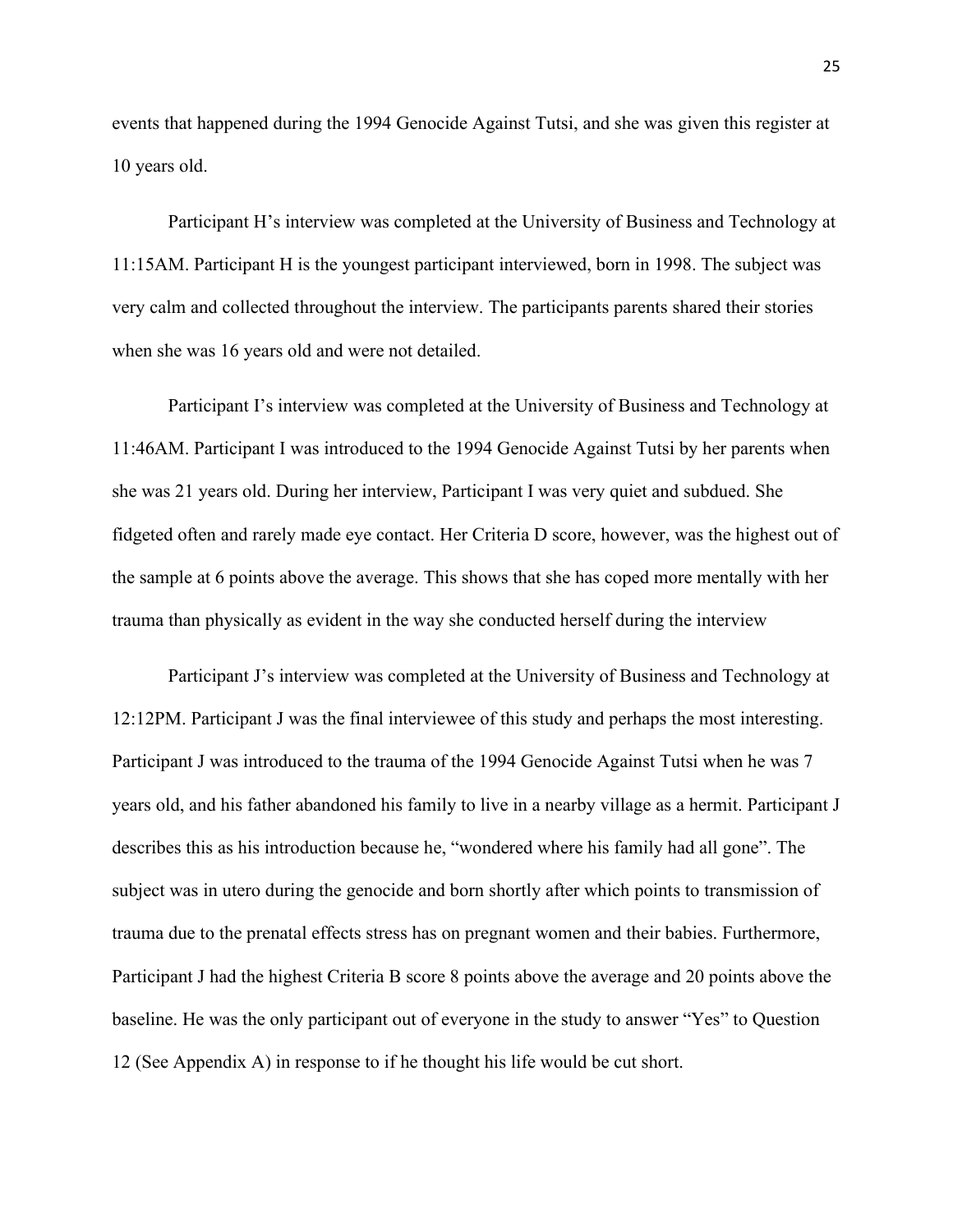events that happened during the 1994 Genocide Against Tutsi, and she was given this register at 10 years old.

Participant H's interview was completed at the University of Business and Technology at 11:15AM. Participant H is the youngest participant interviewed, born in 1998. The subject was very calm and collected throughout the interview. The participants parents shared their stories when she was 16 years old and were not detailed.

Participant I's interview was completed at the University of Business and Technology at 11:46AM. Participant I was introduced to the 1994 Genocide Against Tutsi by her parents when she was 21 years old. During her interview, Participant I was very quiet and subdued. She fidgeted often and rarely made eye contact. Her Criteria D score, however, was the highest out of the sample at 6 points above the average. This shows that she has coped more mentally with her trauma than physically as evident in the way she conducted herself during the interview

Participant J's interview was completed at the University of Business and Technology at 12:12PM. Participant J was the final interviewee of this study and perhaps the most interesting. Participant J was introduced to the trauma of the 1994 Genocide Against Tutsi when he was 7 years old, and his father abandoned his family to live in a nearby village as a hermit. Participant J describes this as his introduction because he, "wondered where his family had all gone". The subject was in utero during the genocide and born shortly after which points to transmission of trauma due to the prenatal effects stress has on pregnant women and their babies. Furthermore, Participant J had the highest Criteria B score 8 points above the average and 20 points above the baseline. He was the only participant out of everyone in the study to answer "Yes" to Question 12 (See Appendix A) in response to if he thought his life would be cut short.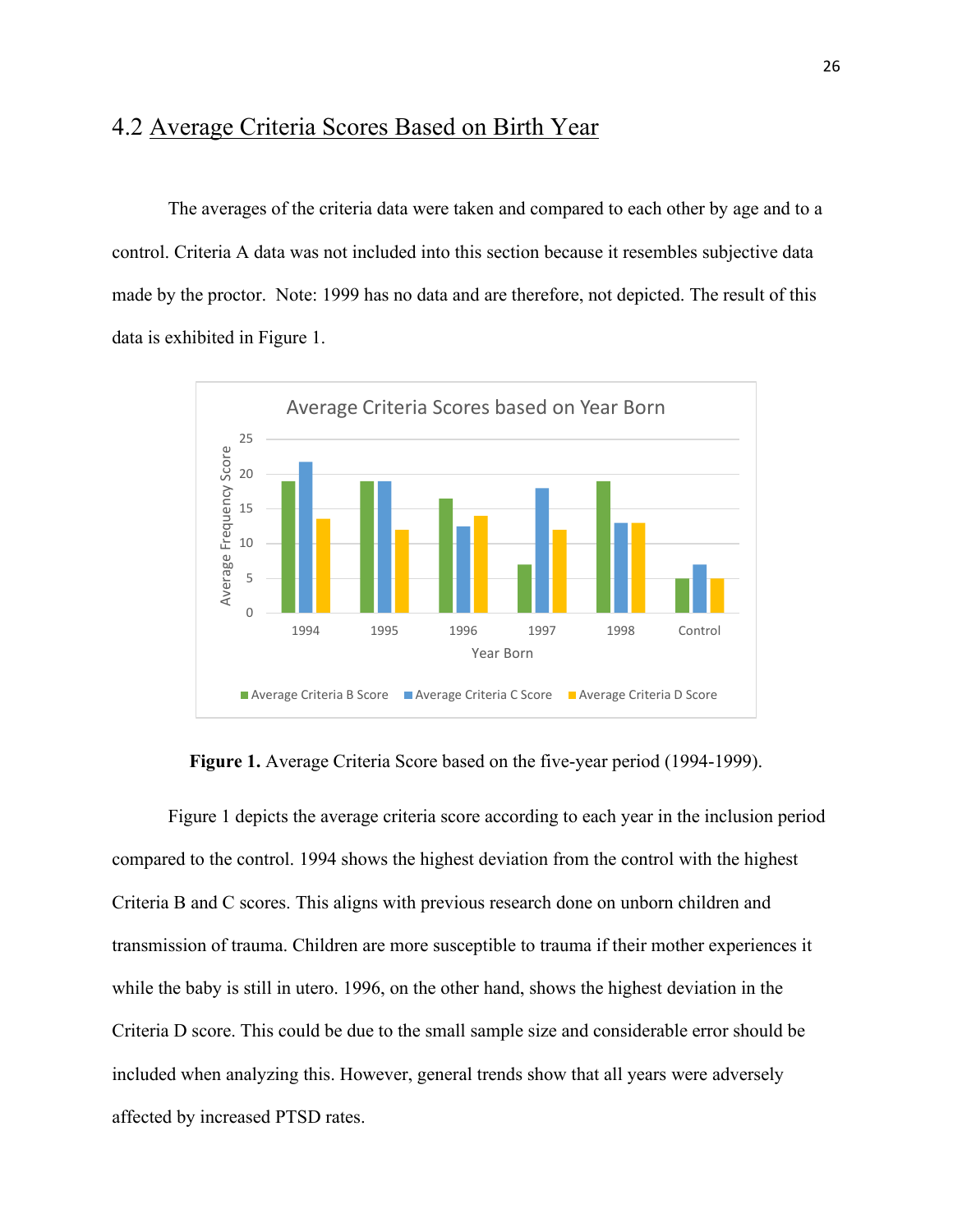### <span id="page-27-0"></span>4.2 Average Criteria Scores Based on Birth Year

The averages of the criteria data were taken and compared to each other by age and to a control. Criteria A data was not included into this section because it resembles subjective data made by the proctor. Note: 1999 has no data and are therefore, not depicted. The result of this data is exhibited in Figure 1.



**Figure 1.** Average Criteria Score based on the five-year period (1994-1999).

Figure 1 depicts the average criteria score according to each year in the inclusion period compared to the control. 1994 shows the highest deviation from the control with the highest Criteria B and C scores. This aligns with previous research done on unborn children and transmission of trauma. Children are more susceptible to trauma if their mother experiences it while the baby is still in utero. 1996, on the other hand, shows the highest deviation in the Criteria D score. This could be due to the small sample size and considerable error should be included when analyzing this. However, general trends show that all years were adversely affected by increased PTSD rates.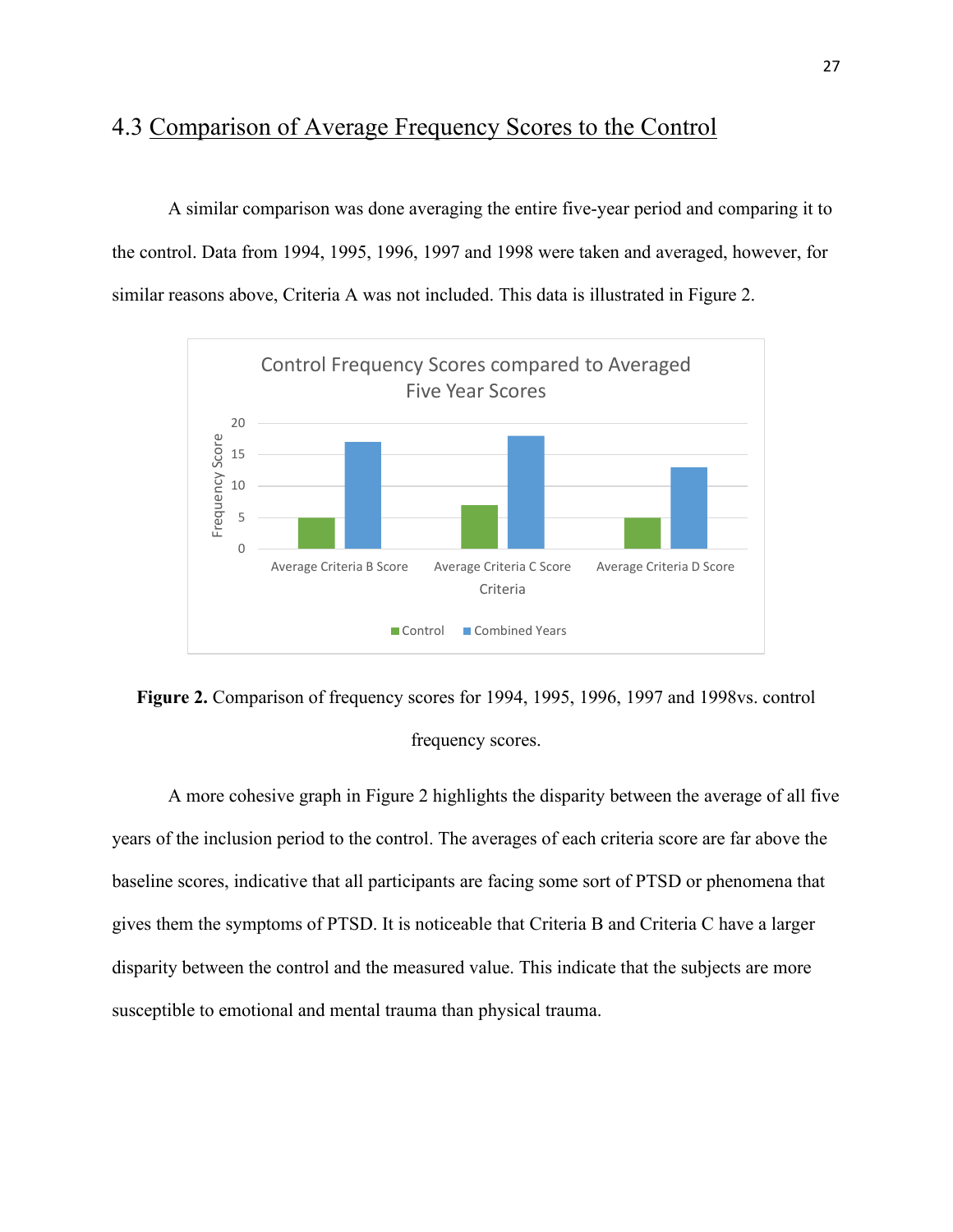### <span id="page-28-0"></span>4.3 Comparison of Average Frequency Scores to the Control

A similar comparison was done averaging the entire five-year period and comparing it to the control. Data from 1994, 1995, 1996, 1997 and 1998 were taken and averaged, however, for similar reasons above, Criteria A was not included. This data is illustrated in Figure 2.





A more cohesive graph in Figure 2 highlights the disparity between the average of all five years of the inclusion period to the control. The averages of each criteria score are far above the baseline scores, indicative that all participants are facing some sort of PTSD or phenomena that gives them the symptoms of PTSD. It is noticeable that Criteria B and Criteria C have a larger disparity between the control and the measured value. This indicate that the subjects are more susceptible to emotional and mental trauma than physical trauma.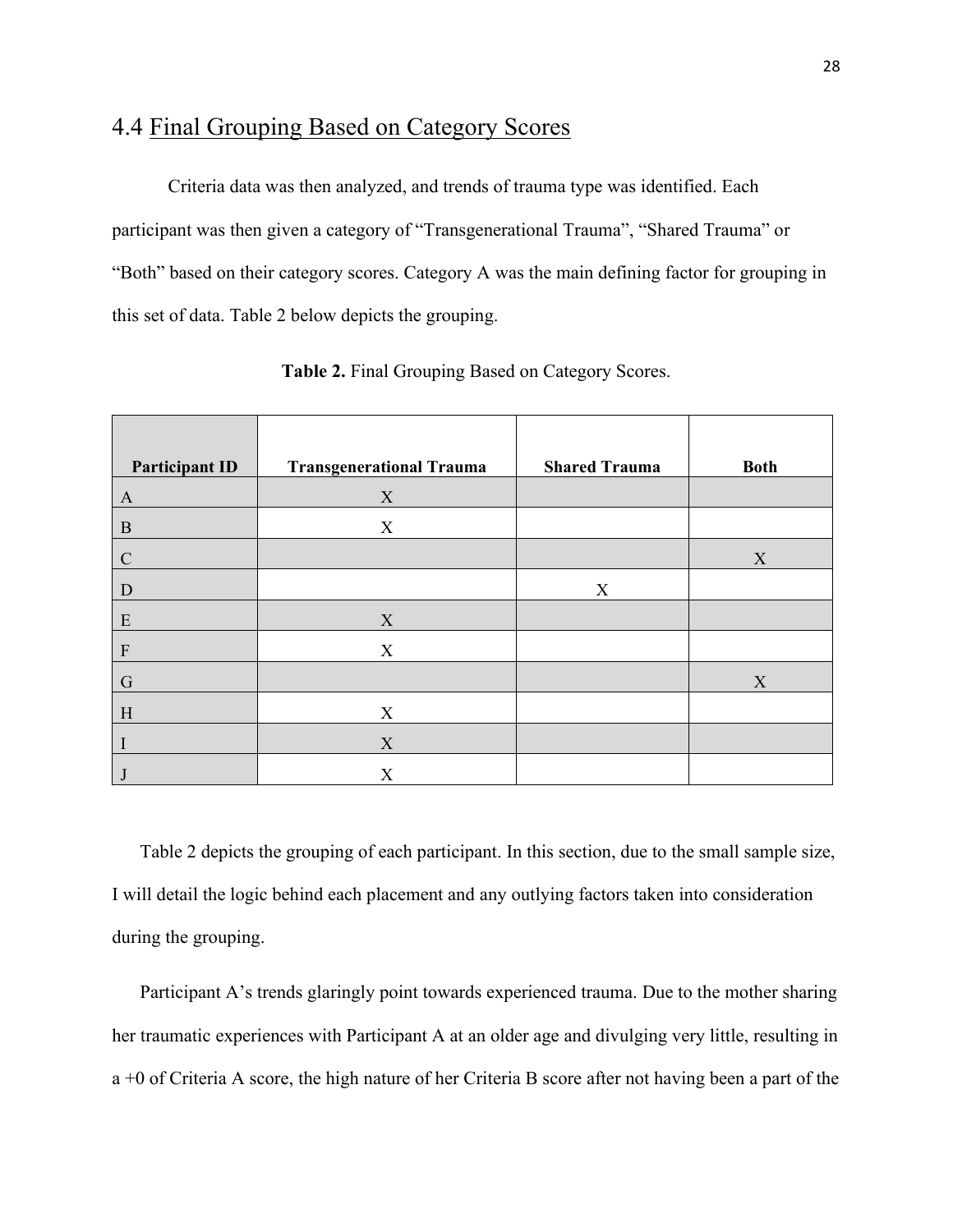### <span id="page-29-0"></span>4.4 Final Grouping Based on Category Scores

Criteria data was then analyzed, and trends of trauma type was identified. Each participant was then given a category of "Transgenerational Trauma", "Shared Trauma" or "Both" based on their category scores. Category A was the main defining factor for grouping in this set of data. Table 2 below depicts the grouping.

| <b>Participant ID</b>     | <b>Transgenerational Trauma</b> | <b>Shared Trauma</b> | <b>Both</b> |
|---------------------------|---------------------------------|----------------------|-------------|
| $\mathbf{A}$              | X                               |                      |             |
| B                         | X                               |                      |             |
| $\mathcal{C}$             |                                 |                      | X           |
| D                         |                                 | X                    |             |
| E                         | X                               |                      |             |
| $\boldsymbol{\mathrm{F}}$ | X                               |                      |             |
| $\mathbf G$               |                                 |                      | X           |
| H                         | X                               |                      |             |
| I                         | X                               |                      |             |
|                           | X                               |                      |             |

**Table 2.** Final Grouping Based on Category Scores.

Table 2 depicts the grouping of each participant. In this section, due to the small sample size, I will detail the logic behind each placement and any outlying factors taken into consideration during the grouping.

Participant A's trends glaringly point towards experienced trauma. Due to the mother sharing her traumatic experiences with Participant A at an older age and divulging very little, resulting in a +0 of Criteria A score, the high nature of her Criteria B score after not having been a part of the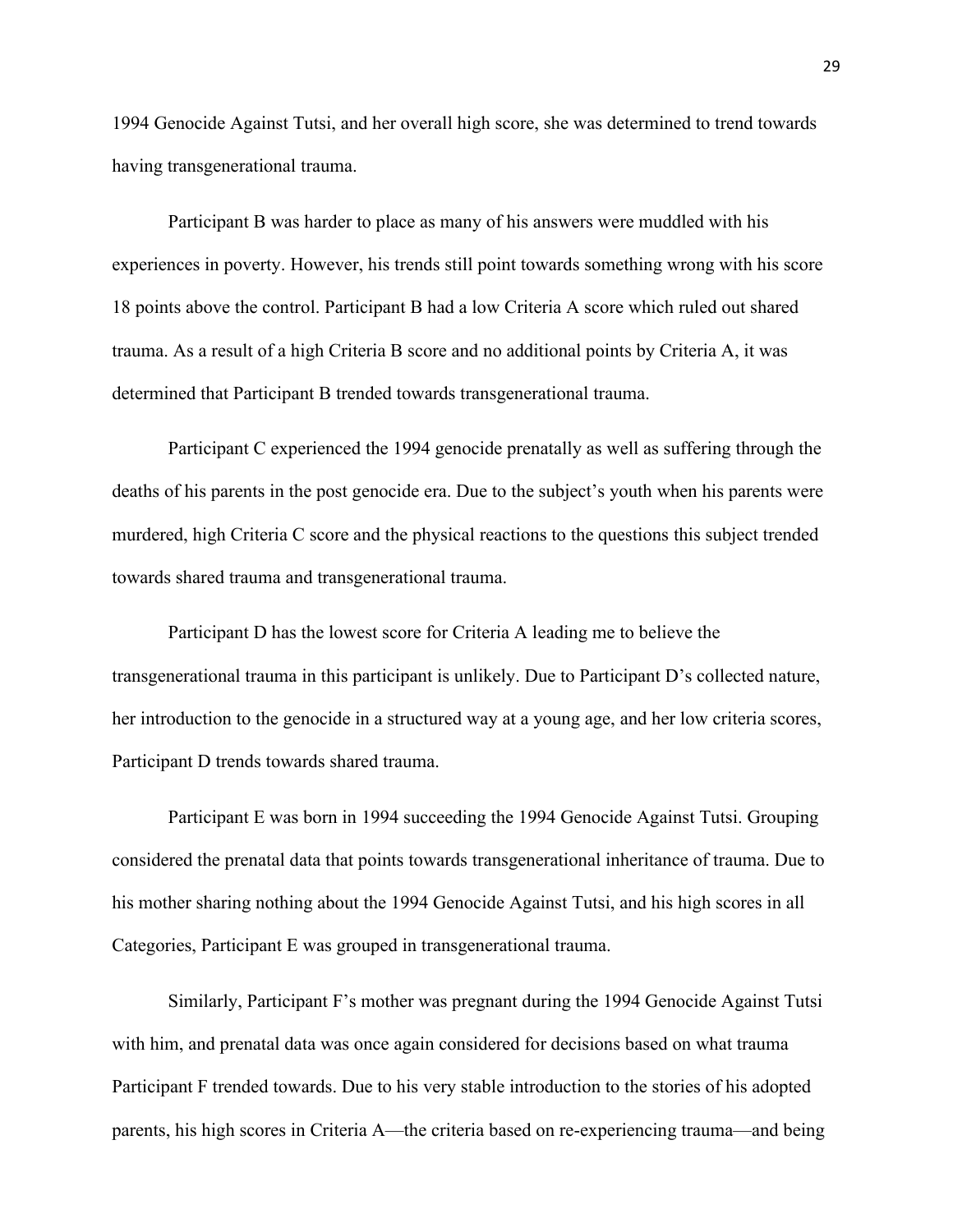1994 Genocide Against Tutsi, and her overall high score, she was determined to trend towards having transgenerational trauma.

Participant B was harder to place as many of his answers were muddled with his experiences in poverty. However, his trends still point towards something wrong with his score 18 points above the control. Participant B had a low Criteria A score which ruled out shared trauma. As a result of a high Criteria B score and no additional points by Criteria A, it was determined that Participant B trended towards transgenerational trauma.

Participant C experienced the 1994 genocide prenatally as well as suffering through the deaths of his parents in the post genocide era. Due to the subject's youth when his parents were murdered, high Criteria C score and the physical reactions to the questions this subject trended towards shared trauma and transgenerational trauma.

Participant D has the lowest score for Criteria A leading me to believe the transgenerational trauma in this participant is unlikely. Due to Participant D's collected nature, her introduction to the genocide in a structured way at a young age, and her low criteria scores, Participant D trends towards shared trauma.

Participant E was born in 1994 succeeding the 1994 Genocide Against Tutsi. Grouping considered the prenatal data that points towards transgenerational inheritance of trauma. Due to his mother sharing nothing about the 1994 Genocide Against Tutsi, and his high scores in all Categories, Participant E was grouped in transgenerational trauma.

Similarly, Participant F's mother was pregnant during the 1994 Genocide Against Tutsi with him, and prenatal data was once again considered for decisions based on what trauma Participant F trended towards. Due to his very stable introduction to the stories of his adopted parents, his high scores in Criteria A—the criteria based on re-experiencing trauma—and being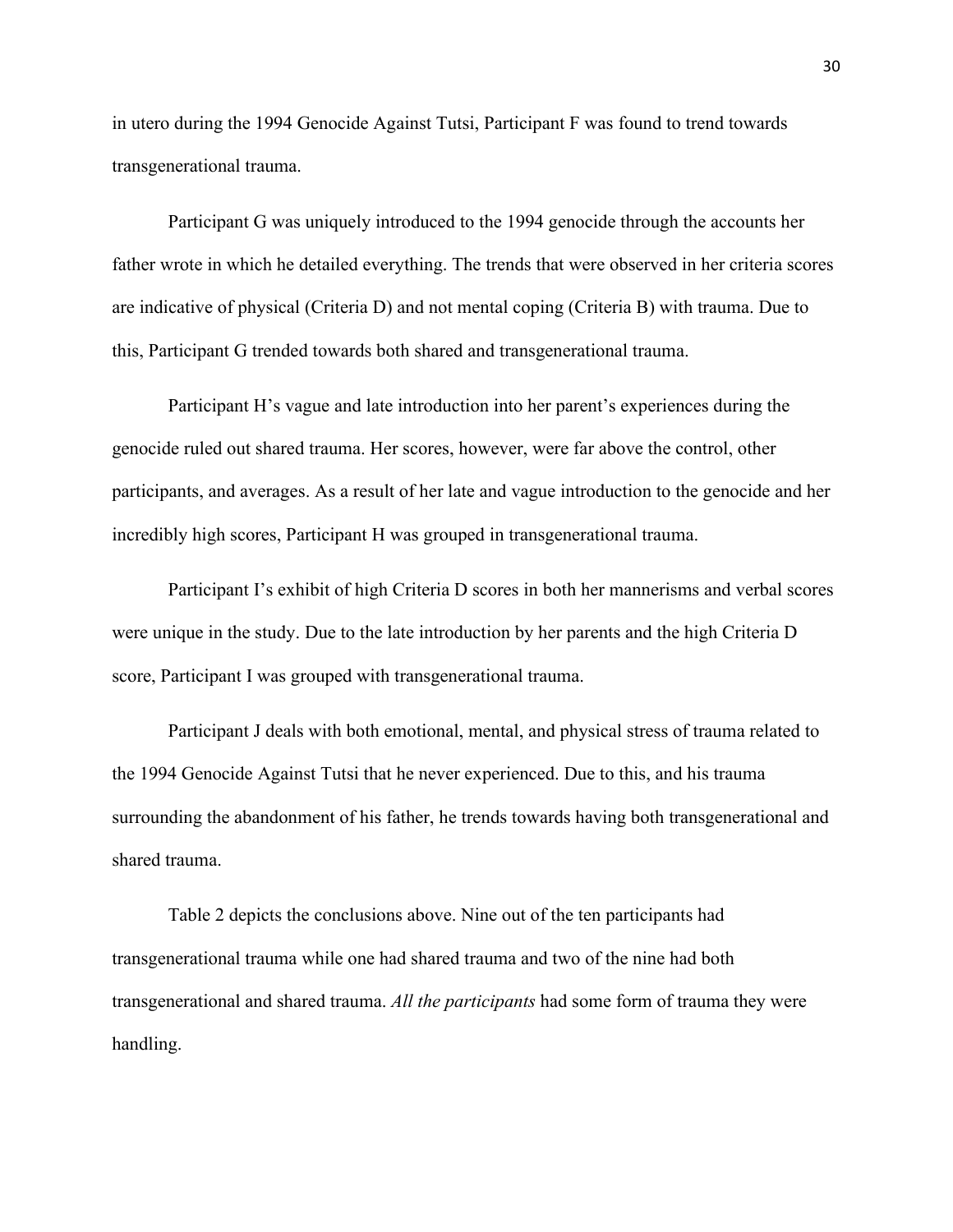in utero during the 1994 Genocide Against Tutsi, Participant F was found to trend towards transgenerational trauma.

Participant G was uniquely introduced to the 1994 genocide through the accounts her father wrote in which he detailed everything. The trends that were observed in her criteria scores are indicative of physical (Criteria D) and not mental coping (Criteria B) with trauma. Due to this, Participant G trended towards both shared and transgenerational trauma.

Participant H's vague and late introduction into her parent's experiences during the genocide ruled out shared trauma. Her scores, however, were far above the control, other participants, and averages. As a result of her late and vague introduction to the genocide and her incredibly high scores, Participant H was grouped in transgenerational trauma.

Participant I's exhibit of high Criteria D scores in both her mannerisms and verbal scores were unique in the study. Due to the late introduction by her parents and the high Criteria D score, Participant I was grouped with transgenerational trauma.

Participant J deals with both emotional, mental, and physical stress of trauma related to the 1994 Genocide Against Tutsi that he never experienced. Due to this, and his trauma surrounding the abandonment of his father, he trends towards having both transgenerational and shared trauma.

Table 2 depicts the conclusions above. Nine out of the ten participants had transgenerational trauma while one had shared trauma and two of the nine had both transgenerational and shared trauma. *All the participants* had some form of trauma they were handling.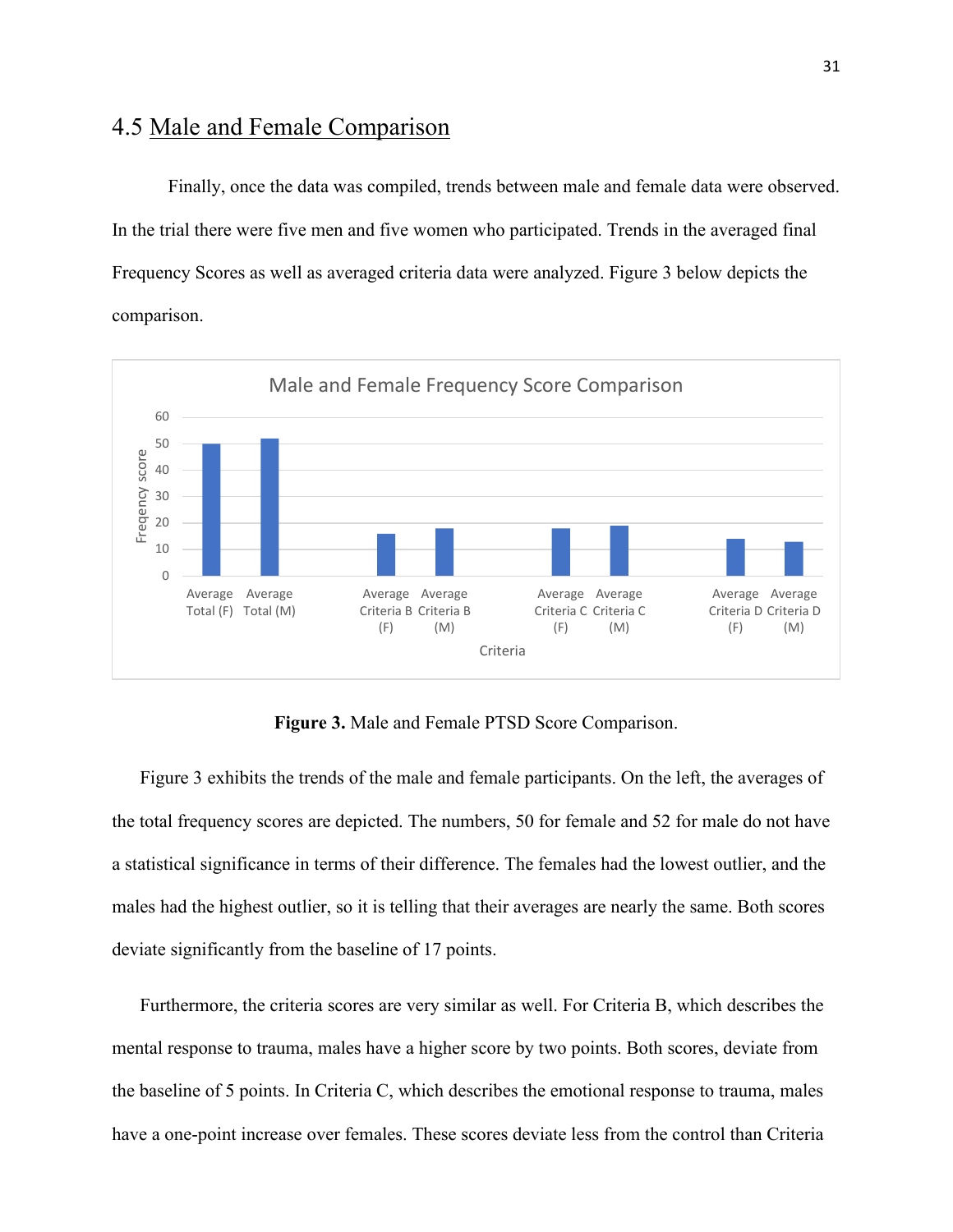### <span id="page-32-0"></span>4.5 Male and Female Comparison

Finally, once the data was compiled, trends between male and female data were observed. In the trial there were five men and five women who participated. Trends in the averaged final Frequency Scores as well as averaged criteria data were analyzed. Figure 3 below depicts the comparison.



**Figure 3.** Male and Female PTSD Score Comparison.

Figure 3 exhibits the trends of the male and female participants. On the left, the averages of the total frequency scores are depicted. The numbers, 50 for female and 52 for male do not have a statistical significance in terms of their difference. The females had the lowest outlier, and the males had the highest outlier, so it is telling that their averages are nearly the same. Both scores deviate significantly from the baseline of 17 points.

Furthermore, the criteria scores are very similar as well. For Criteria B, which describes the mental response to trauma, males have a higher score by two points. Both scores, deviate from the baseline of 5 points. In Criteria C, which describes the emotional response to trauma, males have a one-point increase over females. These scores deviate less from the control than Criteria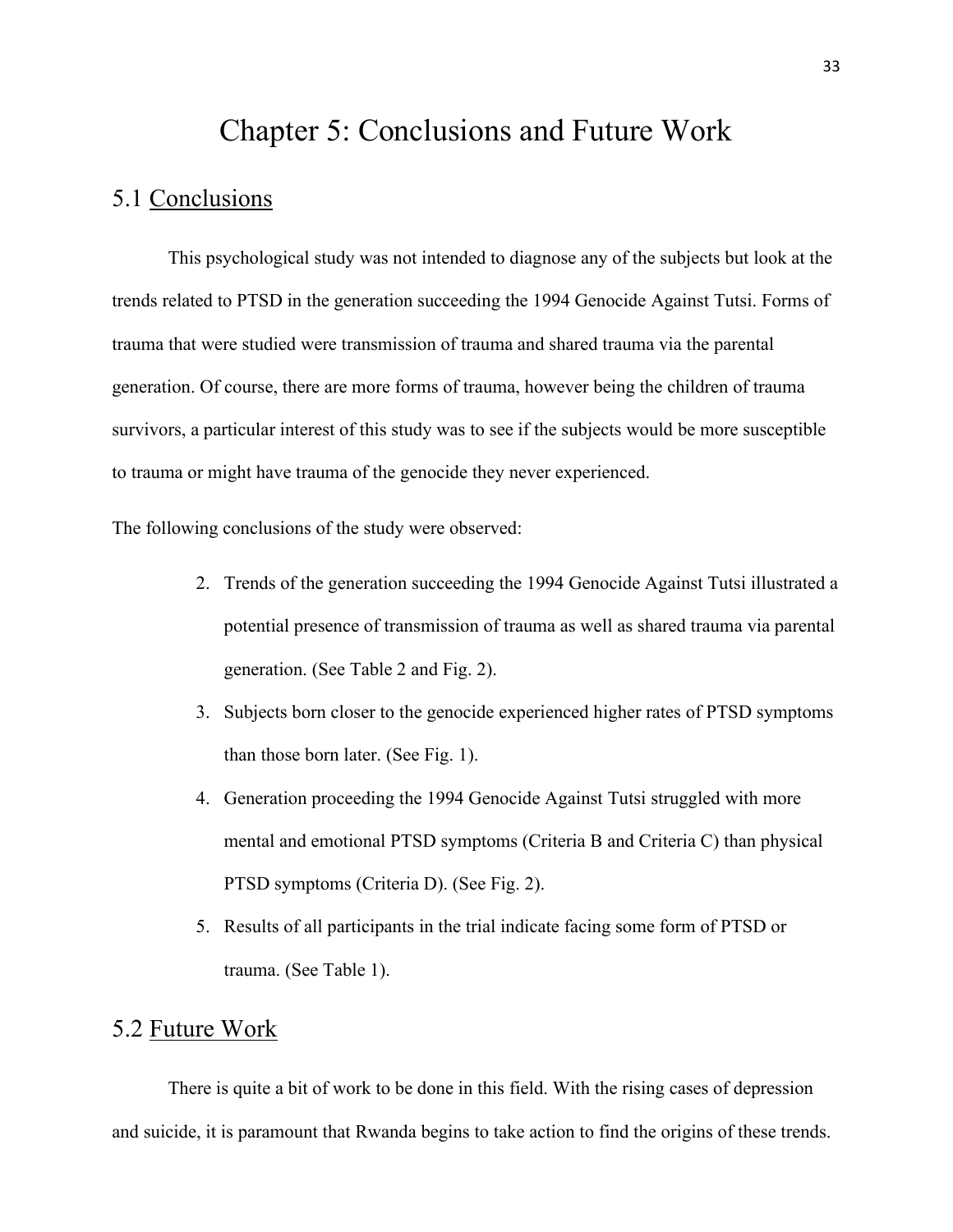## Chapter 5: Conclusions and Future Work

### <span id="page-34-1"></span><span id="page-34-0"></span>5.1 Conclusions

This psychological study was not intended to diagnose any of the subjects but look at the trends related to PTSD in the generation succeeding the 1994 Genocide Against Tutsi. Forms of trauma that were studied were transmission of trauma and shared trauma via the parental generation. Of course, there are more forms of trauma, however being the children of trauma survivors, a particular interest of this study was to see if the subjects would be more susceptible to trauma or might have trauma of the genocide they never experienced.

The following conclusions of the study were observed:

- 2. Trends of the generation succeeding the 1994 Genocide Against Tutsi illustrated a potential presence of transmission of trauma as well as shared trauma via parental generation. (See Table 2 and Fig. 2).
- 3. Subjects born closer to the genocide experienced higher rates of PTSD symptoms than those born later. (See Fig. 1).
- 4. Generation proceeding the 1994 Genocide Against Tutsi struggled with more mental and emotional PTSD symptoms (Criteria B and Criteria C) than physical PTSD symptoms (Criteria D). (See Fig. 2).
- 5. Results of all participants in the trial indicate facing some form of PTSD or trauma. (See Table 1).

### <span id="page-34-2"></span>5.2 Future Work

There is quite a bit of work to be done in this field. With the rising cases of depression and suicide, it is paramount that Rwanda begins to take action to find the origins of these trends.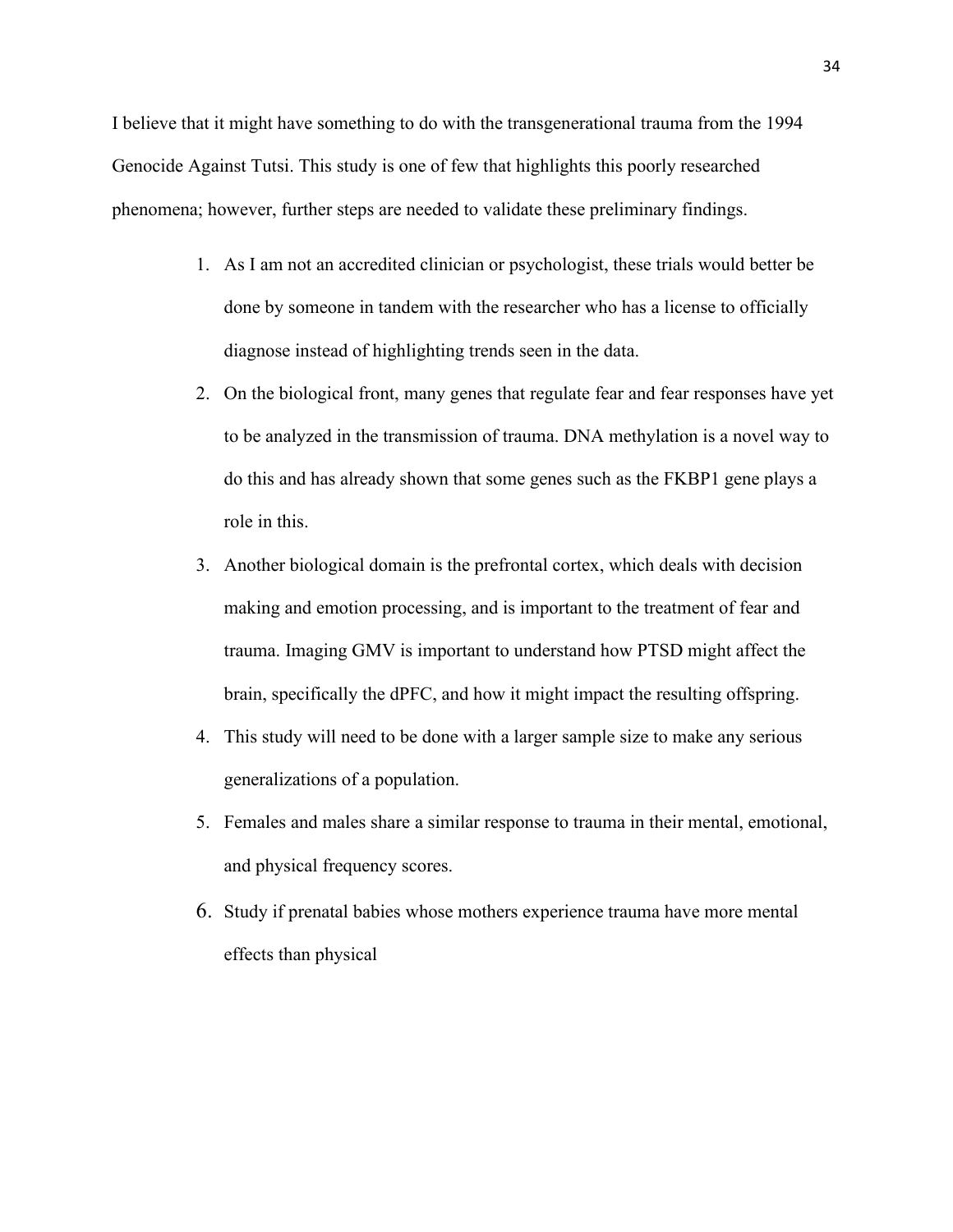I believe that it might have something to do with the transgenerational trauma from the 1994 Genocide Against Tutsi. This study is one of few that highlights this poorly researched phenomena; however, further steps are needed to validate these preliminary findings.

- 1. As I am not an accredited clinician or psychologist, these trials would better be done by someone in tandem with the researcher who has a license to officially diagnose instead of highlighting trends seen in the data.
- 2. On the biological front, many genes that regulate fear and fear responses have yet to be analyzed in the transmission of trauma. DNA methylation is a novel way to do this and has already shown that some genes such as the FKBP1 gene plays a role in this.
- 3. Another biological domain is the prefrontal cortex, which deals with decision making and emotion processing, and is important to the treatment of fear and trauma. Imaging GMV is important to understand how PTSD might affect the brain, specifically the dPFC, and how it might impact the resulting offspring.
- 4. This study will need to be done with a larger sample size to make any serious generalizations of a population.
- 5. Females and males share a similar response to trauma in their mental, emotional, and physical frequency scores.
- 6. Study if prenatal babies whose mothers experience trauma have more mental effects than physical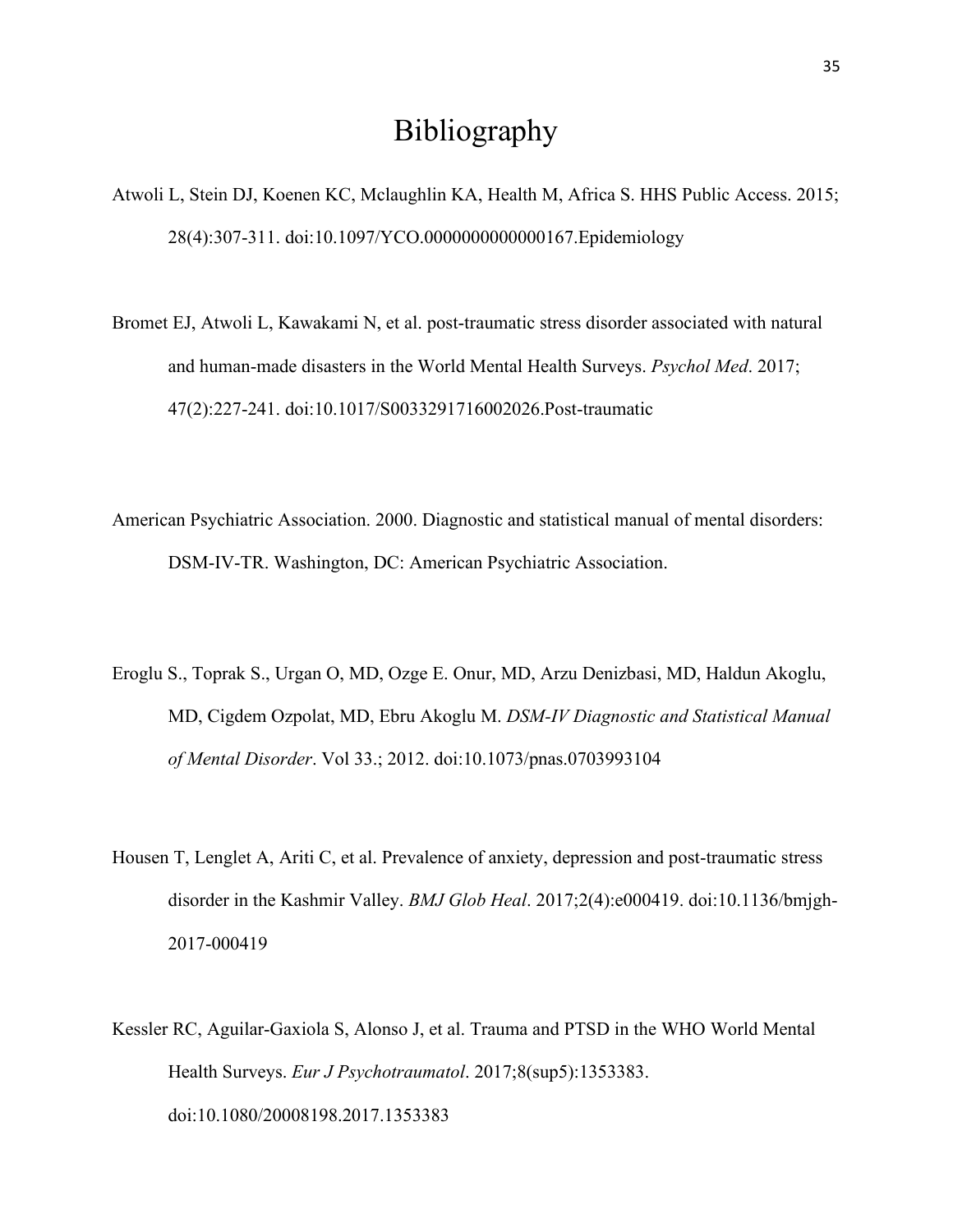## Bibliography

- <span id="page-36-0"></span>Atwoli L, Stein DJ, Koenen KC, Mclaughlin KA, Health M, Africa S. HHS Public Access. 2015; 28(4):307-311. doi:10.1097/YCO.0000000000000167.Epidemiology
- Bromet EJ, Atwoli L, Kawakami N, et al. post-traumatic stress disorder associated with natural and human-made disasters in the World Mental Health Surveys. *Psychol Med*. 2017; 47(2):227-241. doi:10.1017/S0033291716002026.Post-traumatic
- American Psychiatric Association. 2000. Diagnostic and statistical manual of mental disorders: DSM-IV-TR. Washington, DC: American Psychiatric Association.
- Eroglu S., Toprak S., Urgan O, MD, Ozge E. Onur, MD, Arzu Denizbasi, MD, Haldun Akoglu, MD, Cigdem Ozpolat, MD, Ebru Akoglu M. *DSM-IV Diagnostic and Statistical Manual of Mental Disorder*. Vol 33.; 2012. doi:10.1073/pnas.0703993104
- Housen T, Lenglet A, Ariti C, et al. Prevalence of anxiety, depression and post-traumatic stress disorder in the Kashmir Valley. *BMJ Glob Heal*. 2017;2(4):e000419. doi:10.1136/bmjgh-2017-000419
- Kessler RC, Aguilar-Gaxiola S, Alonso J, et al. Trauma and PTSD in the WHO World Mental Health Surveys. *Eur J Psychotraumatol*. 2017;8(sup5):1353383. doi:10.1080/20008198.2017.1353383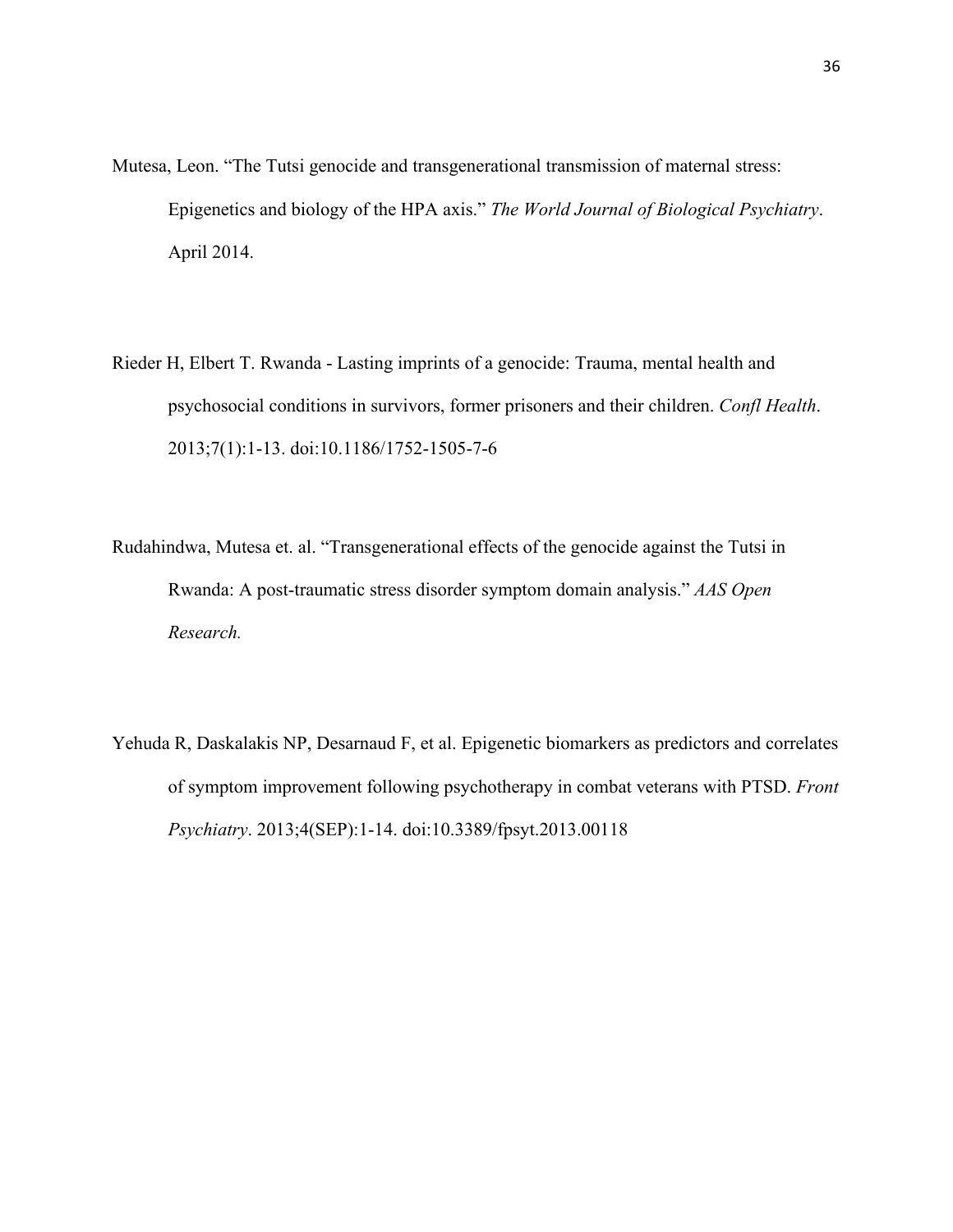- Mutesa, Leon. "The Tutsi genocide and transgenerational transmission of maternal stress: Epigenetics and biology of the HPA axis." *The World Journal of Biological Psychiatry*. April 2014.
- Rieder H, Elbert T. Rwanda Lasting imprints of a genocide: Trauma, mental health and psychosocial conditions in survivors, former prisoners and their children. *Confl Health*. 2013;7(1):1-13. doi:10.1186/1752-1505-7-6
- Rudahindwa, Mutesa et. al. "Transgenerational effects of the genocide against the Tutsi in Rwanda: A post-traumatic stress disorder symptom domain analysis." *AAS Open Research.*
- Yehuda R, Daskalakis NP, Desarnaud F, et al. Epigenetic biomarkers as predictors and correlates of symptom improvement following psychotherapy in combat veterans with PTSD. *Front Psychiatry*. 2013;4(SEP):1-14. doi:10.3389/fpsyt.2013.00118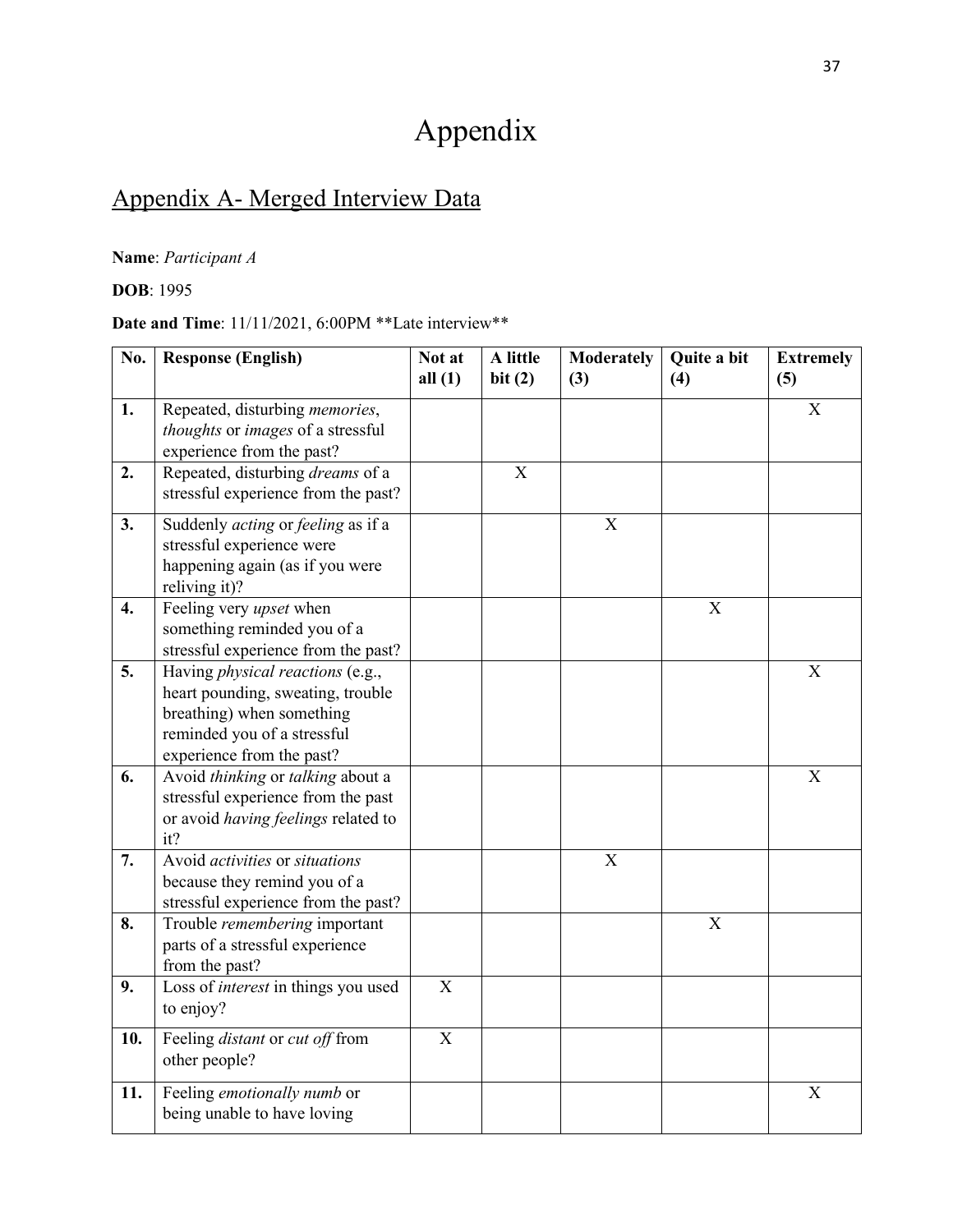## Appendix

## <span id="page-38-1"></span><span id="page-38-0"></span>Appendix A- Merged Interview Data

### **Name**: *Participant A*

### **DOB**: 1995

### Date and Time:  $11/11/2021$ ,  $6:00PM$  \*\*Late interview\*\*

| No.              | <b>Response (English)</b>                                                                                                                                             | Not at<br>all $(1)$ | A little<br>bit(2)        | <b>Moderately</b><br>(3)  | Quite a bit<br>(4)        | <b>Extremely</b><br>(5) |
|------------------|-----------------------------------------------------------------------------------------------------------------------------------------------------------------------|---------------------|---------------------------|---------------------------|---------------------------|-------------------------|
|                  |                                                                                                                                                                       |                     |                           |                           |                           |                         |
| 1.               | Repeated, disturbing memories,<br>thoughts or images of a stressful<br>experience from the past?                                                                      |                     |                           |                           |                           | $\mathbf X$             |
| 2.               | Repeated, disturbing dreams of a<br>stressful experience from the past?                                                                                               |                     | $\boldsymbol{\mathrm{X}}$ |                           |                           |                         |
| 3.               | Suddenly <i>acting</i> or <i>feeling</i> as if a<br>stressful experience were<br>happening again (as if you were<br>reliving it)?                                     |                     |                           | X                         |                           |                         |
| $\overline{4}$ . | Feeling very <i>upset</i> when<br>something reminded you of a<br>stressful experience from the past?                                                                  |                     |                           |                           | $\boldsymbol{\mathrm{X}}$ |                         |
| 5.               | Having <i>physical reactions</i> (e.g.,<br>heart pounding, sweating, trouble<br>breathing) when something<br>reminded you of a stressful<br>experience from the past? |                     |                           |                           |                           | X                       |
| 6.               | Avoid thinking or talking about a<br>stressful experience from the past<br>or avoid having feelings related to<br>it?                                                 |                     |                           |                           |                           | X                       |
| 7.               | Avoid <i>activities</i> or <i>situations</i><br>because they remind you of a<br>stressful experience from the past?                                                   |                     |                           | $\boldsymbol{\mathrm{X}}$ |                           |                         |
| 8.               | Trouble remembering important<br>parts of a stressful experience<br>from the past?                                                                                    |                     |                           |                           | $\mathbf X$               |                         |
| 9.               | Loss of interest in things you used<br>to enjoy?                                                                                                                      | X                   |                           |                           |                           |                         |
| 10.              | Feeling distant or cut off from<br>other people?                                                                                                                      | X                   |                           |                           |                           |                         |
| 11.              | Feeling emotionally numb or<br>being unable to have loving                                                                                                            |                     |                           |                           |                           | X                       |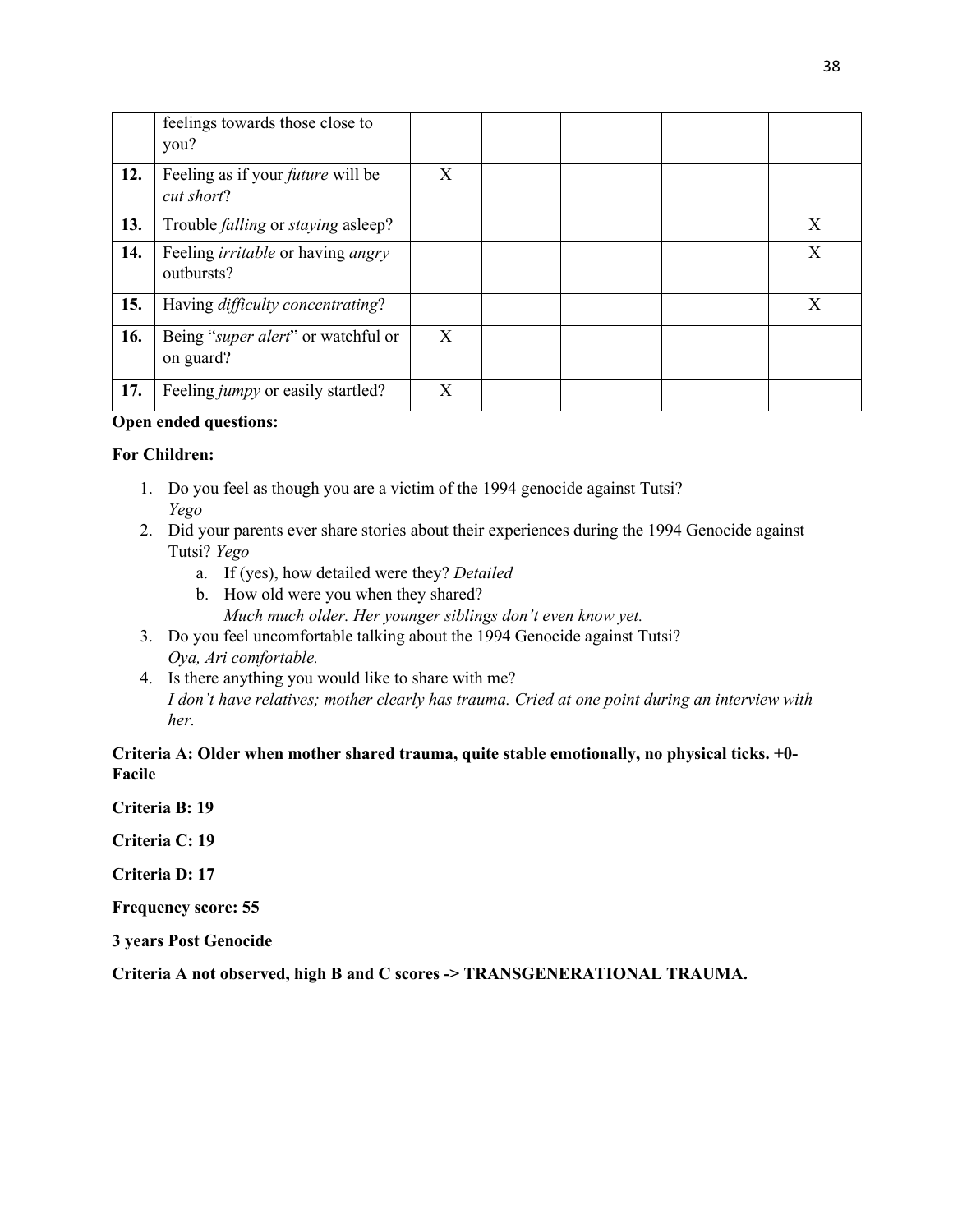|     | feelings towards those close to<br>you?                       |              |  |   |
|-----|---------------------------------------------------------------|--------------|--|---|
| 12. | Feeling as if your <i>future</i> will be<br>cut short?        | X            |  |   |
| 13. | Trouble <i>falling</i> or <i>staying</i> asleep?              |              |  | X |
| 14. | Feeling <i>irritable</i> or having <i>angry</i><br>outbursts? |              |  | X |
| 15. | Having difficulty concentrating?                              |              |  | X |
| 16. | Being "super alert" or watchful or<br>on guard?               | X            |  |   |
| 17. | Feeling jumpy or easily startled?                             | $\mathbf{X}$ |  |   |

#### **Open ended questions:**

#### **For Children:**

- 1. Do you feel as though you are a victim of the 1994 genocide against Tutsi? *Yego*
- 2. Did your parents ever share stories about their experiences during the 1994 Genocide against Tutsi? *Yego* 
	- a. If (yes), how detailed were they? *Detailed*
	- b. How old were you when they shared?
		- *Much much older. Her younger siblings don't even know yet.*
- 3. Do you feel uncomfortable talking about the 1994 Genocide against Tutsi? *Oya, Ari comfortable.*
- 4. Is there anything you would like to share with me? *I don't have relatives; mother clearly has trauma. Cried at one point during an interview with her.*

**Criteria A: Older when mother shared trauma, quite stable emotionally, no physical ticks. +0- Facile** 

**Criteria B: 19**

**Criteria C: 19**

**Criteria D: 17**

**Frequency score: 55**

**3 years Post Genocide** 

**Criteria A not observed, high B and C scores -> TRANSGENERATIONAL TRAUMA.**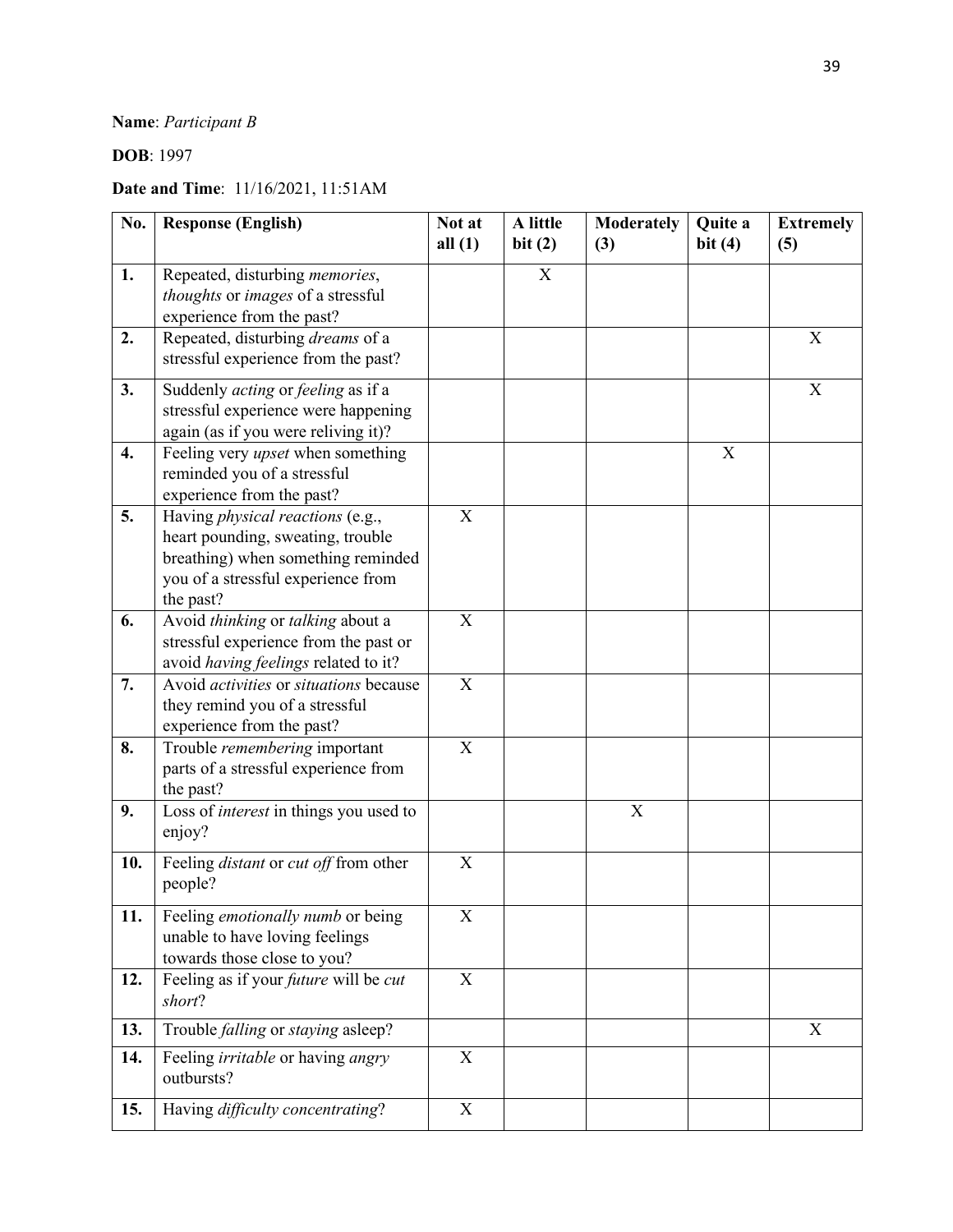### **Name**: *Participant B*

**DOB**: 1997

### **Date and Time**: 11/16/2021, 11:51AM

| No.                | <b>Response (English)</b>                                                                                                                                             | Not at<br>all $(1)$ | A little<br>bit(2) | <b>Moderately</b><br>(3)  | Quite a<br>bit $(4)$ | <b>Extremely</b><br>(5) |
|--------------------|-----------------------------------------------------------------------------------------------------------------------------------------------------------------------|---------------------|--------------------|---------------------------|----------------------|-------------------------|
| 1.                 | Repeated, disturbing <i>memories</i> ,<br>thoughts or images of a stressful<br>experience from the past?                                                              |                     | X                  |                           |                      |                         |
| 2.                 | Repeated, disturbing dreams of a<br>stressful experience from the past?                                                                                               |                     |                    |                           |                      | X                       |
| 3.                 | Suddenly acting or feeling as if a<br>stressful experience were happening<br>again (as if you were reliving it)?                                                      |                     |                    |                           |                      | X                       |
| $\boldsymbol{4}$ . | Feeling very <i>upset</i> when something<br>reminded you of a stressful<br>experience from the past?                                                                  |                     |                    |                           | X                    |                         |
| 5.                 | Having <i>physical reactions</i> (e.g.,<br>heart pounding, sweating, trouble<br>breathing) when something reminded<br>you of a stressful experience from<br>the past? | X                   |                    |                           |                      |                         |
| 6.                 | Avoid thinking or talking about a<br>stressful experience from the past or<br>avoid having feelings related to it?                                                    | X                   |                    |                           |                      |                         |
| 7.                 | Avoid <i>activities</i> or <i>situations</i> because<br>they remind you of a stressful<br>experience from the past?                                                   | X                   |                    |                           |                      |                         |
| 8.                 | Trouble remembering important<br>parts of a stressful experience from<br>the past?                                                                                    | X                   |                    |                           |                      |                         |
| 9.                 | Loss of interest in things you used to<br>enjoy?                                                                                                                      |                     |                    | $\boldsymbol{\mathrm{X}}$ |                      |                         |
| 10.                | Feeling <i>distant</i> or <i>cut off</i> from other<br>people?                                                                                                        | X                   |                    |                           |                      |                         |
| 11.                | Feeling <i>emotionally numb</i> or being<br>unable to have loving feelings<br>towards those close to you?                                                             | X                   |                    |                           |                      |                         |
| 12.                | Feeling as if your <i>future</i> will be <i>cut</i><br>short?                                                                                                         | X                   |                    |                           |                      |                         |
| 13.                | Trouble falling or staying asleep?                                                                                                                                    |                     |                    |                           |                      | X                       |
| 14.                | Feeling <i>irritable</i> or having <i>angry</i><br>outbursts?                                                                                                         | X                   |                    |                           |                      |                         |
| 15.                | Having difficulty concentrating?                                                                                                                                      | X                   |                    |                           |                      |                         |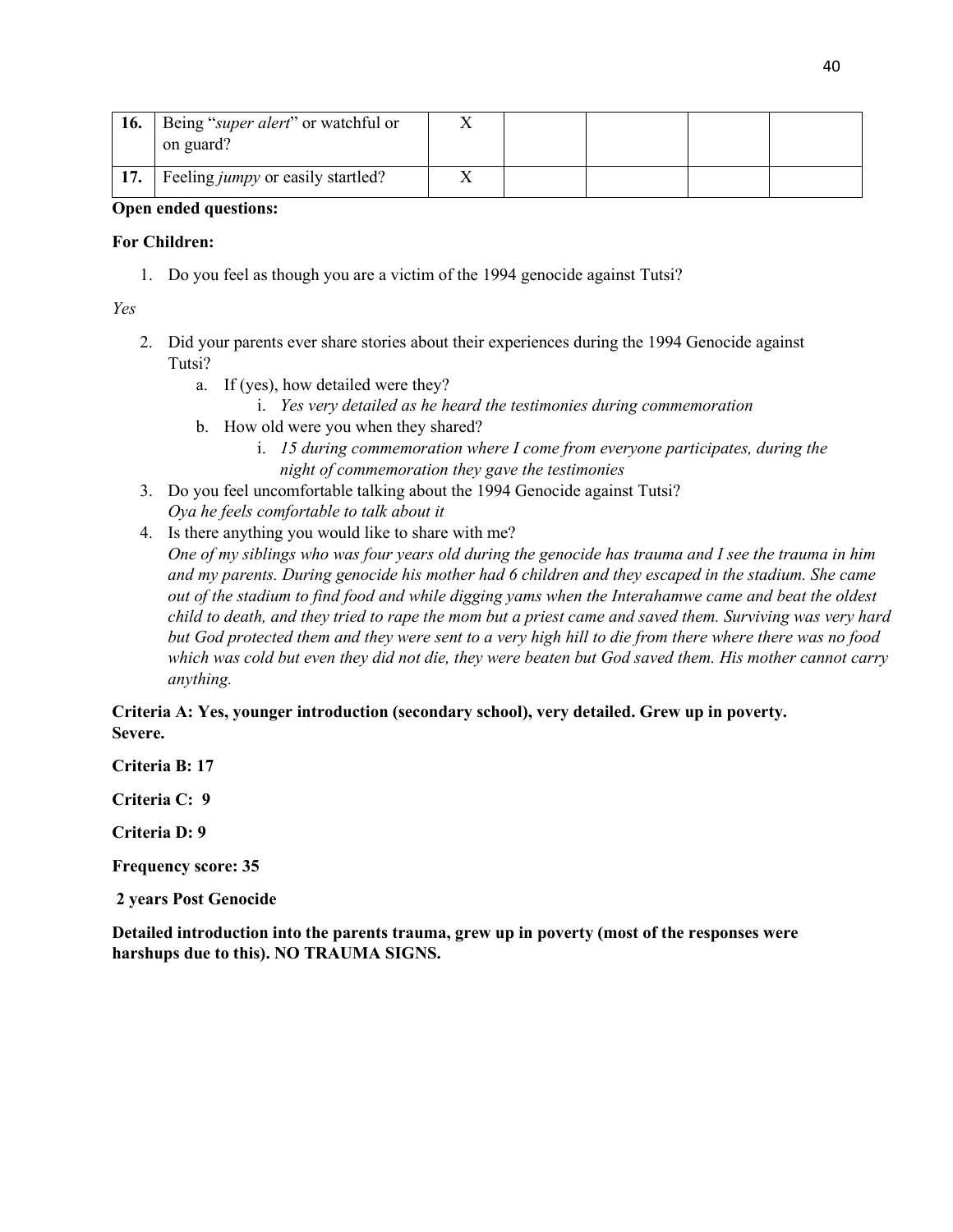| 16. | Being "super alert" or watchful or<br>on guard? |  |  |  |
|-----|-------------------------------------------------|--|--|--|
| 17. | Feeling <i>jumpy</i> or easily startled?        |  |  |  |

#### **Open ended questions:**

#### **For Children:**

1. Do you feel as though you are a victim of the 1994 genocide against Tutsi?

*Yes* 

- 2. Did your parents ever share stories about their experiences during the 1994 Genocide against Tutsi?
	- a. If (yes), how detailed were they?
	- i. *Yes very detailed as he heard the testimonies during commemoration*
	- b. How old were you when they shared?
		- i. *15 during commemoration where I come from everyone participates, during the night of commemoration they gave the testimonies*
- 3. Do you feel uncomfortable talking about the 1994 Genocide against Tutsi? *Oya he feels comfortable to talk about it*
- 4. Is there anything you would like to share with me? *One of my siblings who was four years old during the genocide has trauma and I see the trauma in him and my parents. During genocide his mother had 6 children and they escaped in the stadium. She came out of the stadium to find food and while digging yams when the Interahamwe came and beat the oldest child to death, and they tried to rape the mom but a priest came and saved them. Surviving was very hard but God protected them and they were sent to a very high hill to die from there where there was no food which was cold but even they did not die, they were beaten but God saved them. His mother cannot carry anything.*

**Criteria A: Yes, younger introduction (secondary school), very detailed. Grew up in poverty. Severe.**

**Criteria B: 17**

**Criteria C: 9**

**Criteria D: 9**

**Frequency score: 35**

**2 years Post Genocide** 

**Detailed introduction into the parents trauma, grew up in poverty (most of the responses were harshups due to this). NO TRAUMA SIGNS.**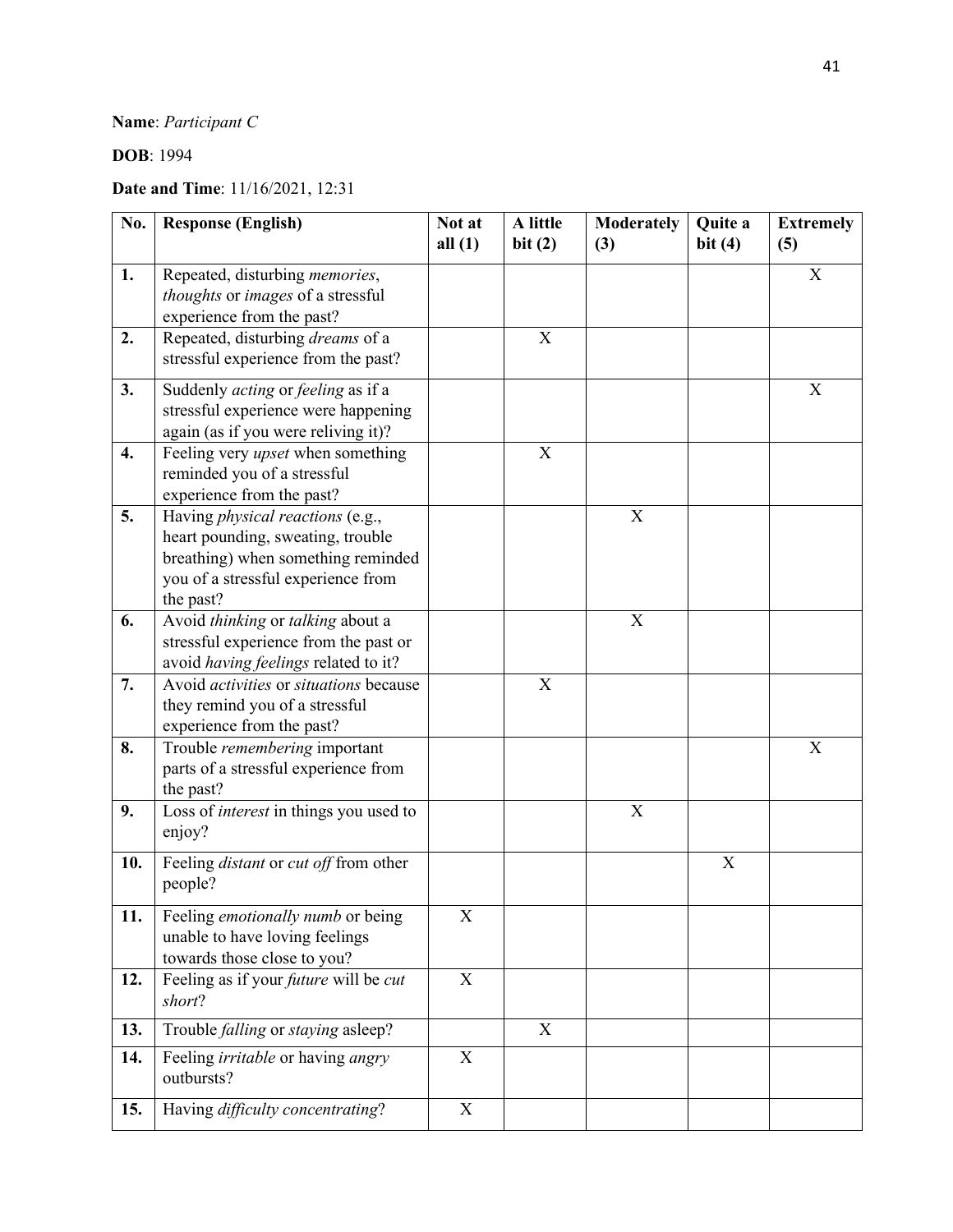### **Name**: *Participant C*

### **DOB**: 1994

### **Date and Time**: 11/16/2021, 12:31

| No. | <b>Response (English)</b>                                                                                                                                             | Not at<br>all $(1)$       | A little<br>bit(2) | Moderately<br>(3)         | Quite a<br>bit $(4)$      | <b>Extremely</b><br>(5) |
|-----|-----------------------------------------------------------------------------------------------------------------------------------------------------------------------|---------------------------|--------------------|---------------------------|---------------------------|-------------------------|
| 1.  | Repeated, disturbing <i>memories</i> ,<br>thoughts or images of a stressful<br>experience from the past?                                                              |                           |                    |                           |                           | X                       |
| 2.  | Repeated, disturbing dreams of a<br>stressful experience from the past?                                                                                               |                           | X                  |                           |                           |                         |
| 3.  | Suddenly <i>acting</i> or <i>feeling</i> as if a<br>stressful experience were happening<br>again (as if you were reliving it)?                                        |                           |                    |                           |                           | X                       |
| 4.  | Feeling very upset when something<br>reminded you of a stressful<br>experience from the past?                                                                         |                           | X                  |                           |                           |                         |
| 5.  | Having <i>physical reactions</i> (e.g.,<br>heart pounding, sweating, trouble<br>breathing) when something reminded<br>you of a stressful experience from<br>the past? |                           |                    | $\mathbf X$               |                           |                         |
| 6.  | Avoid thinking or talking about a<br>stressful experience from the past or<br>avoid having feelings related to it?                                                    |                           |                    | $\boldsymbol{\mathrm{X}}$ |                           |                         |
| 7.  | Avoid activities or situations because<br>they remind you of a stressful<br>experience from the past?                                                                 |                           | X                  |                           |                           |                         |
| 8.  | Trouble remembering important<br>parts of a stressful experience from<br>the past?                                                                                    |                           |                    |                           |                           | X                       |
| 9.  | Loss of <i>interest</i> in things you used to<br>enjoy?                                                                                                               |                           |                    | X                         |                           |                         |
| 10. | Feeling <i>distant</i> or <i>cut off</i> from other<br>people?                                                                                                        |                           |                    |                           | $\boldsymbol{\mathrm{X}}$ |                         |
| 11. | Feeling emotionally numb or being<br>unable to have loving feelings<br>towards those close to you?                                                                    | X                         |                    |                           |                           |                         |
| 12. | Feeling as if your future will be cut<br>short?                                                                                                                       | X                         |                    |                           |                           |                         |
| 13. | Trouble falling or staying asleep?                                                                                                                                    |                           | X                  |                           |                           |                         |
| 14. | Feeling <i>irritable</i> or having <i>angry</i><br>outbursts?                                                                                                         | $\boldsymbol{\mathrm{X}}$ |                    |                           |                           |                         |
| 15. | Having difficulty concentrating?                                                                                                                                      | X                         |                    |                           |                           |                         |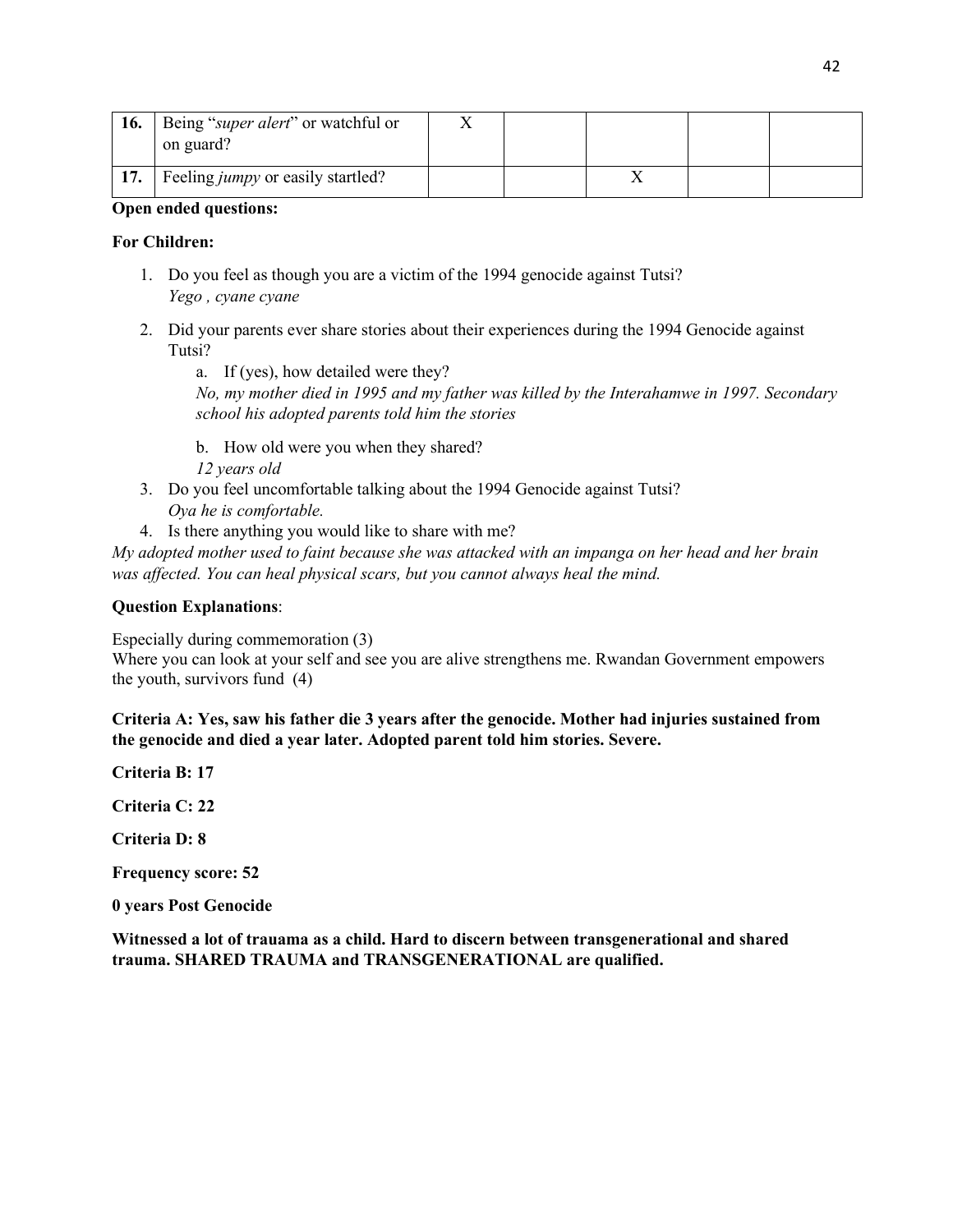| 16. | Being "super alert" or watchful or<br>on guard? |  |  |  |
|-----|-------------------------------------------------|--|--|--|
| 17. | Feeling <i>jumpy</i> or easily startled?        |  |  |  |

#### **Open ended questions:**

#### **For Children:**

- 1. Do you feel as though you are a victim of the 1994 genocide against Tutsi? *Yego , cyane cyane*
- 2. Did your parents ever share stories about their experiences during the 1994 Genocide against Tutsi?
	- a. If (yes), how detailed were they? *No, my mother died in 1995 and my father was killed by the Interahamwe in 1997. Secondary school his adopted parents told him the stories*
	- b. How old were you when they shared? *12 years old*
- 3. Do you feel uncomfortable talking about the 1994 Genocide against Tutsi? *Oya he is comfortable.*
- 4. Is there anything you would like to share with me?

*My adopted mother used to faint because she was attacked with an impanga on her head and her brain was affected. You can heal physical scars, but you cannot always heal the mind.* 

#### **Question Explanations**:

Especially during commemoration (3)

Where you can look at your self and see you are alive strengthens me. Rwandan Government empowers the youth, survivors fund (4)

**Criteria A: Yes, saw his father die 3 years after the genocide. Mother had injuries sustained from the genocide and died a year later. Adopted parent told him stories. Severe.** 

**Criteria B: 17**

**Criteria C: 22** 

**Criteria D: 8**

**Frequency score: 52**

**0 years Post Genocide** 

**Witnessed a lot of trauama as a child. Hard to discern between transgenerational and shared trauma. SHARED TRAUMA and TRANSGENERATIONAL are qualified.**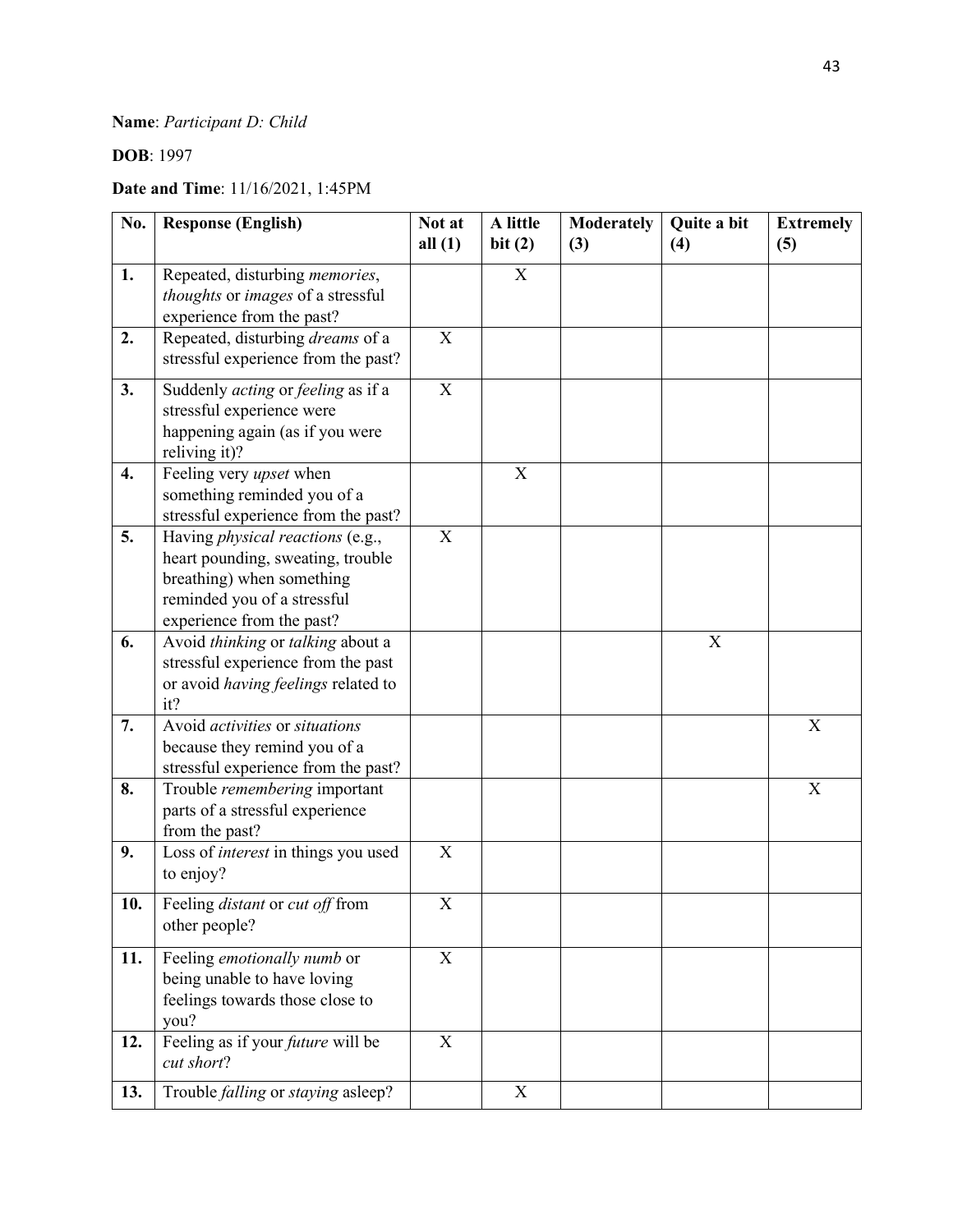### **Name**: *Participant D: Child*

### **DOB**: 1997

### **Date and Time**: 11/16/2021, 1:45PM

| No. | <b>Response (English)</b>                                                                                                                                             | Not at<br>all $(1)$ | A little<br>bit(2) | <b>Moderately</b><br>(3) | Quite a bit<br>(4) | <b>Extremely</b><br>(5) |
|-----|-----------------------------------------------------------------------------------------------------------------------------------------------------------------------|---------------------|--------------------|--------------------------|--------------------|-------------------------|
| 1.  | Repeated, disturbing <i>memories</i> ,<br>thoughts or images of a stressful<br>experience from the past?                                                              |                     | X                  |                          |                    |                         |
| 2.  | Repeated, disturbing dreams of a<br>stressful experience from the past?                                                                                               | X                   |                    |                          |                    |                         |
| 3.  | Suddenly <i>acting</i> or <i>feeling</i> as if a<br>stressful experience were<br>happening again (as if you were<br>reliving it)?                                     | X                   |                    |                          |                    |                         |
| 4.  | Feeling very <i>upset</i> when<br>something reminded you of a<br>stressful experience from the past?                                                                  |                     | $\mathbf X$        |                          |                    |                         |
| 5.  | Having <i>physical reactions</i> (e.g.,<br>heart pounding, sweating, trouble<br>breathing) when something<br>reminded you of a stressful<br>experience from the past? | X                   |                    |                          |                    |                         |
| 6.  | Avoid thinking or talking about a<br>stressful experience from the past<br>or avoid having feelings related to<br>it?                                                 |                     |                    |                          | $\mathbf X$        |                         |
| 7.  | Avoid activities or situations<br>because they remind you of a<br>stressful experience from the past?                                                                 |                     |                    |                          |                    | X                       |
| 8.  | Trouble remembering important<br>parts of a stressful experience<br>from the past?                                                                                    |                     |                    |                          |                    | $\mathbf X$             |
| 9.  | Loss of interest in things you used<br>to enjoy?                                                                                                                      | X                   |                    |                          |                    |                         |
| 10. | Feeling <i>distant</i> or <i>cut off</i> from<br>other people?                                                                                                        | $\mathbf X$         |                    |                          |                    |                         |
| 11. | Feeling emotionally numb or<br>being unable to have loving<br>feelings towards those close to<br>you?                                                                 | $\mathbf X$         |                    |                          |                    |                         |
| 12. | Feeling as if your <i>future</i> will be<br>cut short?                                                                                                                | $\mathbf X$         |                    |                          |                    |                         |
| 13. | Trouble falling or staying asleep?                                                                                                                                    |                     | X                  |                          |                    |                         |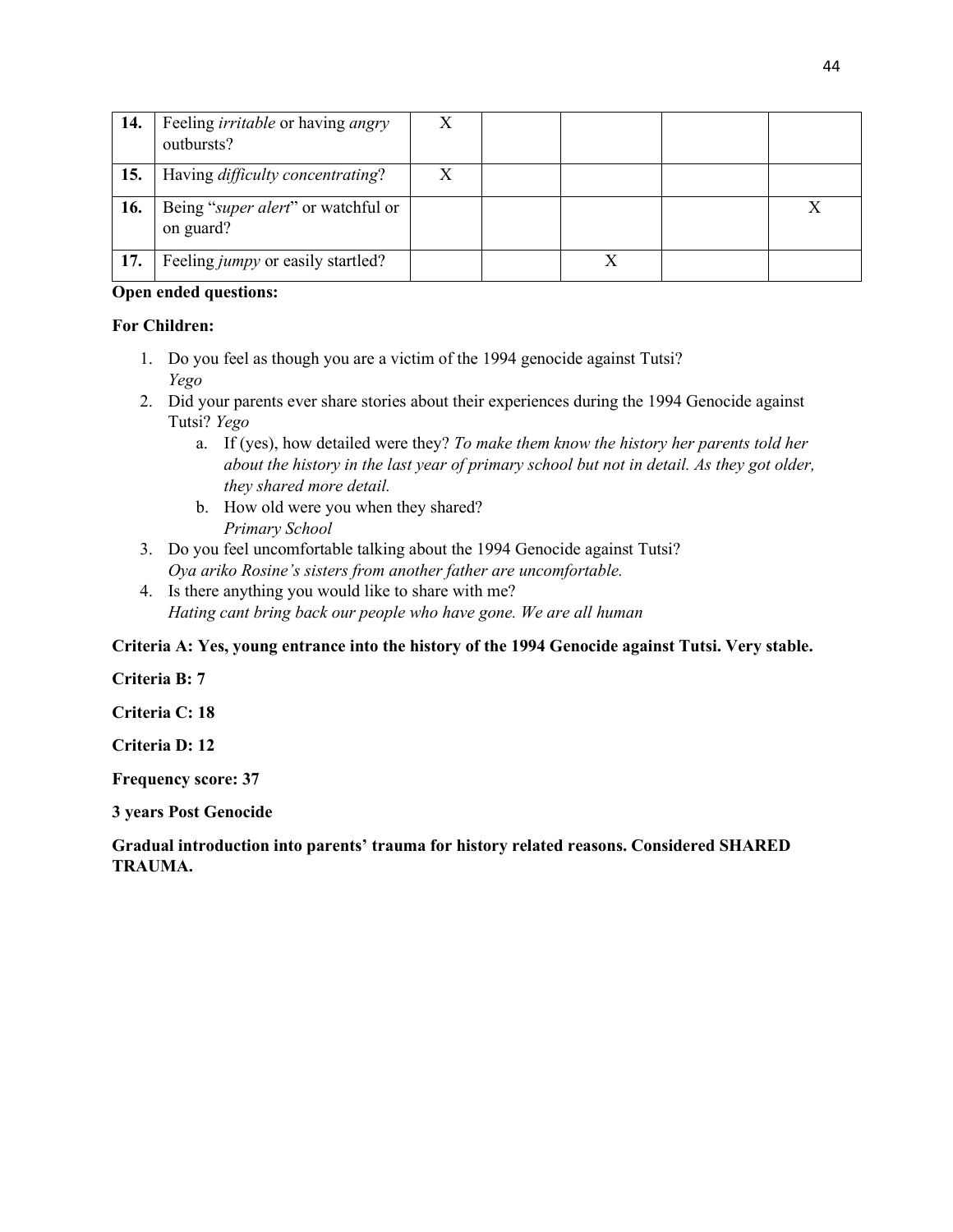| 14. | Feeling <i>irritable</i> or having <i>angry</i><br>outbursts? |  |  |  |
|-----|---------------------------------------------------------------|--|--|--|
| 15. | Having <i>difficulty concentrating?</i>                       |  |  |  |
| 16. | Being "super alert" or watchful or<br>on guard?               |  |  |  |
| 17. | Feeling <i>jumpy</i> or easily startled?                      |  |  |  |

#### **Open ended questions:**

#### **For Children:**

- 1. Do you feel as though you are a victim of the 1994 genocide against Tutsi? *Yego*
- 2. Did your parents ever share stories about their experiences during the 1994 Genocide against Tutsi? *Yego* 
	- a. If (yes), how detailed were they? *To make them know the history her parents told her about the history in the last year of primary school but not in detail. As they got older, they shared more detail.*
	- b. How old were you when they shared? *Primary School*
- 3. Do you feel uncomfortable talking about the 1994 Genocide against Tutsi? *Oya ariko Rosine's sisters from another father are uncomfortable.*
- 4. Is there anything you would like to share with me? *Hating cant bring back our people who have gone. We are all human*

#### **Criteria A: Yes, young entrance into the history of the 1994 Genocide against Tutsi. Very stable.**

#### **Criteria B: 7**

**Criteria C: 18** 

**Criteria D: 12**

**Frequency score: 37**

**3 years Post Genocide** 

**Gradual introduction into parents' trauma for history related reasons. Considered SHARED TRAUMA.**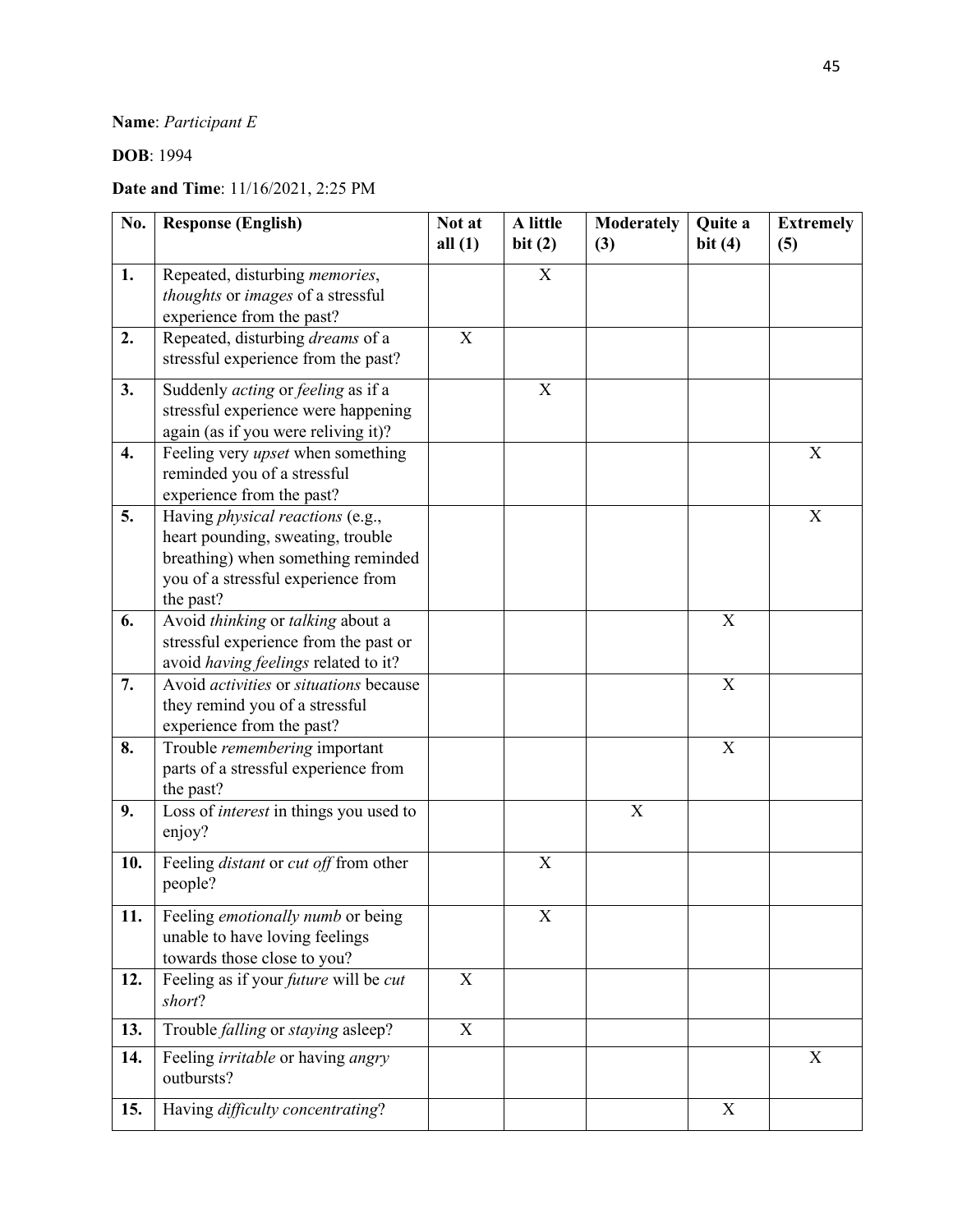### **Name**: *Participant E*

### **DOB**: 1994

### **Date and Time**: 11/16/2021, 2:25 PM

| No. | <b>Response (English)</b>                                                                                                                                             | Not at<br>all $(1)$       | A little<br>bit(2) | <b>Moderately</b><br>(3)  | Quite a<br>bit $(4)$ | <b>Extremely</b><br>(5)   |
|-----|-----------------------------------------------------------------------------------------------------------------------------------------------------------------------|---------------------------|--------------------|---------------------------|----------------------|---------------------------|
| 1.  | Repeated, disturbing <i>memories</i> ,<br>thoughts or images of a stressful<br>experience from the past?                                                              |                           | X                  |                           |                      |                           |
| 2.  | Repeated, disturbing dreams of a<br>stressful experience from the past?                                                                                               | X                         |                    |                           |                      |                           |
| 3.  | Suddenly acting or feeling as if a<br>stressful experience were happening<br>again (as if you were reliving it)?                                                      |                           | X                  |                           |                      |                           |
| 4.  | Feeling very upset when something<br>reminded you of a stressful<br>experience from the past?                                                                         |                           |                    |                           |                      | $\mathbf X$               |
| 5.  | Having <i>physical reactions</i> (e.g.,<br>heart pounding, sweating, trouble<br>breathing) when something reminded<br>you of a stressful experience from<br>the past? |                           |                    |                           |                      | X                         |
| 6.  | Avoid thinking or talking about a<br>stressful experience from the past or<br>avoid having feelings related to it?                                                    |                           |                    |                           | X                    |                           |
| 7.  | Avoid <i>activities</i> or <i>situations</i> because<br>they remind you of a stressful<br>experience from the past?                                                   |                           |                    |                           | X                    |                           |
| 8.  | Trouble remembering important<br>parts of a stressful experience from<br>the past?                                                                                    |                           |                    |                           | X                    |                           |
| 9.  | Loss of <i>interest</i> in things you used to<br>enjoy?                                                                                                               |                           |                    | $\boldsymbol{\mathrm{X}}$ |                      |                           |
| 10. | Feeling <i>distant</i> or <i>cut off</i> from other<br>people?                                                                                                        |                           | X                  |                           |                      |                           |
| 11. | Feeling emotionally numb or being<br>unable to have loving feelings<br>towards those close to you?                                                                    |                           | X                  |                           |                      |                           |
| 12. | Feeling as if your <i>future</i> will be <i>cut</i><br>short?                                                                                                         | $\boldsymbol{\mathrm{X}}$ |                    |                           |                      |                           |
| 13. | Trouble falling or staying asleep?                                                                                                                                    | $\boldsymbol{\mathrm{X}}$ |                    |                           |                      |                           |
| 14. | Feeling <i>irritable</i> or having <i>angry</i><br>outbursts?                                                                                                         |                           |                    |                           |                      | $\boldsymbol{\mathrm{X}}$ |
| 15. | Having difficulty concentrating?                                                                                                                                      |                           |                    |                           | X                    |                           |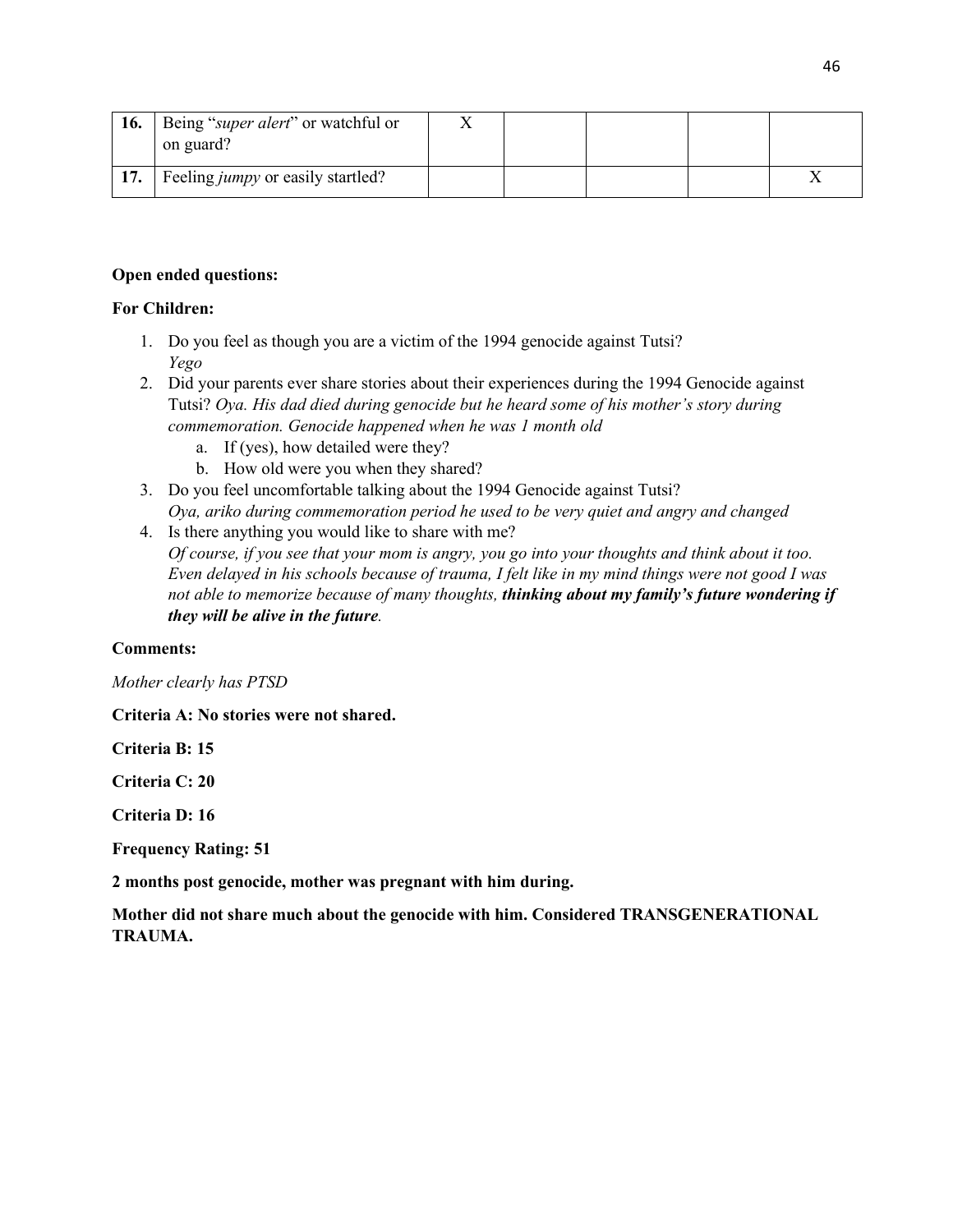| 16. | Being "super alert" or watchful or<br>on guard? |  |  |  |
|-----|-------------------------------------------------|--|--|--|
| 17. | Feeling <i>jumpy</i> or easily startled?        |  |  |  |

#### **Open ended questions:**

#### **For Children:**

- 1. Do you feel as though you are a victim of the 1994 genocide against Tutsi? *Yego*
- 2. Did your parents ever share stories about their experiences during the 1994 Genocide against Tutsi? *Oya. His dad died during genocide but he heard some of his mother's story during commemoration. Genocide happened when he was 1 month old*
	- a. If (yes), how detailed were they?
	- b. How old were you when they shared?
- 3. Do you feel uncomfortable talking about the 1994 Genocide against Tutsi? *Oya, ariko during commemoration period he used to be very quiet and angry and changed*
- 4. Is there anything you would like to share with me? *Of course, if you see that your mom is angry, you go into your thoughts and think about it too. Even delayed in his schools because of trauma, I felt like in my mind things were not good I was not able to memorize because of many thoughts, thinking about my family's future wondering if they will be alive in the future.*

#### **Comments:**

*Mother clearly has PTSD* 

**Criteria A: No stories were not shared.** 

**Criteria B: 15** 

**Criteria C: 20** 

**Criteria D: 16**

**Frequency Rating: 51**

**2 months post genocide, mother was pregnant with him during.** 

**Mother did not share much about the genocide with him. Considered TRANSGENERATIONAL TRAUMA.**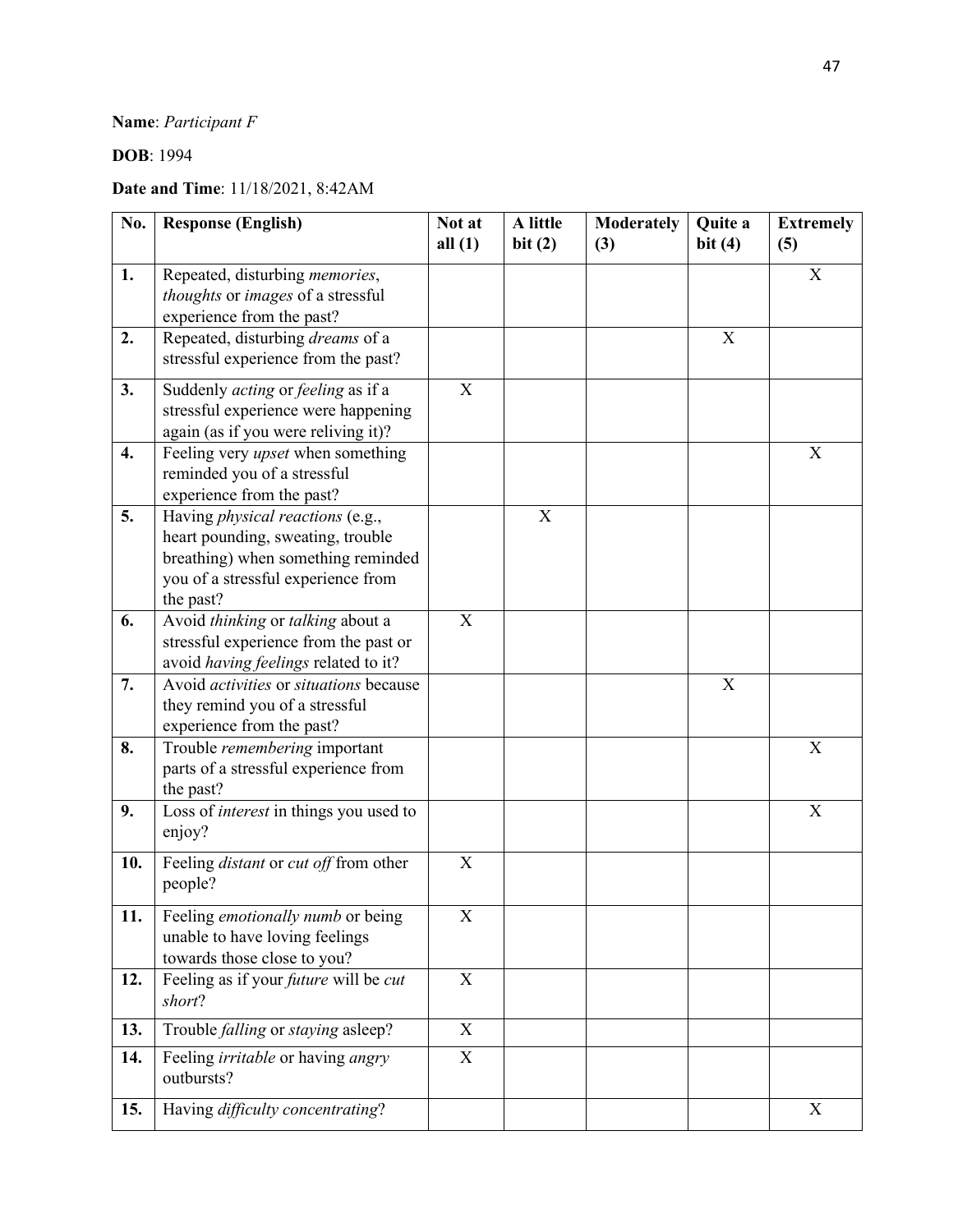### **Name**: *Participant F*

### **DOB**: 1994

### **Date and Time**: 11/18/2021, 8:42AM

| No. | <b>Response (English)</b>                                                                                                                                             | Not at<br>all $(1)$       | A little<br>bit(2) | <b>Moderately</b><br>(3) | Quite a<br>bit(4) | <b>Extremely</b><br>(5) |
|-----|-----------------------------------------------------------------------------------------------------------------------------------------------------------------------|---------------------------|--------------------|--------------------------|-------------------|-------------------------|
| 1.  | Repeated, disturbing <i>memories</i> ,<br>thoughts or images of a stressful<br>experience from the past?                                                              |                           |                    |                          |                   | X                       |
| 2.  | Repeated, disturbing dreams of a<br>stressful experience from the past?                                                                                               |                           |                    |                          | X                 |                         |
| 3.  | Suddenly <i>acting</i> or <i>feeling</i> as if a<br>stressful experience were happening<br>again (as if you were reliving it)?                                        | X                         |                    |                          |                   |                         |
| 4.  | Feeling very <i>upset</i> when something<br>reminded you of a stressful<br>experience from the past?                                                                  |                           |                    |                          |                   | X                       |
| 5.  | Having <i>physical reactions</i> (e.g.,<br>heart pounding, sweating, trouble<br>breathing) when something reminded<br>you of a stressful experience from<br>the past? |                           | $\mathbf X$        |                          |                   |                         |
| 6.  | Avoid thinking or talking about a<br>stressful experience from the past or<br>avoid having feelings related to it?                                                    | X                         |                    |                          |                   |                         |
| 7.  | Avoid <i>activities</i> or <i>situations</i> because<br>they remind you of a stressful<br>experience from the past?                                                   |                           |                    |                          | X                 |                         |
| 8.  | Trouble remembering important<br>parts of a stressful experience from<br>the past?                                                                                    |                           |                    |                          |                   | X                       |
| 9.  | Loss of <i>interest</i> in things you used to<br>enjoy?                                                                                                               |                           |                    |                          |                   | X                       |
| 10. | Feeling <i>distant</i> or <i>cut off</i> from other<br>people?                                                                                                        | $\boldsymbol{\mathrm{X}}$ |                    |                          |                   |                         |
| 11. | Feeling emotionally numb or being<br>unable to have loving feelings<br>towards those close to you?                                                                    | X                         |                    |                          |                   |                         |
| 12. | Feeling as if your future will be cut<br>short?                                                                                                                       | X                         |                    |                          |                   |                         |
| 13. | Trouble falling or staying asleep?                                                                                                                                    | $\boldsymbol{\mathrm{X}}$ |                    |                          |                   |                         |
| 14. | Feeling <i>irritable</i> or having <i>angry</i><br>outbursts?                                                                                                         | $\boldsymbol{\mathrm{X}}$ |                    |                          |                   |                         |
| 15. | Having difficulty concentrating?                                                                                                                                      |                           |                    |                          |                   | X                       |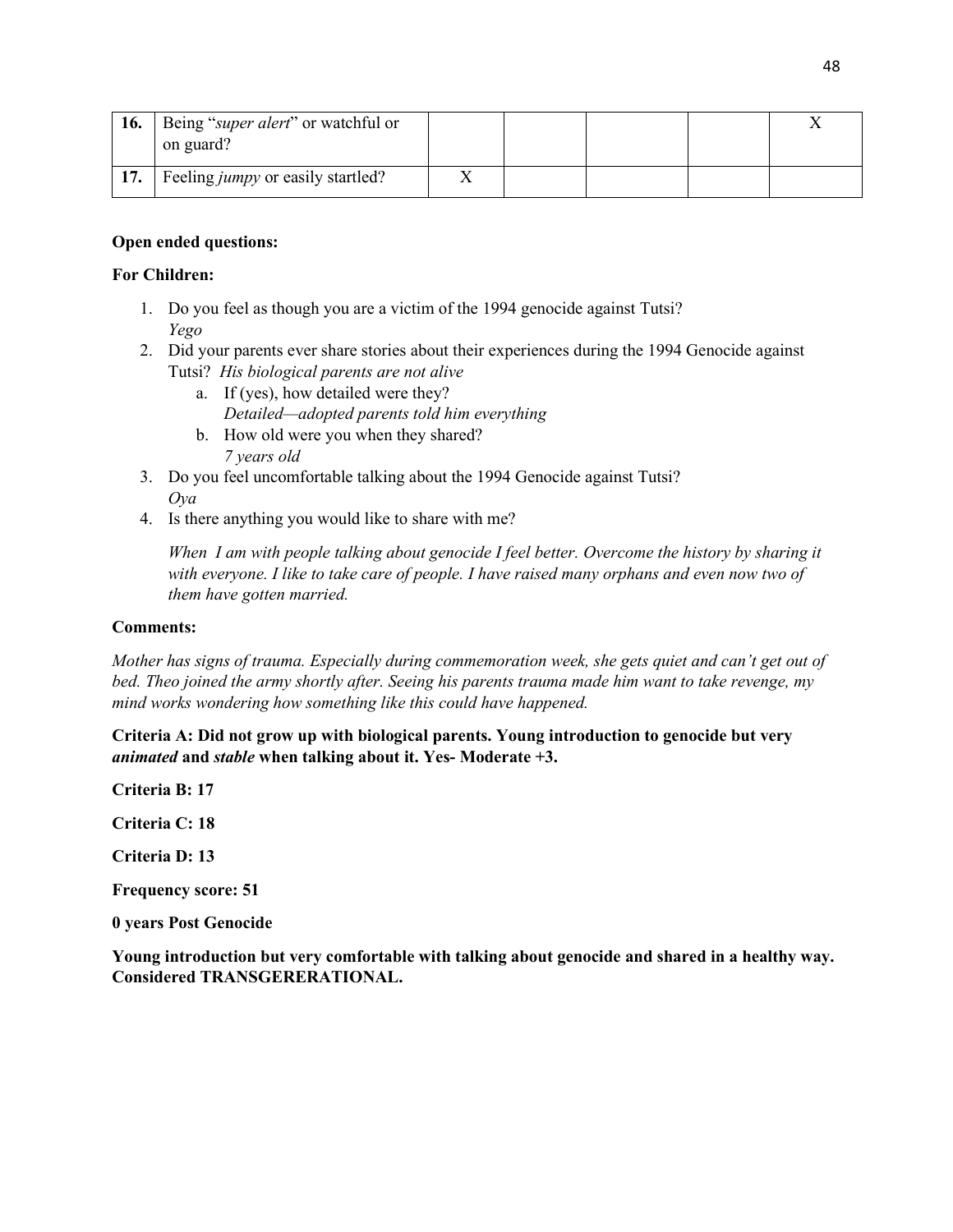| 16. | Being "super alert" or watchful or<br>on guard? |  |  |  |
|-----|-------------------------------------------------|--|--|--|
| 17. | Feeling <i>jumpy</i> or easily startled?        |  |  |  |

#### **Open ended questions:**

#### **For Children:**

- 1. Do you feel as though you are a victim of the 1994 genocide against Tutsi? *Yego*
- 2. Did your parents ever share stories about their experiences during the 1994 Genocide against Tutsi? *His biological parents are not alive* 
	- a. If (yes), how detailed were they? *Detailed—adopted parents told him everything*
	- b. How old were you when they shared? *7 years old*
- 3. Do you feel uncomfortable talking about the 1994 Genocide against Tutsi? *Oya*
- 4. Is there anything you would like to share with me?

*When I am with people talking about genocide I feel better. Overcome the history by sharing it with everyone. I like to take care of people. I have raised many orphans and even now two of them have gotten married.* 

#### **Comments:**

*Mother has signs of trauma. Especially during commemoration week, she gets quiet and can't get out of bed. Theo joined the army shortly after. Seeing his parents trauma made him want to take revenge, my mind works wondering how something like this could have happened.* 

#### **Criteria A: Did not grow up with biological parents. Young introduction to genocide but very**  *animated* **and** *stable* **when talking about it. Yes- Moderate +3.**

**Criteria B: 17**

**Criteria C: 18** 

**Criteria D: 13**

**Frequency score: 51**

**0 years Post Genocide**

**Young introduction but very comfortable with talking about genocide and shared in a healthy way. Considered TRANSGERERATIONAL.**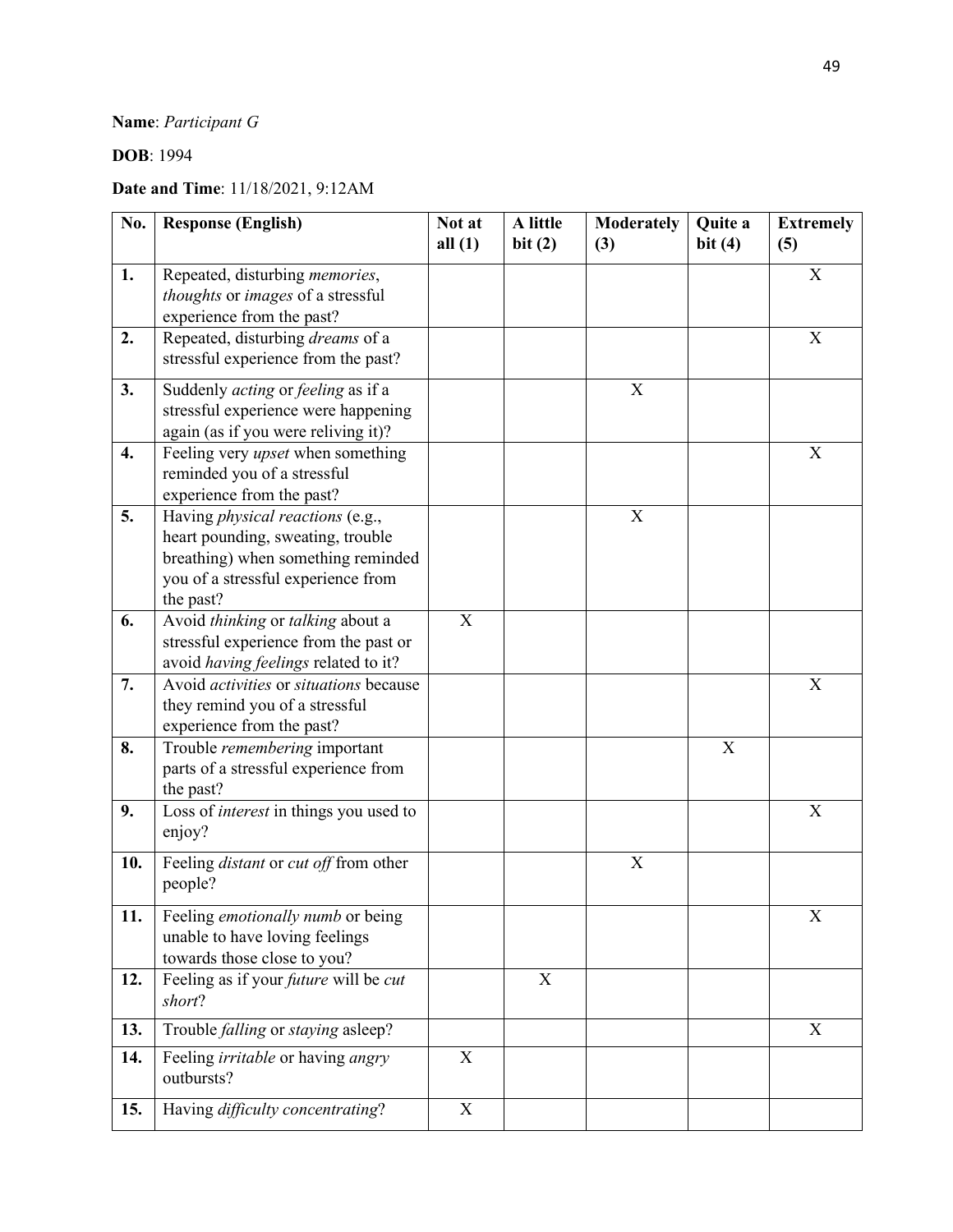### **Name**: *Participant G*

### **DOB**: 1994

### **Date and Time**: 11/18/2021, 9:12AM

| No. | <b>Response (English)</b>                                                                                                                                             | Not at<br>all $(1)$ | A little<br>bit(2) | <b>Moderately</b><br>(3)  | Quite a<br>bit $(4)$ | <b>Extremely</b><br>(5) |
|-----|-----------------------------------------------------------------------------------------------------------------------------------------------------------------------|---------------------|--------------------|---------------------------|----------------------|-------------------------|
| 1.  | Repeated, disturbing <i>memories</i> ,<br>thoughts or images of a stressful<br>experience from the past?                                                              |                     |                    |                           |                      | X                       |
| 2.  | Repeated, disturbing dreams of a<br>stressful experience from the past?                                                                                               |                     |                    |                           |                      | $\mathbf X$             |
| 3.  | Suddenly <i>acting</i> or <i>feeling</i> as if a<br>stressful experience were happening<br>again (as if you were reliving it)?                                        |                     |                    | X                         |                      |                         |
| 4.  | Feeling very <i>upset</i> when something<br>reminded you of a stressful<br>experience from the past?                                                                  |                     |                    |                           |                      | X                       |
| 5.  | Having <i>physical reactions</i> (e.g.,<br>heart pounding, sweating, trouble<br>breathing) when something reminded<br>you of a stressful experience from<br>the past? |                     |                    | $\boldsymbol{\mathrm{X}}$ |                      |                         |
| 6.  | Avoid thinking or talking about a<br>stressful experience from the past or<br>avoid having feelings related to it?                                                    | X                   |                    |                           |                      |                         |
| 7.  | Avoid <i>activities</i> or <i>situations</i> because<br>they remind you of a stressful<br>experience from the past?                                                   |                     |                    |                           |                      | X                       |
| 8.  | Trouble remembering important<br>parts of a stressful experience from<br>the past?                                                                                    |                     |                    |                           | X                    |                         |
| 9.  | Loss of <i>interest</i> in things you used to<br>enjoy?                                                                                                               |                     |                    |                           |                      | X                       |
| 10. | Feeling distant or cut off from other<br>people?                                                                                                                      |                     |                    | X                         |                      |                         |
| 11. | Feeling emotionally numb or being<br>unable to have loving feelings<br>towards those close to you?                                                                    |                     |                    |                           |                      | X                       |
| 12. | Feeling as if your future will be cut<br>short?                                                                                                                       |                     | X                  |                           |                      |                         |
| 13. | Trouble falling or staying asleep?                                                                                                                                    |                     |                    |                           |                      | X                       |
| 14. | Feeling <i>irritable</i> or having <i>angry</i><br>outbursts?                                                                                                         | X                   |                    |                           |                      |                         |
| 15. | Having difficulty concentrating?                                                                                                                                      | X                   |                    |                           |                      |                         |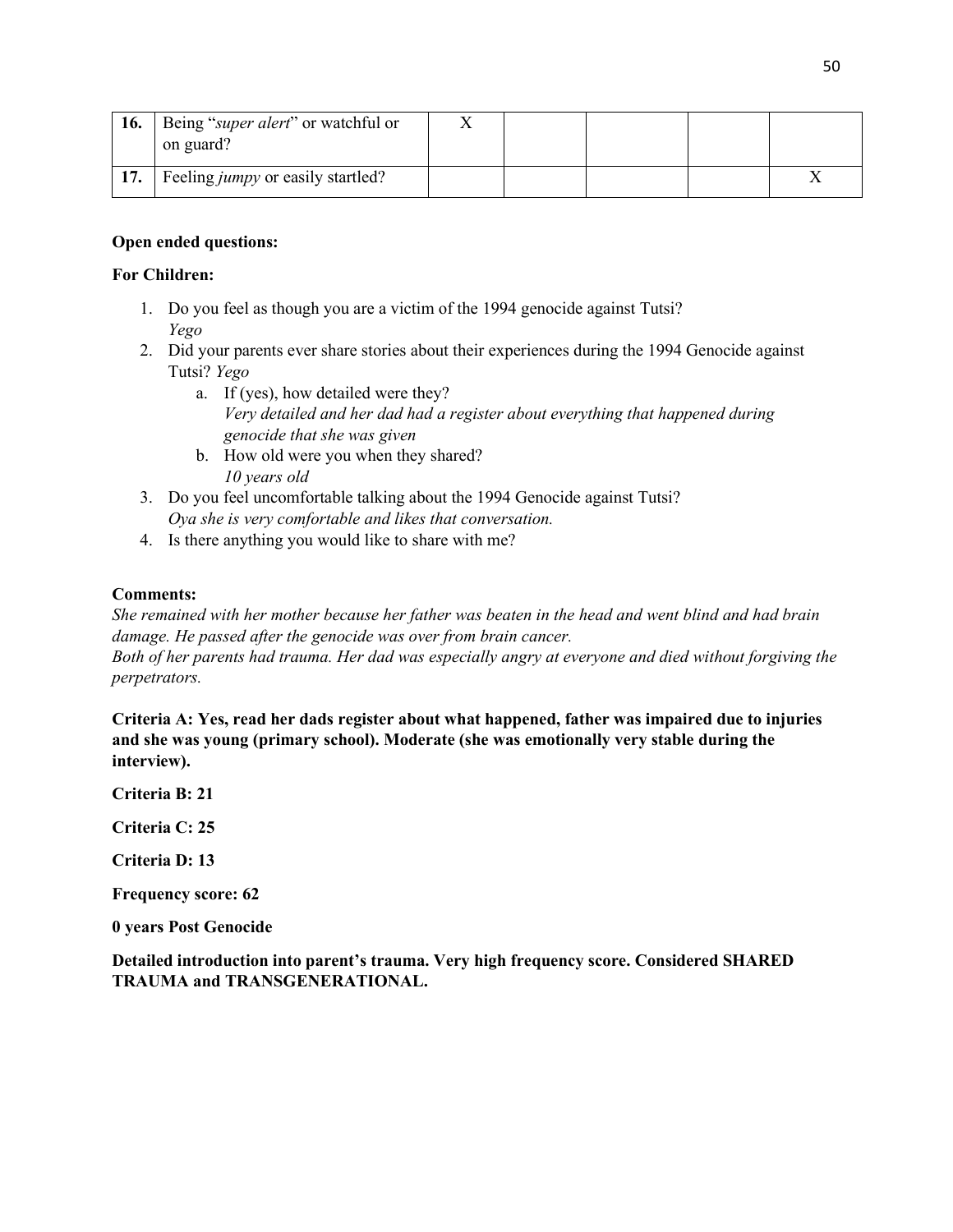| 16. | Being "super alert" or watchful or<br>on guard? |  |  |  |
|-----|-------------------------------------------------|--|--|--|
| 17. | Feeling <i>jumpy</i> or easily startled?        |  |  |  |

#### **Open ended questions:**

#### **For Children:**

- 1. Do you feel as though you are a victim of the 1994 genocide against Tutsi? *Yego*
- 2. Did your parents ever share stories about their experiences during the 1994 Genocide against Tutsi? *Yego* 
	- a. If (yes), how detailed were they? *Very detailed and her dad had a register about everything that happened during genocide that she was given*
	- b. How old were you when they shared? *10 years old*
- 3. Do you feel uncomfortable talking about the 1994 Genocide against Tutsi? *Oya she is very comfortable and likes that conversation.*
- 4. Is there anything you would like to share with me?

#### **Comments:**

*She remained with her mother because her father was beaten in the head and went blind and had brain damage. He passed after the genocide was over from brain cancer. Both of her parents had trauma. Her dad was especially angry at everyone and died without forgiving the perpetrators.* 

**Criteria A: Yes, read her dads register about what happened, father was impaired due to injuries and she was young (primary school). Moderate (she was emotionally very stable during the interview).** 

**Criteria B: 21**

**Criteria C: 25**

**Criteria D: 13**

**Frequency score: 62**

**0 years Post Genocide** 

**Detailed introduction into parent's trauma. Very high frequency score. Considered SHARED TRAUMA and TRANSGENERATIONAL.**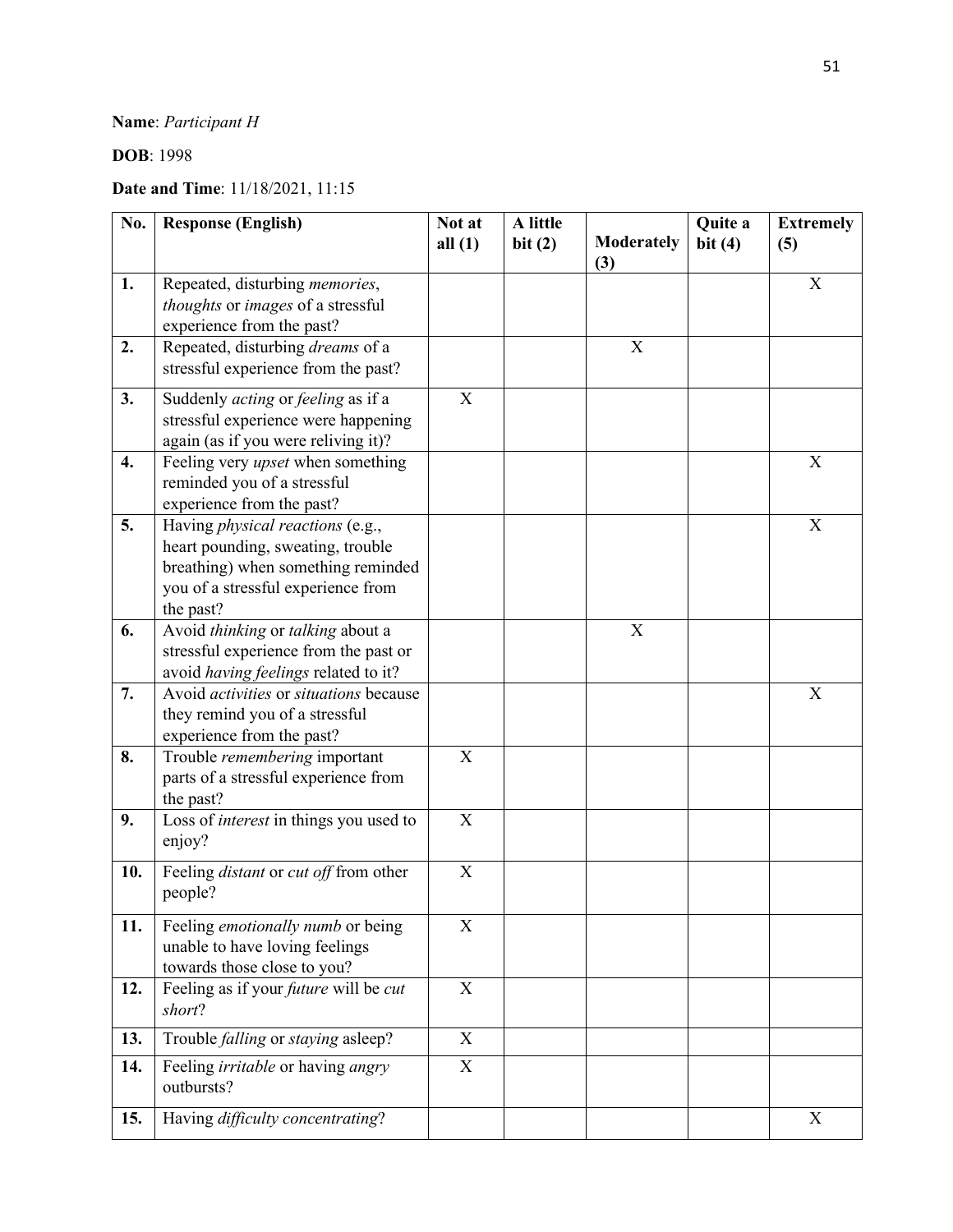### **Name**: *Participant H*

### **DOB**: 1998

### **Date and Time**: 11/18/2021, 11:15

| No. | <b>Response (English)</b>                                                                                                                                      | Not at<br>all $(1)$       | A little<br>bit(2) | Moderately  | Quite a<br>bit $(4)$ | <b>Extremely</b><br>(5) |
|-----|----------------------------------------------------------------------------------------------------------------------------------------------------------------|---------------------------|--------------------|-------------|----------------------|-------------------------|
|     |                                                                                                                                                                |                           |                    | (3)         |                      |                         |
| 1.  | Repeated, disturbing <i>memories</i> ,<br>thoughts or images of a stressful<br>experience from the past?                                                       |                           |                    |             |                      | X                       |
| 2.  | Repeated, disturbing dreams of a<br>stressful experience from the past?                                                                                        |                           |                    | X           |                      |                         |
| 3.  | Suddenly acting or feeling as if a<br>stressful experience were happening<br>again (as if you were reliving it)?                                               | $\boldsymbol{\mathrm{X}}$ |                    |             |                      |                         |
| 4.  | Feeling very upset when something<br>reminded you of a stressful<br>experience from the past?                                                                  |                           |                    |             |                      | $\mathbf X$             |
| 5.  | Having physical reactions (e.g.,<br>heart pounding, sweating, trouble<br>breathing) when something reminded<br>you of a stressful experience from<br>the past? |                           |                    |             |                      | X                       |
| 6.  | Avoid thinking or talking about a<br>stressful experience from the past or<br>avoid having feelings related to it?                                             |                           |                    | $\mathbf X$ |                      |                         |
| 7.  | Avoid <i>activities</i> or <i>situations</i> because<br>they remind you of a stressful<br>experience from the past?                                            |                           |                    |             |                      | X                       |
| 8.  | Trouble remembering important<br>parts of a stressful experience from<br>the past?                                                                             | X                         |                    |             |                      |                         |
| 9.  | Loss of <i>interest</i> in things you used to<br>enjoy?                                                                                                        | X                         |                    |             |                      |                         |
| 10. | Feeling <i>distant</i> or <i>cut off</i> from other<br>people?                                                                                                 | X                         |                    |             |                      |                         |
| 11. | Feeling emotionally numb or being<br>unable to have loving feelings<br>towards those close to you?                                                             | $\mathbf X$               |                    |             |                      |                         |
| 12. | Feeling as if your <i>future</i> will be <i>cut</i><br>short?                                                                                                  | X                         |                    |             |                      |                         |
| 13. | Trouble falling or staying asleep?                                                                                                                             | X                         |                    |             |                      |                         |
| 14. | Feeling <i>irritable</i> or having <i>angry</i><br>outbursts?                                                                                                  | $\mathbf X$               |                    |             |                      |                         |
| 15. | Having difficulty concentrating?                                                                                                                               |                           |                    |             |                      | X                       |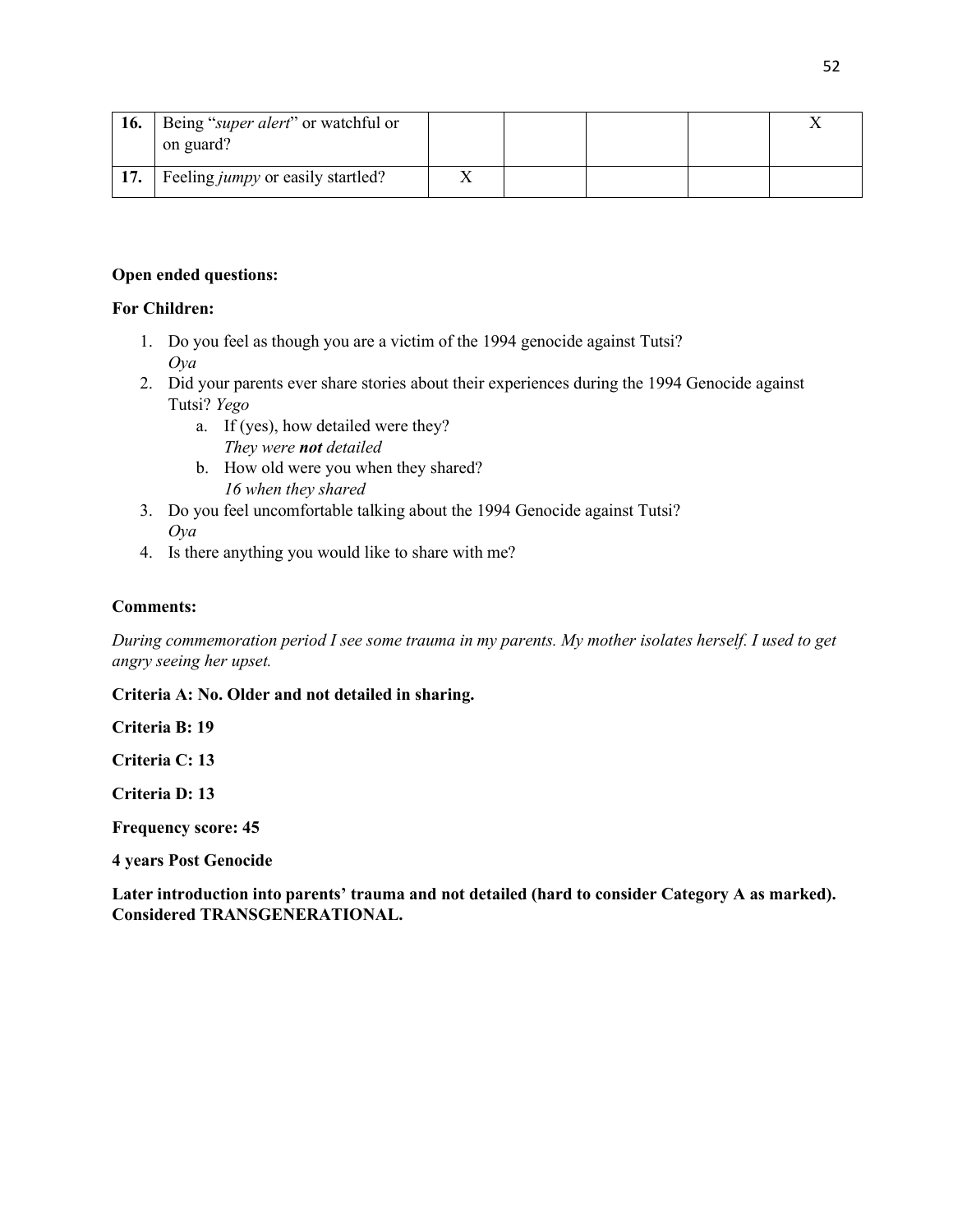| 16. | Being "super alert" or watchful or<br>on guard? |  |  |  |
|-----|-------------------------------------------------|--|--|--|
| 17. | Feeling <i>jumpy</i> or easily startled?        |  |  |  |

#### **Open ended questions:**

#### **For Children:**

- 1. Do you feel as though you are a victim of the 1994 genocide against Tutsi? *Oya*
- 2. Did your parents ever share stories about their experiences during the 1994 Genocide against Tutsi? *Yego* 
	- a. If (yes), how detailed were they? *They were not detailed*
	- b. How old were you when they shared? *16 when they shared*
- 3. Do you feel uncomfortable talking about the 1994 Genocide against Tutsi? *Oya*
- 4. Is there anything you would like to share with me?

#### **Comments:**

*During commemoration period I see some trauma in my parents. My mother isolates herself. I used to get angry seeing her upset.* 

**Criteria A: No. Older and not detailed in sharing.** 

**Criteria B: 19**

**Criteria C: 13**

**Criteria D: 13**

**Frequency score: 45**

**4 years Post Genocide** 

**Later introduction into parents' trauma and not detailed (hard to consider Category A as marked). Considered TRANSGENERATIONAL.**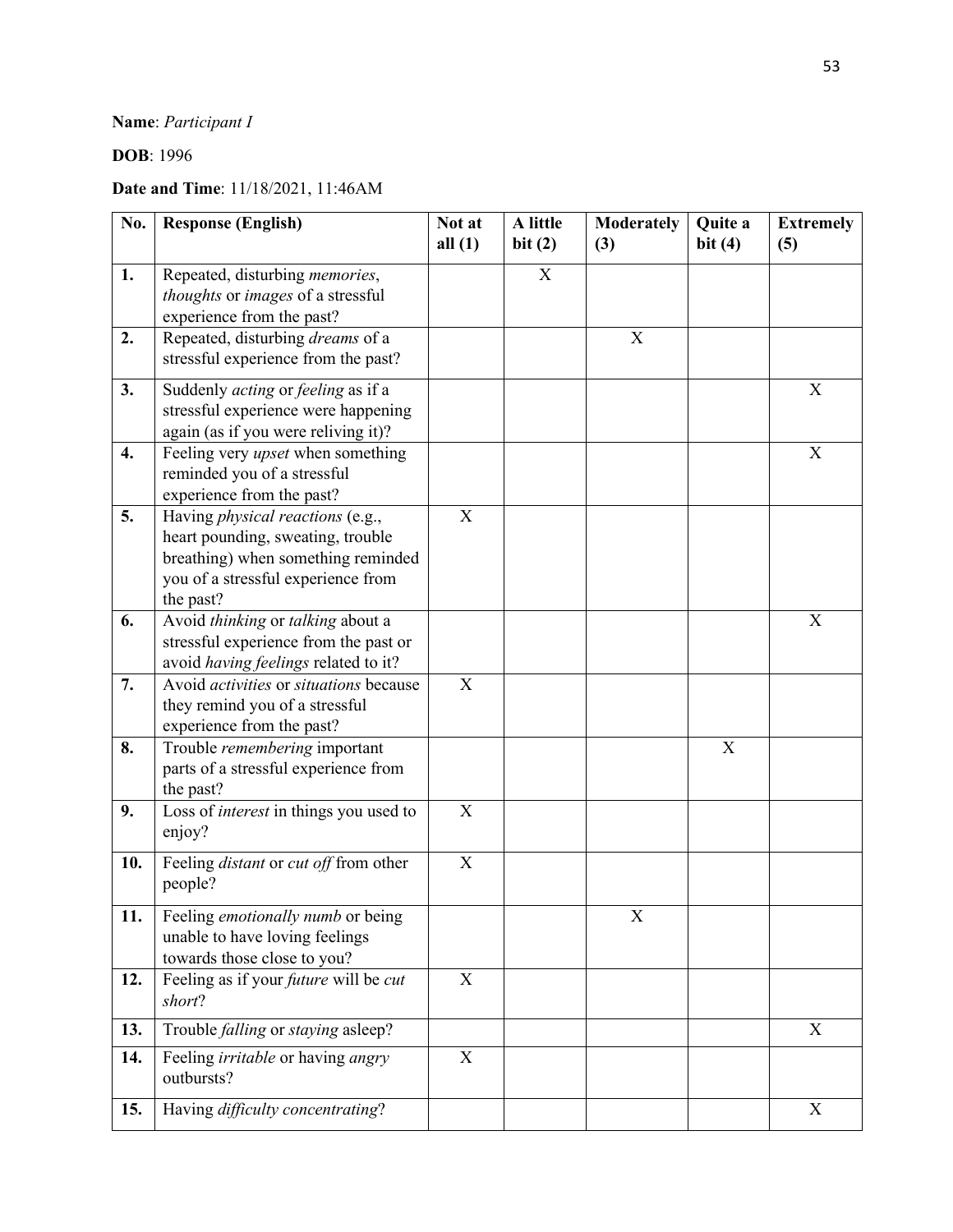### **Name**: *Participant I*

**DOB**: 1996

### **Date and Time**: 11/18/2021, 11:46AM

| No.      | <b>Response (English)</b>                                                                                                                                             | Not at<br>all $(1)$ | A little<br>bit(2) | <b>Moderately</b><br>(3)  | Quite a<br>bit $(4)$ | <b>Extremely</b><br>(5) |
|----------|-----------------------------------------------------------------------------------------------------------------------------------------------------------------------|---------------------|--------------------|---------------------------|----------------------|-------------------------|
| 1.<br>2. | Repeated, disturbing <i>memories</i> ,<br>thoughts or images of a stressful<br>experience from the past?<br>Repeated, disturbing dreams of a                          |                     | X                  | $\boldsymbol{\mathrm{X}}$ |                      |                         |
|          | stressful experience from the past?                                                                                                                                   |                     |                    |                           |                      |                         |
| 3.       | Suddenly acting or feeling as if a<br>stressful experience were happening<br>again (as if you were reliving it)?                                                      |                     |                    |                           |                      | X                       |
| 4.       | Feeling very <i>upset</i> when something<br>reminded you of a stressful<br>experience from the past?                                                                  |                     |                    |                           |                      | X                       |
| 5.       | Having <i>physical reactions</i> (e.g.,<br>heart pounding, sweating, trouble<br>breathing) when something reminded<br>you of a stressful experience from<br>the past? | X                   |                    |                           |                      |                         |
| 6.       | Avoid thinking or talking about a<br>stressful experience from the past or<br>avoid having feelings related to it?                                                    |                     |                    |                           |                      | X                       |
| 7.       | Avoid <i>activities</i> or <i>situations</i> because<br>they remind you of a stressful<br>experience from the past?                                                   | X                   |                    |                           |                      |                         |
| 8.       | Trouble remembering important<br>parts of a stressful experience from<br>the past?                                                                                    |                     |                    |                           | $\mathbf X$          |                         |
| 9.       | Loss of <i>interest</i> in things you used to<br>enjoy?                                                                                                               | X                   |                    |                           |                      |                         |
| 10.      | Feeling <i>distant</i> or <i>cut off</i> from other<br>people?                                                                                                        | X                   |                    |                           |                      |                         |
| 11.      | Feeling emotionally numb or being<br>unable to have loving feelings<br>towards those close to you?                                                                    |                     |                    | X                         |                      |                         |
| 12.      | Feeling as if your <i>future</i> will be <i>cut</i><br>short?                                                                                                         | X                   |                    |                           |                      |                         |
| 13.      | Trouble falling or staying asleep?                                                                                                                                    |                     |                    |                           |                      | X                       |
| 14.      | Feeling <i>irritable</i> or having <i>angry</i><br>outbursts?                                                                                                         | X                   |                    |                           |                      |                         |
| 15.      | Having difficulty concentrating?                                                                                                                                      |                     |                    |                           |                      | X                       |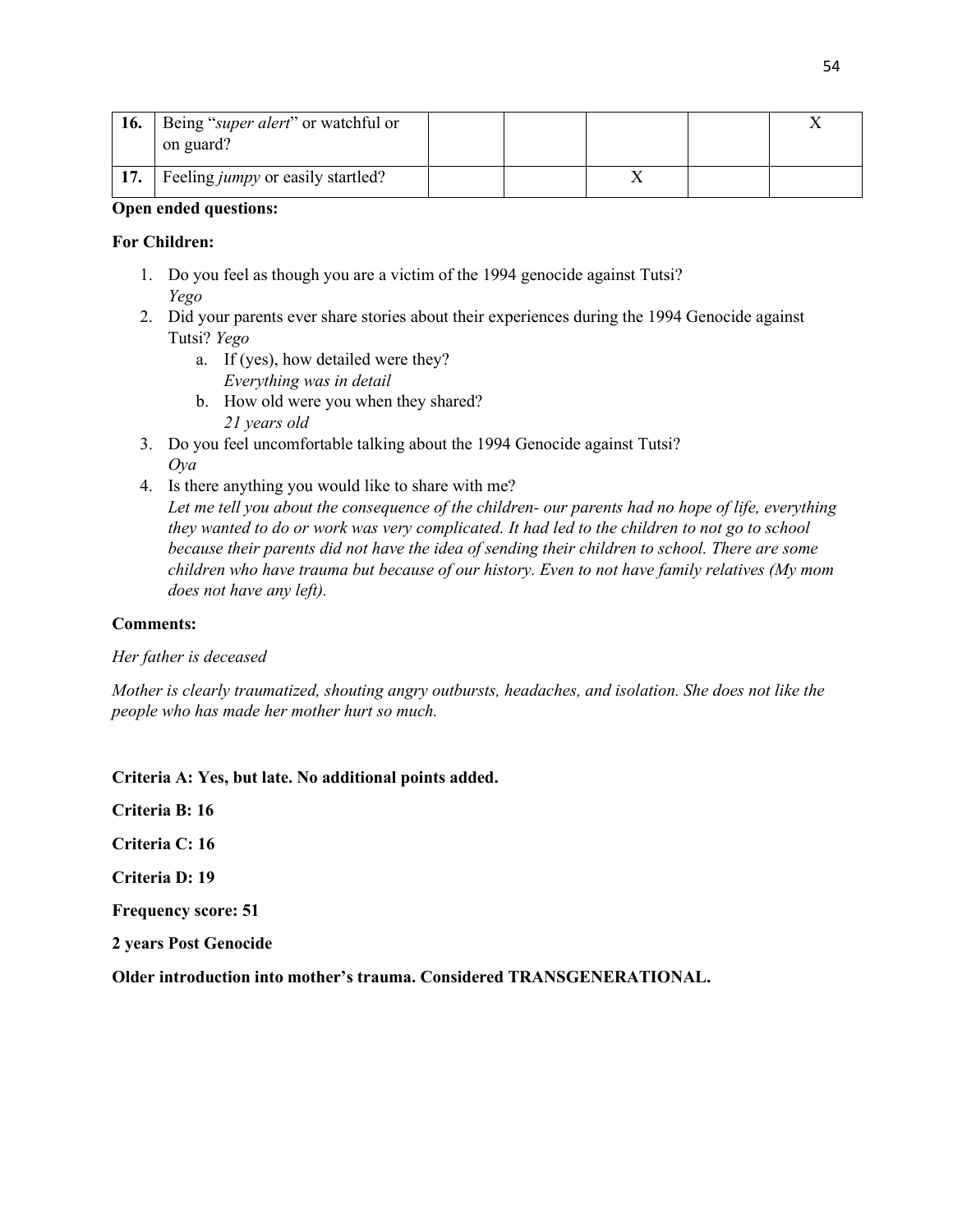| 16. | Being "super alert" or watchful or<br>on guard? |  |  |  |
|-----|-------------------------------------------------|--|--|--|
| 17. | Feeling <i>jumpy</i> or easily startled?        |  |  |  |

#### **Open ended questions:**

#### **For Children:**

- 1. Do you feel as though you are a victim of the 1994 genocide against Tutsi? *Yego*
- 2. Did your parents ever share stories about their experiences during the 1994 Genocide against Tutsi? *Yego* 
	- a. If (yes), how detailed were they? *Everything was in detail*
	- b. How old were you when they shared? *21 years old*
- 3. Do you feel uncomfortable talking about the 1994 Genocide against Tutsi? *Oya*
- 4. Is there anything you would like to share with me? *Let me tell you about the consequence of the children- our parents had no hope of life, everything they wanted to do or work was very complicated. It had led to the children to not go to school because their parents did not have the idea of sending their children to school. There are some children who have trauma but because of our history. Even to not have family relatives (My mom does not have any left).*

#### **Comments:**

#### *Her father is deceased*

*Mother is clearly traumatized, shouting angry outbursts, headaches, and isolation. She does not like the people who has made her mother hurt so much.* 

#### **Criteria A: Yes, but late. No additional points added.**

**Criteria B: 16** 

**Criteria C: 16** 

**Criteria D: 19**

**Frequency score: 51**

**2 years Post Genocide** 

**Older introduction into mother's trauma. Considered TRANSGENERATIONAL.**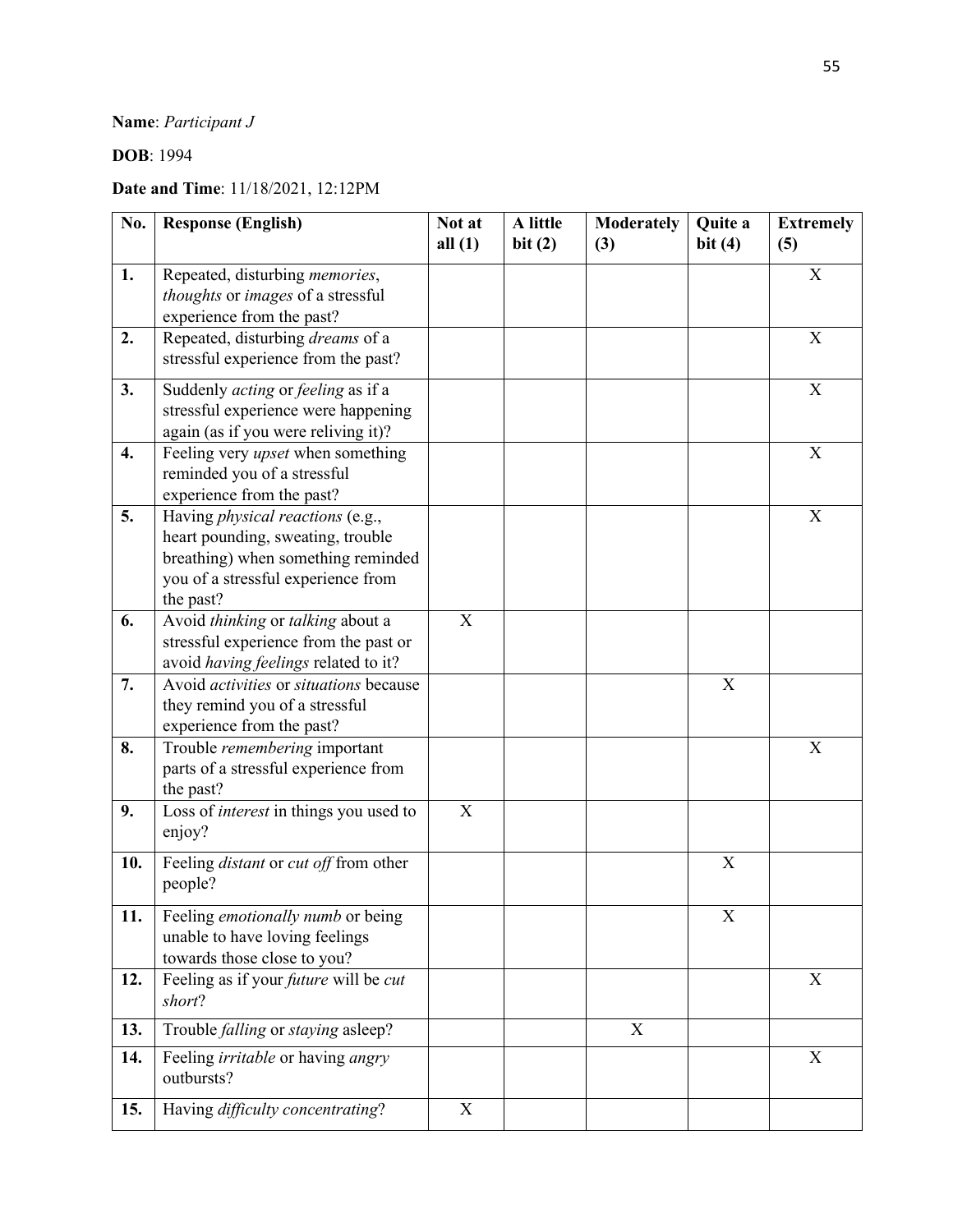### **Name**: *Participant J*

### **DOB**: 1994

### **Date and Time**: 11/18/2021, 12:12PM

| No. | <b>Response (English)</b>                                                                                                                                             | Not at<br>all $(1)$ | A little<br>bit(2) | <b>Moderately</b><br>(3) | Quite a<br>bit $(4)$ | <b>Extremely</b><br>(5)   |
|-----|-----------------------------------------------------------------------------------------------------------------------------------------------------------------------|---------------------|--------------------|--------------------------|----------------------|---------------------------|
| 1.  | Repeated, disturbing <i>memories</i> ,<br>thoughts or images of a stressful<br>experience from the past?                                                              |                     |                    |                          |                      | X                         |
| 2.  | Repeated, disturbing dreams of a<br>stressful experience from the past?                                                                                               |                     |                    |                          |                      | $\mathbf X$               |
| 3.  | Suddenly acting or feeling as if a<br>stressful experience were happening<br>again (as if you were reliving it)?                                                      |                     |                    |                          |                      | $\boldsymbol{\mathrm{X}}$ |
| 4.  | Feeling very upset when something<br>reminded you of a stressful<br>experience from the past?                                                                         |                     |                    |                          |                      | $\mathbf X$               |
| 5.  | Having <i>physical reactions</i> (e.g.,<br>heart pounding, sweating, trouble<br>breathing) when something reminded<br>you of a stressful experience from<br>the past? |                     |                    |                          |                      | X                         |
| 6.  | Avoid thinking or talking about a<br>stressful experience from the past or<br>avoid having feelings related to it?                                                    | X                   |                    |                          |                      |                           |
| 7.  | Avoid <i>activities</i> or <i>situations</i> because<br>they remind you of a stressful<br>experience from the past?                                                   |                     |                    |                          | X                    |                           |
| 8.  | Trouble remembering important<br>parts of a stressful experience from<br>the past?                                                                                    |                     |                    |                          |                      | X                         |
| 9.  | Loss of <i>interest</i> in things you used to<br>enjoy?                                                                                                               | X                   |                    |                          |                      |                           |
| 10. | Feeling <i>distant</i> or <i>cut off</i> from other<br>people?                                                                                                        |                     |                    |                          | X                    |                           |
| 11. | Feeling emotionally numb or being<br>unable to have loving feelings<br>towards those close to you?                                                                    |                     |                    |                          | X                    |                           |
| 12. | Feeling as if your <i>future</i> will be <i>cut</i><br>short?                                                                                                         |                     |                    |                          |                      | X                         |
| 13. | Trouble falling or staying asleep?                                                                                                                                    |                     |                    | X                        |                      |                           |
| 14. | Feeling <i>irritable</i> or having <i>angry</i><br>outbursts?                                                                                                         |                     |                    |                          |                      | $\boldsymbol{\mathrm{X}}$ |
| 15. | Having difficulty concentrating?                                                                                                                                      | X                   |                    |                          |                      |                           |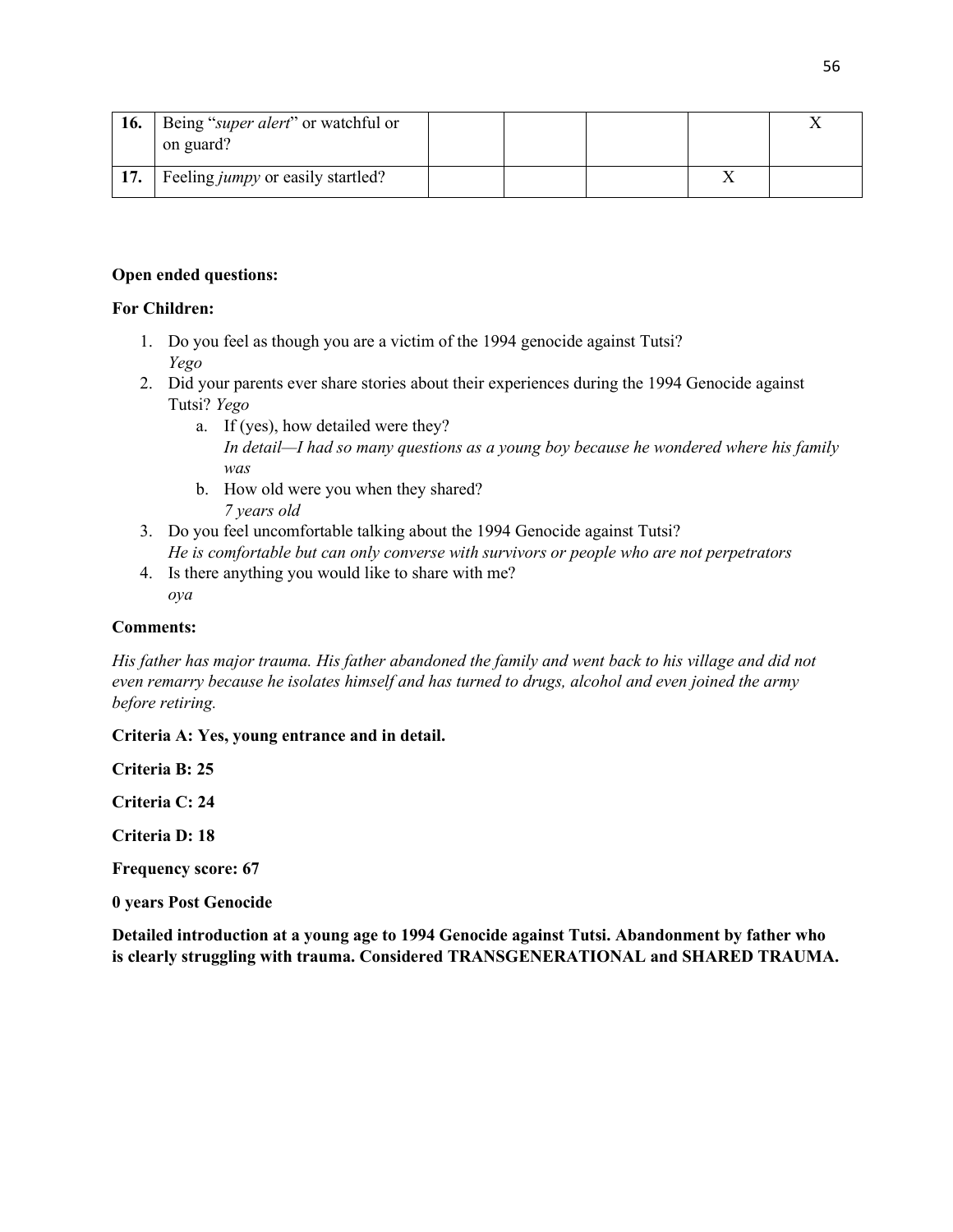| 16. | Being "super alert" or watchful or<br>on guard? |  |  |  |
|-----|-------------------------------------------------|--|--|--|
| 17. | Feeling <i>jumpy</i> or easily startled?        |  |  |  |

#### **Open ended questions:**

#### **For Children:**

- 1. Do you feel as though you are a victim of the 1994 genocide against Tutsi? *Yego*
- 2. Did your parents ever share stories about their experiences during the 1994 Genocide against Tutsi? *Yego* 
	- a. If (yes), how detailed were they? *In detail—I had so many questions as a young boy because he wondered where his family was*
	- b. How old were you when they shared? *7 years old*
- 3. Do you feel uncomfortable talking about the 1994 Genocide against Tutsi? *He is comfortable but can only converse with survivors or people who are not perpetrators*
- 4. Is there anything you would like to share with me? *oya*

#### **Comments:**

*His father has major trauma. His father abandoned the family and went back to his village and did not even remarry because he isolates himself and has turned to drugs, alcohol and even joined the army before retiring.*

#### **Criteria A: Yes, young entrance and in detail.**

**Criteria B: 25**

**Criteria C: 24** 

**Criteria D: 18**

**Frequency score: 67**

**0 years Post Genocide** 

**Detailed introduction at a young age to 1994 Genocide against Tutsi. Abandonment by father who is clearly struggling with trauma. Considered TRANSGENERATIONAL and SHARED TRAUMA.**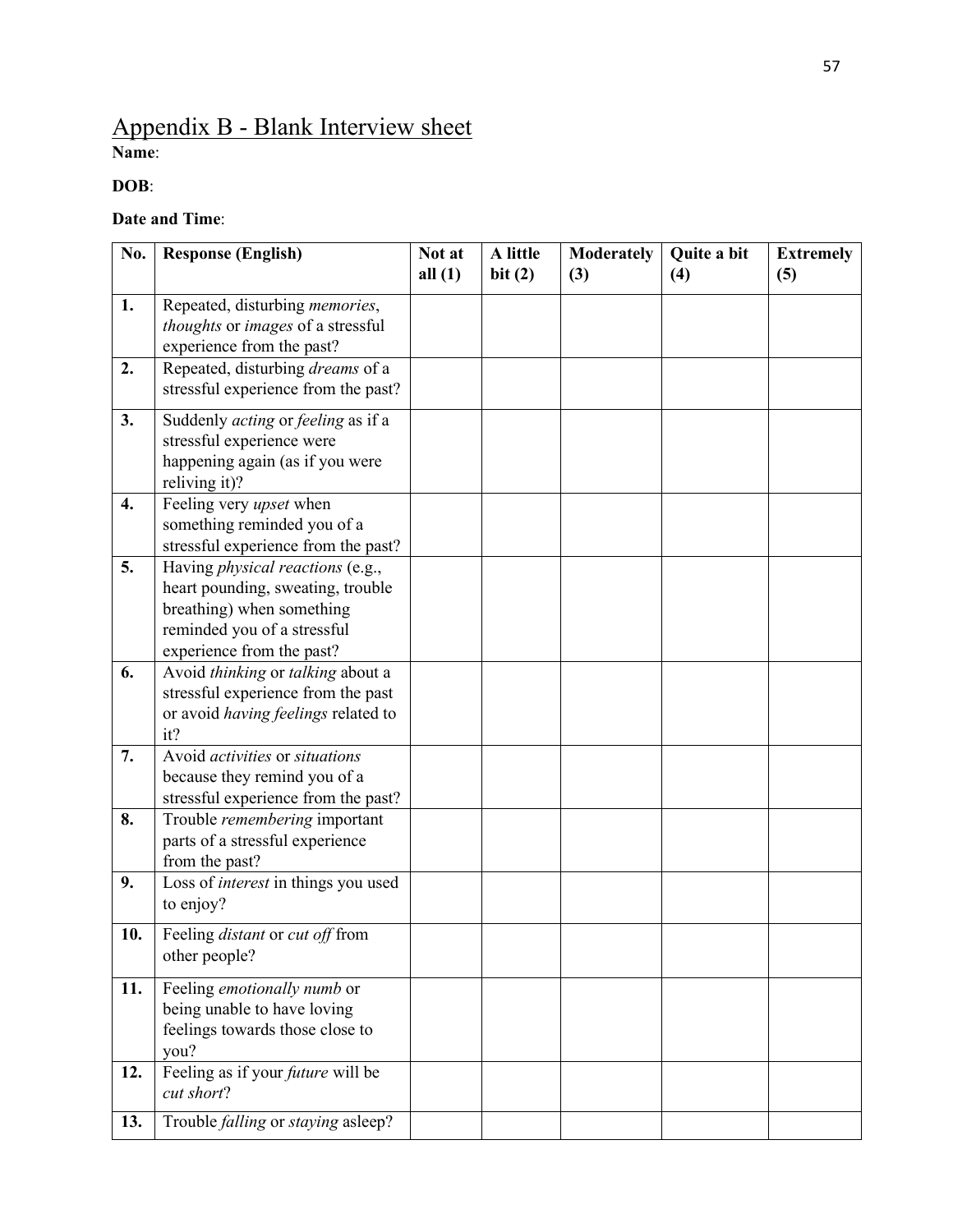### <span id="page-58-0"></span>Appendix B - Blank Interview sheet **Name**:

### **DOB**:

### **Date and Time**:

| No. | <b>Response (English)</b>                                                                                                                                      | Not at<br>all $(1)$ | A little<br>bit(2) | <b>Moderately</b><br>(3) | Quite a bit<br>(4) | <b>Extremely</b><br>(5) |
|-----|----------------------------------------------------------------------------------------------------------------------------------------------------------------|---------------------|--------------------|--------------------------|--------------------|-------------------------|
| 1.  | Repeated, disturbing <i>memories</i> ,<br>thoughts or images of a stressful<br>experience from the past?                                                       |                     |                    |                          |                    |                         |
| 2.  | Repeated, disturbing dreams of a<br>stressful experience from the past?                                                                                        |                     |                    |                          |                    |                         |
| 3.  | Suddenly <i>acting</i> or <i>feeling</i> as if a<br>stressful experience were<br>happening again (as if you were<br>reliving it)?                              |                     |                    |                          |                    |                         |
| 4.  | Feeling very <i>upset</i> when<br>something reminded you of a<br>stressful experience from the past?                                                           |                     |                    |                          |                    |                         |
| 5.  | Having physical reactions (e.g.,<br>heart pounding, sweating, trouble<br>breathing) when something<br>reminded you of a stressful<br>experience from the past? |                     |                    |                          |                    |                         |
| 6.  | Avoid thinking or talking about a<br>stressful experience from the past<br>or avoid having feelings related to<br>it?                                          |                     |                    |                          |                    |                         |
| 7.  | Avoid <i>activities</i> or <i>situations</i><br>because they remind you of a<br>stressful experience from the past?                                            |                     |                    |                          |                    |                         |
| 8.  | Trouble remembering important<br>parts of a stressful experience<br>from the past?                                                                             |                     |                    |                          |                    |                         |
| 9.  | Loss of interest in things you used<br>to enjoy?                                                                                                               |                     |                    |                          |                    |                         |
| 10. | Feeling distant or cut off from<br>other people?                                                                                                               |                     |                    |                          |                    |                         |
| 11. | Feeling emotionally numb or<br>being unable to have loving<br>feelings towards those close to<br>you?                                                          |                     |                    |                          |                    |                         |
| 12. | Feeling as if your <i>future</i> will be<br>cut short?                                                                                                         |                     |                    |                          |                    |                         |
| 13. | Trouble <i>falling</i> or <i>staying</i> asleep?                                                                                                               |                     |                    |                          |                    |                         |